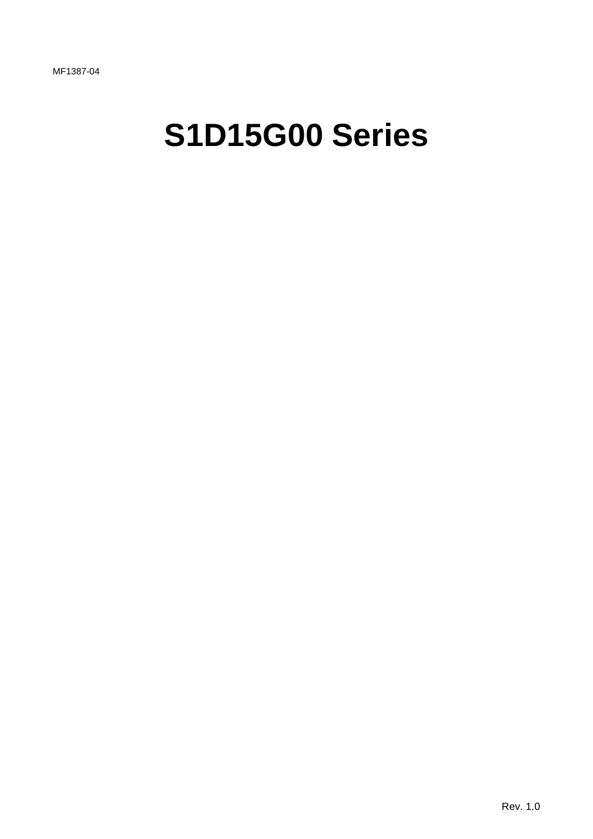# **S1D15G00 Series**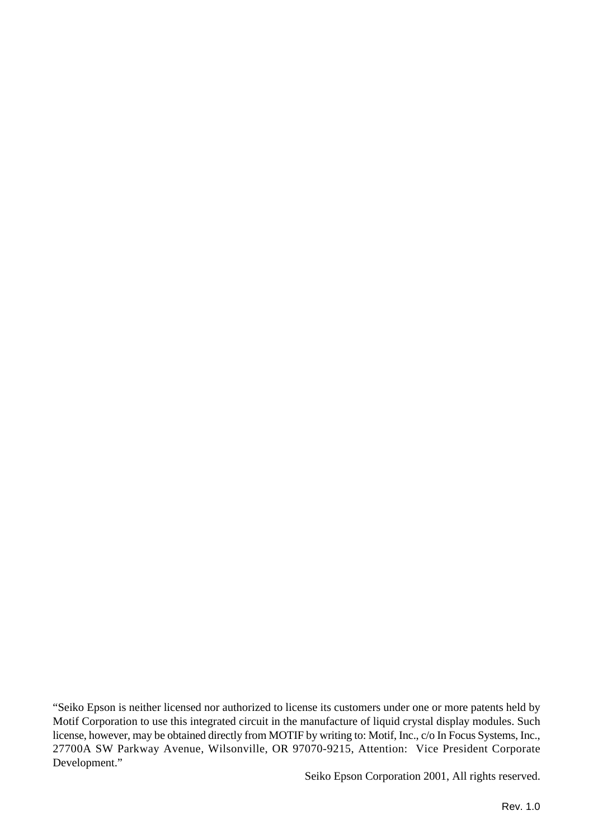"Seiko Epson is neither licensed nor authorized to license its customers under one or more patents held by Motif Corporation to use this integrated circuit in the manufacture of liquid crystal display modules. Such license, however, may be obtained directly from MOTIF by writing to: Motif, Inc., c/o In Focus Systems, Inc., 27700A SW Parkway Avenue, Wilsonville, OR 97070-9215, Attention: Vice President Corporate Development."

© Seiko Epson Corporation 2001, All rights reserved.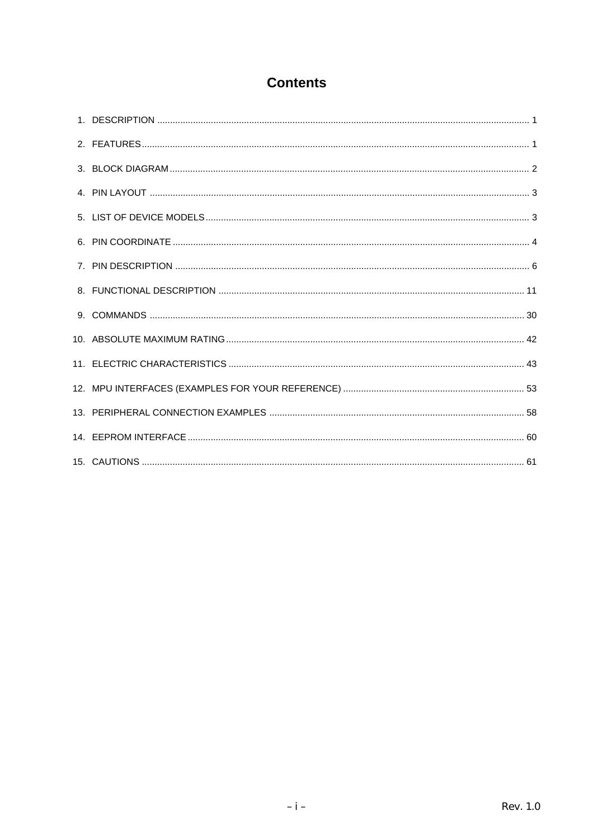## **Contents**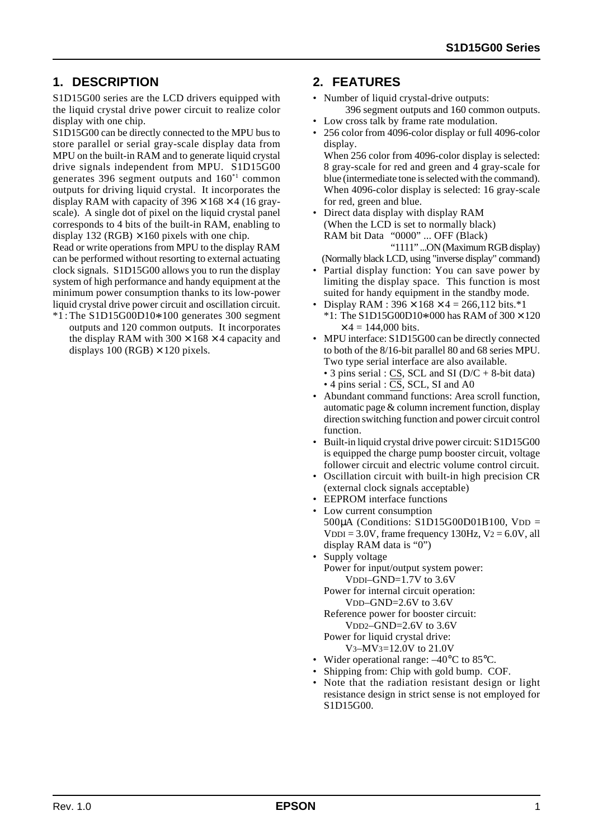## **1. DESCRIPTION**

S1D15G00 series are the LCD drivers equipped with the liquid crystal drive power circuit to realize color display with one chip.

S1D15G00 can be directly connected to the MPU bus to store parallel or serial gray-scale display data from MPU on the built-in RAM and to generate liquid crystal drive signals independent from MPU. S1D15G00 generates 396 segment outputs and 160\*1 common outputs for driving liquid crystal. It incorporates the display RAM with capacity of  $396 \times 168 \times 4$  (16 grayscale). A single dot of pixel on the liquid crystal panel corresponds to 4 bits of the built-in RAM, enabling to display 132 (RGB)  $\times$  160 pixels with one chip.

Read or write operations from MPU to the display RAM can be performed without resorting to external actuating clock signals. S1D15G00 allows you to run the display system of high performance and handy equipment at the minimum power consumption thanks to its low-power liquid crystal drive power circuit and oscillation circuit.

\*1 : The S1D15G00D10\*100 generates 300 segment outputs and 120 common outputs. It incorporates the display RAM with  $300 \times 168 \times 4$  capacity and displays  $100$  (RGB)  $\times$  120 pixels.

### **2. FEATURES**

- Number of liquid crystal-drive outputs: 396 segment outputs and 160 common outputs.
- Low cross talk by frame rate modulation.
- 256 color from 4096-color display or full 4096-color display.

When 256 color from 4096-color display is selected: 8 gray-scale for red and green and 4 gray-scale for blue (intermediate tone is selected with the command). When 4096-color display is selected: 16 gray-scale for red, green and blue.

• Direct data display with display RAM (When the LCD is set to normally black) RAM bit Data "0000" ... OFF (Black) "1111" ...ON (Maximum RGB display)

(Normally black LCD, using "inverse display" command)

- Partial display function: You can save power by limiting the display space. This function is most suited for handy equipment in the standby mode.
- Display RAM :  $396 \times 168 \times 4 = 266,112 \text{ bits.} *1$
- \*1: The S1D15G00D10\*000 has RAM of 300 × 120  $\times$  4 = 144,000 bits.
- MPU interface: S1D15G00 can be directly connected to both of the 8/16-bit parallel 80 and 68 series MPU. Two type serial interface are also available.
	- 3 pins serial : CS, SCL and SI ( $D/C + 8$ -bit data)  $\bullet$  4 pins serial :  $\overline{CS}$ , SCL, SI and A0
- Abundant command functions: Area scroll function, automatic page & column increment function, display direction switching function and power circuit control function.
- Built-in liquid crystal drive power circuit: S1D15G00 is equipped the charge pump booster circuit, voltage follower circuit and electric volume control circuit.
- Oscillation circuit with built-in high precision CR (external clock signals acceptable)
- EEPROM interface functions
- Low current consumption 500µA (Conditions: S1D15G00D01B100, VDD =  $V$ DDI = 3.0V, frame frequency 130Hz,  $V_2$  = 6.0V, all display RAM data is "0")
- Supply voltage Power for input/output system power: VDDI–GND=1.7V to 3.6V

Power for internal circuit operation: VDD–GND=2.6V to 3.6V

Reference power for booster circuit: VDD2–GND=2.6V to 3.6V

Power for liquid crystal drive:

V3–MV3=12.0V to 21.0V

- Wider operational range:  $-40^{\circ}$ C to 85 $^{\circ}$ C.
- Shipping from: Chip with gold bump. COF.
- Note that the radiation resistant design or light resistance design in strict sense is not employed for S1D15G00.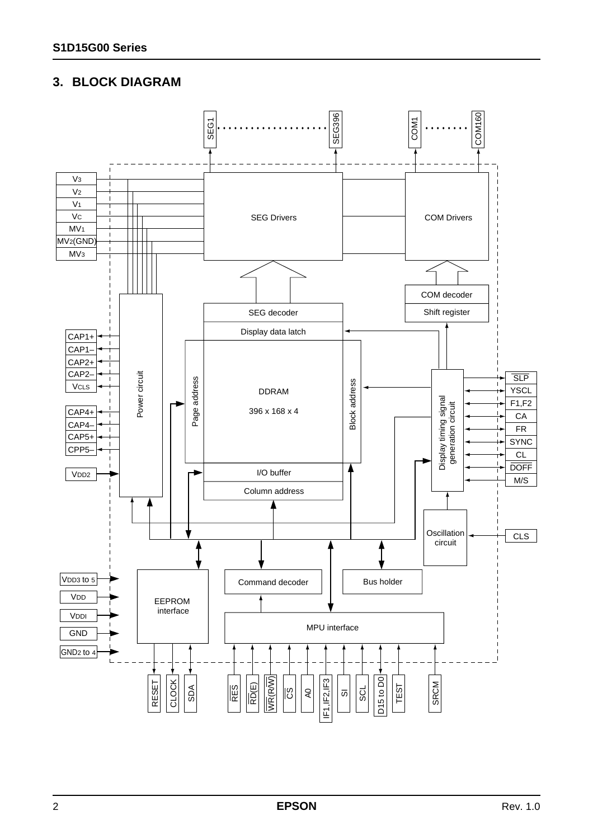## **3. BLOCK DIAGRAM**

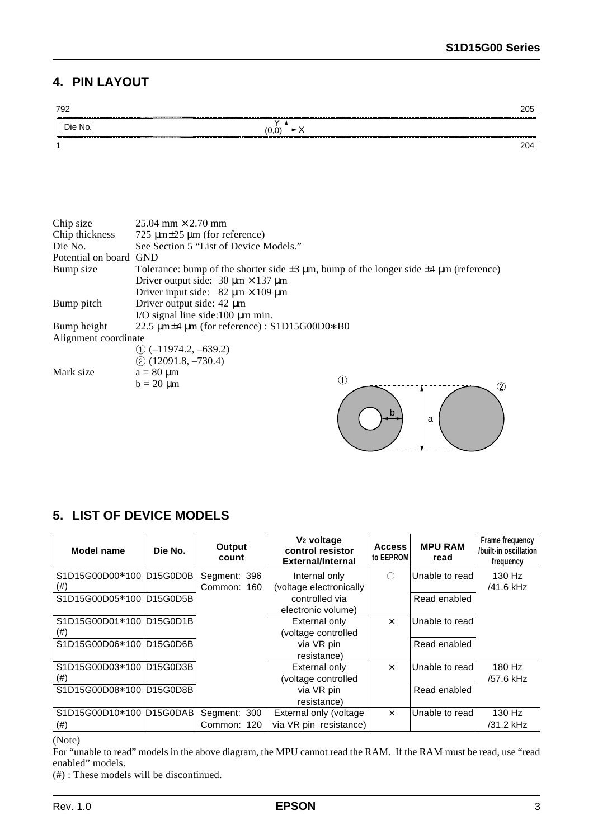a

## **4. PIN LAYOUT**



## **5. LIST OF DEVICE MODELS**

| Model name               | Die No. | Output<br>count | V <sub>2</sub> voltage<br>control resistor<br><b>External/Internal</b> | <b>Access</b><br><b>Ito EEPROMI</b> | <b>MPU RAM</b><br>read | Frame frequency<br>/built-in oscillation  <br>frequency |
|--------------------------|---------|-----------------|------------------------------------------------------------------------|-------------------------------------|------------------------|---------------------------------------------------------|
| S1D15G00D00*100 D15G0D0B |         | Segment: 396    | Internal only                                                          | ∩                                   | Unable to read         | 130 Hz                                                  |
| $^{(#)}$                 |         | Common: 160     | (voltage electronically                                                |                                     |                        | /41.6 kHz                                               |
| S1D15G00D05*100 D15G0D5B |         |                 | controlled via                                                         |                                     | Read enabled           |                                                         |
|                          |         |                 | electronic volume)                                                     |                                     |                        |                                                         |
| S1D15G00D01*100 D15G0D1B |         |                 | External only                                                          | $\times$                            | Unable to read         |                                                         |
| $^{(#)}$                 |         |                 | (voltage controlled                                                    |                                     |                        |                                                         |
| S1D15G00D06*100 D15G0D6B |         |                 | via VR pin                                                             |                                     | Read enabled           |                                                         |
|                          |         |                 | resistance)                                                            |                                     |                        |                                                         |
| S1D15G00D03*100 D15G0D3B |         |                 | <b>External only</b>                                                   | $\times$                            | Unable to read         | 180 Hz                                                  |
| (#)                      |         |                 | (voltage controlled                                                    |                                     |                        | /57.6 kHz                                               |
| S1D15G00D08*100 D15G0D8B |         |                 | via VR pin                                                             |                                     | Read enabled           |                                                         |
|                          |         |                 | resistance)                                                            |                                     |                        |                                                         |
| S1D15G00D10*100 D15G0DAB |         | Segment: 300    | External only (voltage                                                 | $\times$                            | Unable to read         | 130 Hz                                                  |
| $^{(#)}$                 |         | Common: 120     | via VR pin resistance)                                                 |                                     |                        | /31.2 kHz                                               |
| $\sqrt{2}$ $\sqrt{2}$    |         |                 |                                                                        |                                     |                        |                                                         |

(Note)

For "unable to read" models in the above diagram, the MPU cannot read the RAM. If the RAM must be read, use "read enabled" models.

(#) : These models will be discontinued.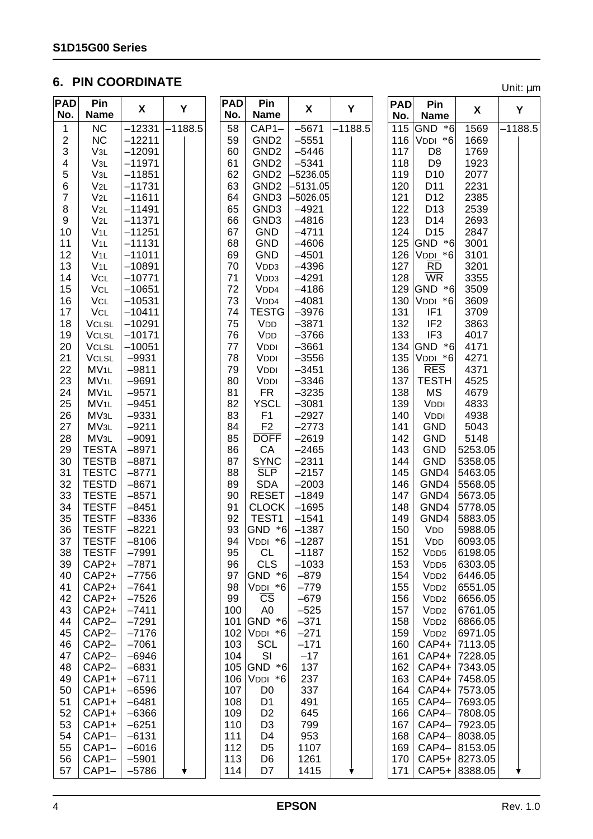## **6. PIN COORDINATE**

Unit: µm

| <b>PAD</b><br>No.       | Pin<br><b>Name</b> | X        | Y         | <b>PAD</b><br>No. | Pin<br><b>Name</b>     | X          | Y         | <b>PAD</b> | Pin              | X             | Υ         |  |
|-------------------------|--------------------|----------|-----------|-------------------|------------------------|------------|-----------|------------|------------------|---------------|-----------|--|
|                         |                    |          |           |                   |                        |            |           | No.        | <b>Name</b>      |               |           |  |
| 1                       | NC                 | $-12331$ | $-1188.5$ | 58                | $CAP1-$                | $-5671$    | $-1188.5$ | 115        | GND *6           | 1569          | $-1188.5$ |  |
| $\boldsymbol{2}$        | NC                 | $-12211$ |           | 59                | GND <sub>2</sub>       | $-5551$    |           |            | 116 $V$ DDI *6   | 1669          |           |  |
| 3                       | V3L                | $-12091$ |           | 60                | GND <sub>2</sub>       | $-5446$    |           | 117        | D <sub>8</sub>   | 1769          |           |  |
| $\overline{\mathbf{4}}$ | V3L                | $-11971$ |           | 61                | GND <sub>2</sub>       | $-5341$    |           | 118        | D <sub>9</sub>   | 1923          |           |  |
| 5                       | V3L                | $-11851$ |           | 62                | GND <sub>2</sub>       | $-5236.05$ |           | 119        | D <sub>10</sub>  | 2077          |           |  |
| 6                       | $V_{2L}$           | $-11731$ |           | 63                | GND <sub>2</sub>       | $-5131.05$ |           | 120        | D11              | 2231          |           |  |
| $\overline{7}$          | $V_{2L}$           | $-11611$ |           | 64                | GND <sub>3</sub>       | –5026.05   |           | 121        | D <sub>12</sub>  | 2385          |           |  |
| 8                       | $V_{2L}$           | $-11491$ |           | 65                | GND <sub>3</sub>       | $-4921$    |           | 122        | D <sub>13</sub>  | 2539          |           |  |
| 9                       | $V_{2L}$           | $-11371$ |           | 66                | GND <sub>3</sub>       | $-4816$    |           | 123        | D <sub>14</sub>  | 2693          |           |  |
| 10                      | V1L                | $-11251$ |           | 67                | <b>GND</b>             | $-4711$    |           | 124        | D <sub>15</sub>  | 2847          |           |  |
| 11                      | V1L                | $-11131$ |           | 68                | <b>GND</b>             | $-4606$    |           |            | 125 GND *6       | 3001          |           |  |
| 12                      | V1L                | $-11011$ |           | 69                | <b>GND</b>             | $-4501$    |           | 126        | VDDI *6          | 3101          |           |  |
| 13                      | V1L                | $-10891$ |           | 70                | V <sub>DD</sub> 3      | $-4396$    |           | 127        | <b>RD</b>        | 3201          |           |  |
| 14                      | <b>VCL</b>         | $-10771$ |           | 71                | V <sub>DD3</sub>       | $-4291$    |           | 128        | <b>WR</b>        | 3355          |           |  |
| 15                      | <b>VCL</b>         | $-10651$ |           | 72                | V <sub>DD4</sub>       | $-4186$    |           | 129        | GND *6           | 3509          |           |  |
| 16                      | VCL                | $-10531$ |           | 73                | V <sub>DD4</sub>       | $-4081$    |           | 130        | VDDI *6          | 3609          |           |  |
| 17                      | VCL                | $-10411$ |           | 74                | <b>TESTG</b>           | $-3976$    |           | 131        | IF <sub>1</sub>  | 3709          |           |  |
| 18                      | <b>VCLSL</b>       | $-10291$ |           | 75                | VDD                    | $-3871$    |           | 132        | IF <sub>2</sub>  | 3863          |           |  |
| 19                      | <b>VCLSL</b>       | $-10171$ |           | 76                | <b>VDD</b>             | $-3766$    |           | 133        | IF <sub>3</sub>  | 4017          |           |  |
|                         |                    |          |           |                   |                        |            |           |            |                  |               |           |  |
| 20                      | <b>VCLSL</b>       | $-10051$ |           | 77                | <b>VDDI</b>            | $-3661$    |           |            | 134 GND *6       | 4171          |           |  |
| 21                      | <b>VCLSL</b>       | $-9931$  |           | 78                | <b>VDDI</b>            | $-3556$    |           | 135        | VDDI *6          | 4271          |           |  |
| 22                      | MV <sub>1L</sub>   | $-9811$  |           | 79                | VDDI                   | $-3451$    |           | 136        | <b>RES</b>       | 4371          |           |  |
| 23                      | MV <sub>1L</sub>   | $-9691$  |           | 80                | <b>VDDI</b>            | $-3346$    |           | 137        | <b>TESTH</b>     | 4525          |           |  |
| 24                      | MV <sub>1L</sub>   | $-9571$  |           | 81                | <b>FR</b>              | $-3235$    |           | 138        | <b>MS</b>        | 4679          |           |  |
| 25                      | MV <sub>1L</sub>   | $-9451$  |           | 82                | <b>YSCL</b>            | $-3081$    |           | 139        | VDDI             | 4833          |           |  |
| 26                      | MV3L               | $-9331$  |           | 83                | F <sub>1</sub>         | $-2927$    |           | 140        | VDDI             | 4938          |           |  |
| 27                      | MV3L               | $-9211$  |           | 84                | F <sub>2</sub>         | $-2773$    |           | 141        | <b>GND</b>       | 5043          |           |  |
| 28                      | MV <sub>3L</sub>   | $-9091$  |           | 85                | <b>DOFF</b>            | $-2619$    |           | 142        | <b>GND</b>       | 5148          |           |  |
| 29                      | <b>TESTA</b>       | $-8971$  |           | 86                | CA                     | $-2465$    |           | 143        | <b>GND</b>       | 5253.05       |           |  |
| 30                      | <b>TESTB</b>       | $-8871$  |           | 87                | <b>SYNC</b>            | $-2311$    |           | 144        | <b>GND</b>       | 5358.05       |           |  |
| 31                      | <b>TESTC</b>       | $-8771$  |           | 88                | <b>SLP</b>             | $-2157$    |           | 145        | GND4             | 5463.05       |           |  |
| 32                      | <b>TESTD</b>       | $-8671$  |           | 89                | <b>SDA</b>             | $-2003$    |           | 146        | GND4             | 5568.05       |           |  |
| 33                      | <b>TESTE</b>       | $-8571$  |           | 90                | <b>RESET</b>           | $-1849$    |           | 147        | GND4             | 5673.05       |           |  |
| 34                      | <b>TESTF</b>       | $-8451$  |           | 91                | <b>CLOCK</b>           | $-1695$    |           | 148        | GND4             | 5778.05       |           |  |
| 35                      | <b>TESTF</b>       | $-8336$  |           | 92                | TEST1                  | $-1541$    |           | 149        | GND4             | 5883.05       |           |  |
| 36                      | <b>TESTF</b>       | $-8221$  |           | 93                | GND *6                 | $-1387$    |           | 150        | VDD              | 5988.05       |           |  |
| 37                      | <b>TESTF</b>       | $-8106$  |           | 94                | $VDDI *6$ -1287        |            |           | 151        | VDD              | 6093.05       |           |  |
| 38                      | <b>TESTF</b>       | $-7991$  |           | 95                | <b>CL</b>              | $-1187$    |           | 152        | V <sub>DD5</sub> | 6198.05       |           |  |
| 39                      | $CAP2+$            | $-7871$  |           | 96                | <b>CLS</b>             | $-1033$    |           | 153        | V <sub>DD5</sub> | 6303.05       |           |  |
| 40                      | $CAP2+$            | $-7756$  |           | 97                | GND *6                 | $-879$     |           | 154        | V <sub>DD2</sub> | 6446.05       |           |  |
| 41                      | $CAP2+$            | $-7641$  |           | 98                | VDDI *6                | $-779$     |           | 155        | V <sub>DD2</sub> | 6551.05       |           |  |
| 42                      | $CAP2+$            | $-7526$  |           | 99                | $\overline{\text{CS}}$ | $-679$     |           | 156        | V <sub>DD2</sub> | 6656.05       |           |  |
| 43                      | $CAP2+$            | $-7411$  |           | 100               | A <sub>0</sub>         | $-525$     |           | 157        | V <sub>DD2</sub> | 6761.05       |           |  |
| 44                      | CAP2-              | $-7291$  |           | 101               | GND *6                 | $-371$     |           | 158        | V <sub>DD2</sub> | 6866.05       |           |  |
| 45                      | CAP2-              | $-7176$  |           | 102               | VDDI *6                | $-271$     |           | 159        | V <sub>DD2</sub> | 6971.05       |           |  |
| 46                      | CAP <sub>2</sub>   | $-7061$  |           | 103               | <b>SCL</b>             | $-171$     |           | 160        | $CAP4+$          | 7113.05       |           |  |
| 47                      | CAP <sub>2</sub>   | $-6946$  |           | 104               | SI                     | $-17$      |           | 161        | CAP4+            | 7228.05       |           |  |
| 48                      | CAP <sub>2</sub>   | $-6831$  |           | 105               | GND *6                 | 137        |           | 162        | CAP4+            | 7343.05       |           |  |
| 49                      | $CAP1+$            | $-6711$  |           | 106               | VDDI *6                | 237        |           | 163        | CAP4+            | 7458.05       |           |  |
| 50                      | $CAP1+$            | $-6596$  |           | 107               | D <sub>0</sub>         | 337        |           | 164        | CAP4+            | 7573.05       |           |  |
|                         |                    |          |           |                   |                        |            |           |            |                  |               |           |  |
| 51                      | $CAP1+$            | $-6481$  |           | 108               | D <sub>1</sub>         | 491        |           | 165        | CAP4-            | 7693.05       |           |  |
| 52                      | $CAP1+$            | $-6366$  |           | 109               | D <sub>2</sub>         | 645        |           | 166        | CAP4-            | 7808.05       |           |  |
| 53                      | $CAP1+$            | $-6251$  |           | 110               | D <sub>3</sub>         | 799        |           | 167        | CAP4-            | 7923.05       |           |  |
| 54                      | $CAP1-$            | $-6131$  |           | 111               | D4                     | 953        |           | 168        | CAP4-            | 8038.05       |           |  |
| 55                      | $CAP1-$            | $-6016$  |           | 112               | D <sub>5</sub>         | 1107       |           | 169        | CAP4-            | 8153.05       |           |  |
| 56                      | $CAP1-$            | $-5901$  |           | 113               | D <sub>6</sub>         | 1261       |           | 170        | $CAP5+$          | 8273.05       |           |  |
| 57                      | $CAP1-$            | $-5786$  |           | 114               | D7                     | 1415       | Ý         | 171        |                  | CAP5+ 8388.05 |           |  |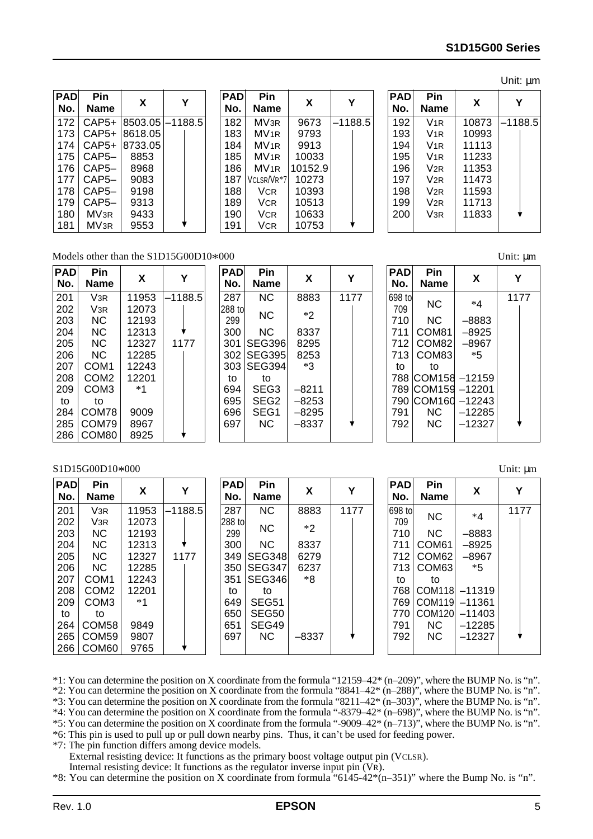| <b>PAD</b> | Pin              | X       | Y         |
|------------|------------------|---------|-----------|
| No.        | Name             |         |           |
| 172        | $CAP5+$          | 8503.05 | $-1188.5$ |
| 173        | CAP5+            | 8618.05 |           |
| 174        | $CAP5+$          | 8733.05 |           |
| 175        | CAP5-            | 8853    |           |
| 176        | CAP5-            | 8968    |           |
| 177        | CAP5-            | 9083    |           |
| 178        | CAP5–            | 9198    |           |
| 179        | CAP5–            | 9313    |           |
| 180        | MV <sub>3R</sub> | 9433    |           |
| 181        | MV <sub>3R</sub> | 9553    |           |

| <b>PAD</b><br>No. | Pin<br>Name      | X       | Υ         |
|-------------------|------------------|---------|-----------|
| 182               | MV <sub>3R</sub> | 9673    | $-1188.5$ |
| 183               | MV <sub>1R</sub> | 9793    |           |
| 184               | MV <sub>1R</sub> | 9913    |           |
| 185               | MV <sub>1R</sub> | 10033   |           |
| 186               | MV <sub>1R</sub> | 10152.9 |           |
| 187               | VCLSR/VR*7       | 10273   |           |
| 188               | <b>VCR</b>       | 10393   |           |
| 189               | <b>VCR</b>       | 10513   |           |
| 190               | <b>VCR</b>       | 10633   |           |
| 191               | <b>VCR</b>       | 10753   |           |

|                   |                 |       | Unit: µm  |
|-------------------|-----------------|-------|-----------|
| <b>PAD</b><br>No. | Pin<br>Name     | X     | Υ         |
| 192               | $V_{1R}$        | 10873 | $-1188.5$ |
| 193               | V1R             | 10993 |           |
| 194               | V1R             | 11113 |           |
| 195               | $V_{1R}$        | 11233 |           |
| 196               | V <sub>2R</sub> | 11353 |           |
| 197               | V <sub>2R</sub> | 11473 |           |
| 198               | V <sub>2R</sub> | 11593 |           |
| 199               | V <sub>2R</sub> | 11713 |           |
| 200               | V <sub>3R</sub> | 11833 |           |
|                   |                 |       |           |

## Models other than the S1D15G00D10\*000 Unit:  $\mu$ m<br>  $\boxed{\mathbf{PAD} \quad \mathbf{Pin} \quad \boxed{\mathbf{PAD} \quad \mathbf{Pin} \quad \boxed{\mathbf{PAD} \quad \mathbf{Pin} \quad \boxed{\mathbf{PAD} \quad \mathbf{Pin} \quad \boxed{\mathbf{QAD} \quad \mathbf{Pin} \quad \boxed{\mathbf{QAD} \quad \mathbf{Pin} \quad \boxed{\mathbf{QAD} \quad \mathbf{Pin} \quad \boxed{\mathbf{QAD} \quad \mathbf{Pin} \quad \boxed{\mathbf{QAD} \quad \mathbf{Pin}$

| <b>PAD</b><br>No. | Pin<br>Name      | X     | Y       |
|-------------------|------------------|-------|---------|
| 201               | V3R              | 11953 | –1188.5 |
| 202               | V <sub>3R</sub>  | 12073 |         |
| 203               | ΝC               | 12193 |         |
| 204               | ΝC               | 12313 |         |
| 205               | NC.              | 12327 | 1177    |
| 206               | ΝC               | 12285 |         |
| 207               | COM <sub>1</sub> | 12243 |         |
| 208               | COM <sub>2</sub> | 12201 |         |
| 209               | COM3             | *1    |         |
| to                | to               |       |         |
| 284               | COM78            | 9009  |         |
| 285               | COM79            | 8967  |         |
| 286               | COM80            | 8925  |         |

| PAD<br>No.    | Pin<br>Name      | X     | Y    |
|---------------|------------------|-------|------|
| 287           | NC.              | 8883  | 1177 |
| 288 to<br>299 | ΝC               | *2    |      |
| 300           | ΝC               | 8337  |      |
| 301           | <b>SEG396</b>    | 8295  |      |
| 302           | ISEG395          | 8253  |      |
| 303           | <b>SEG394</b>    | ∗3    |      |
| to            | to               |       |      |
| 694           | SEG <sub>3</sub> | –8211 |      |
| 695           | SEG2             | –8253 |      |
| 696           | SEG1             | –8295 |      |
| 697           | NC.              | -8337 |      |
|               |                  |       |      |

| <b>PAD</b><br>No. | Pin<br>Name | X        |      |
|-------------------|-------------|----------|------|
| 698 to<br>709     | ΝC          | *4       | 1177 |
| 710               | <b>NC</b>   | -8883    |      |
| 711               | COM81       | –8925    |      |
| 712               | COM82       | –8967    |      |
| 713               | COM83       | *5       |      |
| to                | to          |          |      |
| 788               | ICOM158     | $-12159$ |      |
| 789               | COM159      | $-12201$ |      |
| 790               | COM160      | $-12243$ |      |
| 791               | ΝC          | $-12285$ |      |
| 792               | ΝC          | $-12327$ |      |

#### S1D15G00D10\*000 Unit:  $\mu$ m

| <b>PAD</b><br>No. | <b>Pin</b><br><b>Name</b> | X     | Υ         | <b>PAD</b><br>No. | Pin<br><b>Name</b> | X       | v    | <b>PAD</b><br>No. | Pin<br><b>Name</b> | X        | Y    |
|-------------------|---------------------------|-------|-----------|-------------------|--------------------|---------|------|-------------------|--------------------|----------|------|
| 201               | V <sub>3R</sub>           | 11953 | $-1188.5$ | 287               | <b>NC</b>          | 8883    | 1177 | 698 to            |                    | $*4$     | 1177 |
| 202               | V <sub>3R</sub>           | 12073 |           | 288 tol           |                    |         |      | 709               | <b>NC</b>          |          |      |
| 203               | <b>NC</b>                 | 12193 |           | 299               | <b>NC</b>          | $*2$    |      | 710               | <b>NC</b>          | $-8883$  |      |
| 204               | NC.                       | 12313 |           | 300               | <b>NC</b>          | 8337    |      | 711               | COM <sub>61</sub>  | $-8925$  |      |
| 205               | <b>NC</b>                 | 12327 | 1177      |                   | 349   SEG348       | 6279    |      | 712               | COM62              | $-8967$  |      |
| 206               | <b>NC</b>                 | 12285 |           |                   | 350 SEG347         | 6237    |      | 713               | COM63              | $*5$     |      |
| 207               | COM <sub>1</sub>          | 12243 |           |                   | 351   SEG346       | *8      |      | to                | to                 |          |      |
| 208               | COM <sub>2</sub>          | 12201 |           | to                | to                 |         |      | 768               | COM <sub>118</sub> | $-11319$ |      |
| 209               | COM <sub>3</sub>          | $*1$  |           | 649               | <b>SEG51</b>       |         |      | 7691              | <b>COM119</b>      | $-11361$ |      |
| to                | to                        |       |           | 650               | SEG50              |         |      | 770               | <b>COM120</b>      | $-11403$ |      |
| 264               | COM58                     | 9849  |           | 651               | SEG49              |         |      | 791               | <b>NC</b>          | $-12285$ |      |
| 265               | COM <sub>59</sub>         | 9807  |           | 697               | <b>NC</b>          | $-8337$ |      | 792               | NС                 | $-12327$ |      |
| 266               | COM60                     | 9765  |           |                   |                    |         |      |                   |                    |          |      |

\*1: You can determine the position on X coordinate from the formula "12159–42\* (n–209)", where the BUMP No. is "n".

\*2: You can determine the position on X coordinate from the formula "8841–42\* (n–288)", where the BUMP No. is "n".

\*3: You can determine the position on X coordinate from the formula "8211–42\* (n–303)", where the BUMP No. is "n". \*4: You can determine the position on X coordinate from the formula "-8379–42\* (n–698)", where the BUMP No. is "n".

\*5: You can determine the position on X coordinate from the formula "-9009–42\* (n–713)", where the BUMP No. is "n".

\*6: This pin is used to pull up or pull down nearby pins. Thus, it can't be used for feeding power.

\*7: The pin function differs among device models.

External resisting device: It functions as the primary boost voltage output pin (VCLSR).

Internal resisting device: It functions as the regulator inverse input pin (VR).

\*8: You can determine the position on X coordinate from formula "6145-42\*(n–351)" where the Bump No. is "n".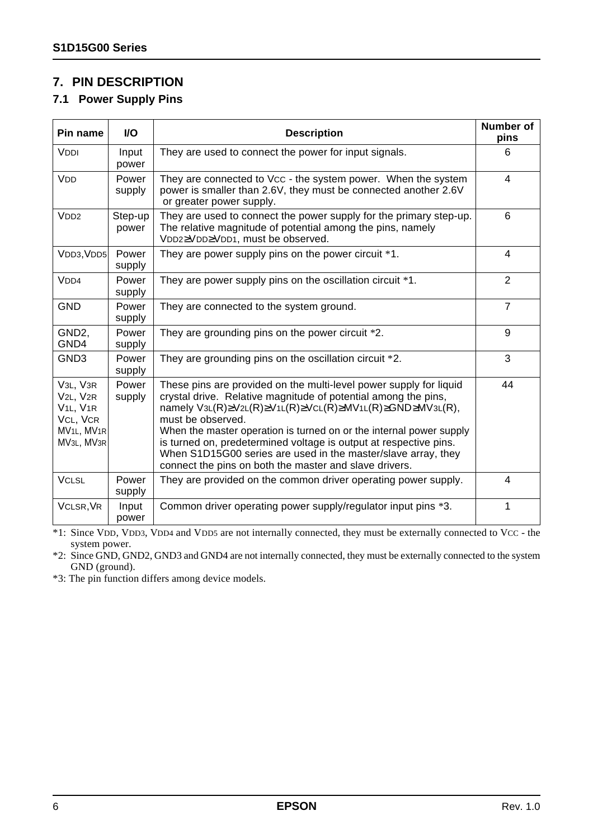## **7. PIN DESCRIPTION**

#### **7.1 Power Supply Pins**

| Pin name                                                                                                                                                                     | <b>I/O</b>       | <b>Description</b>                                                                                                                                                                                                                                                                                                                                                                                                                                                                                                     | <b>Number of</b><br>pins |
|------------------------------------------------------------------------------------------------------------------------------------------------------------------------------|------------------|------------------------------------------------------------------------------------------------------------------------------------------------------------------------------------------------------------------------------------------------------------------------------------------------------------------------------------------------------------------------------------------------------------------------------------------------------------------------------------------------------------------------|--------------------------|
| VDDI                                                                                                                                                                         | Input<br>power   | They are used to connect the power for input signals.                                                                                                                                                                                                                                                                                                                                                                                                                                                                  | 6                        |
| <b>VDD</b>                                                                                                                                                                   | Power<br>supply  | They are connected to Vcc - the system power. When the system<br>power is smaller than 2.6V, they must be connected another 2.6V<br>or greater power supply.                                                                                                                                                                                                                                                                                                                                                           | 4                        |
| V <sub>DD2</sub>                                                                                                                                                             | Step-up<br>power | They are used to connect the power supply for the primary step-up.<br>The relative magnitude of potential among the pins, namely<br>VDD2≥VDD≥VDD1, must be observed.                                                                                                                                                                                                                                                                                                                                                   | 6                        |
| VDD3, VDD5                                                                                                                                                                   | Power<br>supply  | They are power supply pins on the power circuit *1.                                                                                                                                                                                                                                                                                                                                                                                                                                                                    | $\overline{4}$           |
| V <sub>DD4</sub>                                                                                                                                                             | Power<br>supply  | They are power supply pins on the oscillation circuit *1.                                                                                                                                                                                                                                                                                                                                                                                                                                                              | $\overline{2}$           |
| <b>GND</b>                                                                                                                                                                   | Power<br>supply  | They are connected to the system ground.                                                                                                                                                                                                                                                                                                                                                                                                                                                                               | $\overline{7}$           |
| GND <sub>2</sub><br>GND4                                                                                                                                                     | Power<br>supply  | They are grounding pins on the power circuit *2.                                                                                                                                                                                                                                                                                                                                                                                                                                                                       | 9                        |
| GND <sub>3</sub>                                                                                                                                                             | Power<br>supply  | They are grounding pins on the oscillation circuit *2.                                                                                                                                                                                                                                                                                                                                                                                                                                                                 | 3                        |
| V <sub>3L</sub> , V <sub>3R</sub><br>V <sub>2L</sub> , V <sub>2R</sub><br>V <sub>1L</sub> , V <sub>1R</sub><br>VCL, VCR<br>MV <sub>1L</sub> , MV <sub>1R</sub><br>MV3L, MV3R | Power<br>supply  | These pins are provided on the multi-level power supply for liquid<br>crystal drive. Relative magnitude of potential among the pins,<br>namely $V3L(R) \ge V2L(R) \ge V1L(R) \ge VCL(R) \ge MV1L(R) \ge GND \ge MV3L(R)$ ,<br>must be observed.<br>When the master operation is turned on or the internal power supply<br>is turned on, predetermined voltage is output at respective pins.<br>When S1D15G00 series are used in the master/slave array, they<br>connect the pins on both the master and slave drivers. | 44                       |
| <b>VCLSL</b>                                                                                                                                                                 | Power<br>supply  | They are provided on the common driver operating power supply.                                                                                                                                                                                                                                                                                                                                                                                                                                                         | 4                        |
| VCLSR, VR                                                                                                                                                                    | Input<br>power   | Common driver operating power supply/regulator input pins *3.                                                                                                                                                                                                                                                                                                                                                                                                                                                          | 1                        |

\*1: Since VDD, VDD3, VDD4 and VDD5 are not internally connected, they must be externally connected to VCC - the system power.

\*2: Since GND, GND2, GND3 and GND4 are not internally connected, they must be externally connected to the system GND (ground).

\*3: The pin function differs among device models.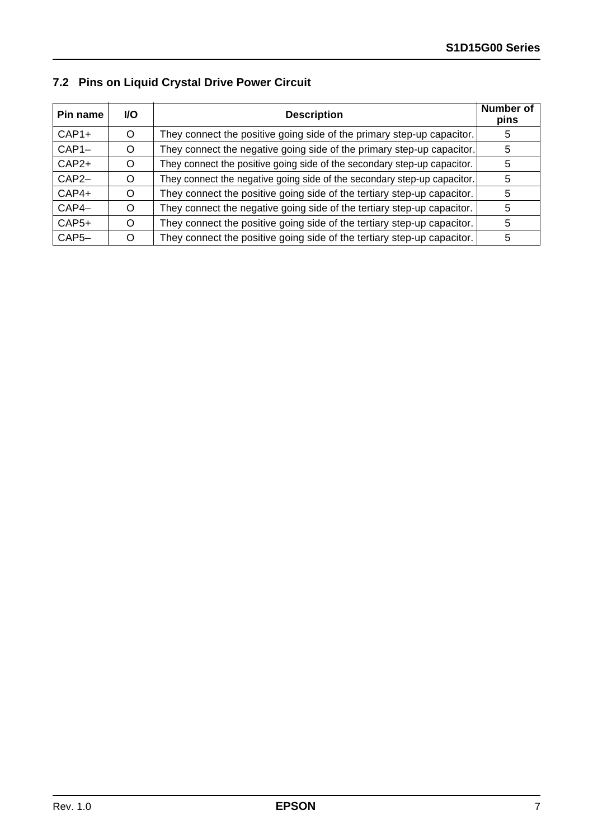|  | 7.2 Pins on Liquid Crystal Drive Power Circuit |  |  |  |  |  |
|--|------------------------------------------------|--|--|--|--|--|
|--|------------------------------------------------|--|--|--|--|--|

| Pin name           | <b>VO</b> | <b>Description</b>                                                       | Number of<br>pins |
|--------------------|-----------|--------------------------------------------------------------------------|-------------------|
| $CAP1+$            | O         | They connect the positive going side of the primary step-up capacitor.   | 5                 |
| $CAP1-$            | O         | They connect the negative going side of the primary step-up capacitor.   | 5                 |
| $CAP2+$            | O         | They connect the positive going side of the secondary step-up capacitor. | 5                 |
| $CAP2-$            | O         | They connect the negative going side of the secondary step-up capacitor. | 5                 |
| $CAP4+$            |           | They connect the positive going side of the tertiary step-up capacitor.  | 5                 |
| $CAP4-$            | O         | They connect the negative going side of the tertiary step-up capacitor.  | 5                 |
| $CAP5+$            |           | They connect the positive going side of the tertiary step-up capacitor.  | 5                 |
| CAP <sub>5</sub> - |           | They connect the positive going side of the tertiary step-up capacitor.  | 5                 |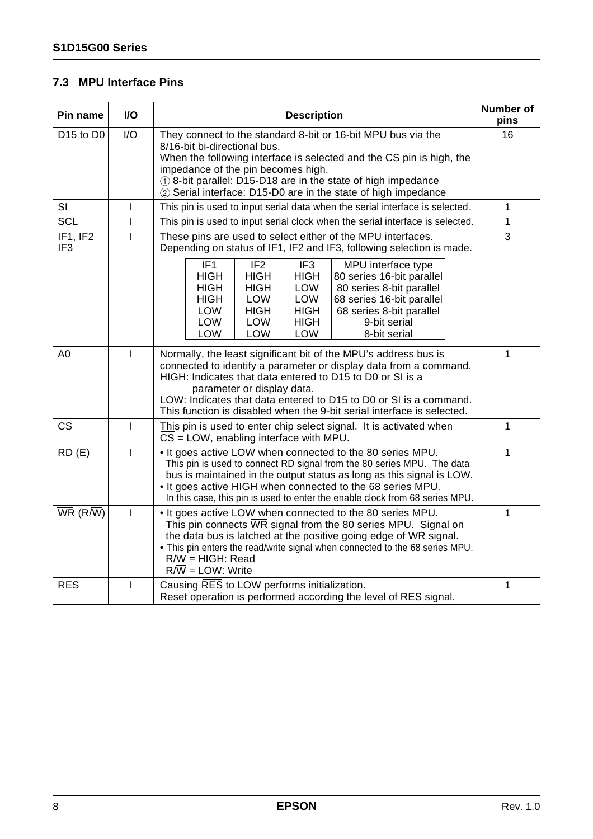## **7.3 MPU Interface Pins**

| Pin name                          | I/O          | <b>Description</b>                                                                                                                                                                                                                                                                                                                                                                                                                                                                                                                                                                                      | Number of<br>pins |
|-----------------------------------|--------------|---------------------------------------------------------------------------------------------------------------------------------------------------------------------------------------------------------------------------------------------------------------------------------------------------------------------------------------------------------------------------------------------------------------------------------------------------------------------------------------------------------------------------------------------------------------------------------------------------------|-------------------|
| D <sub>15</sub> to D <sub>0</sub> | I/O          | They connect to the standard 8-bit or 16-bit MPU bus via the<br>8/16-bit bi-directional bus.<br>When the following interface is selected and the CS pin is high, the<br>impedance of the pin becomes high.<br>1) 8-bit parallel: D15-D18 are in the state of high impedance<br>2 Serial interface: D15-D0 are in the state of high impedance                                                                                                                                                                                                                                                            | 16                |
| SI                                | L            | This pin is used to input serial data when the serial interface is selected.                                                                                                                                                                                                                                                                                                                                                                                                                                                                                                                            | 1                 |
| <b>SCL</b>                        |              | This pin is used to input serial clock when the serial interface is selected.                                                                                                                                                                                                                                                                                                                                                                                                                                                                                                                           | 1                 |
| IF1, IF2<br>IF <sub>3</sub>       |              | These pins are used to select either of the MPU interfaces.<br>Depending on status of IF1, IF2 and IF3, following selection is made.<br>IF <sub>1</sub><br>IF <sub>2</sub><br>IF <sub>3</sub><br>MPU interface type<br><b>HIGH</b><br><b>HIGH</b><br><b>HIGH</b><br>80 series 16-bit parallel<br><b>HIGH</b><br><b>HIGH</b><br>LOW<br>80 series 8-bit parallel<br><b>HIGH</b><br><b>LOW</b><br><b>LOW</b><br>68 series 16-bit parallel<br><b>HIGH</b><br><b>HIGH</b><br>LOW<br>68 series 8-bit parallel<br><b>LOW</b><br>LOW<br><b>HIGH</b><br>9-bit serial<br>LOW<br><b>LOW</b><br>LOW<br>8-bit serial | 3                 |
| A <sub>0</sub>                    | $\mathbf{I}$ | Normally, the least significant bit of the MPU's address bus is<br>connected to identify a parameter or display data from a command.<br>HIGH: Indicates that data entered to D15 to D0 or SI is a<br>parameter or display data.<br>LOW: Indicates that data entered to D15 to D0 or SI is a command.<br>This function is disabled when the 9-bit serial interface is selected.                                                                                                                                                                                                                          | 1                 |
| $\overline{\text{CS}}$            | $\mathbf{I}$ | This pin is used to enter chip select signal. It is activated when<br>$CS = LOW$ , enabling interface with MPU.                                                                                                                                                                                                                                                                                                                                                                                                                                                                                         | $\mathbf{1}$      |
| $\overline{RD}$ (E)               |              | . It goes active LOW when connected to the 80 series MPU.<br>This pin is used to connect RD signal from the 80 series MPU. The data<br>bus is maintained in the output status as long as this signal is LOW.<br>. It goes active HIGH when connected to the 68 series MPU.<br>In this case, this pin is used to enter the enable clock from 68 series MPU.                                                                                                                                                                                                                                              | 1                 |
| $\overline{\mathsf{WR}}$ (R/W)    | L            | . It goes active LOW when connected to the 80 series MPU.<br>This pin connects $\overline{\text{WR}}$ signal from the 80 series MPU. Signal on<br>the data bus is latched at the positive going edge of $\overline{WR}$ signal.<br>. This pin enters the read/write signal when connected to the 68 series MPU.<br>$R/\overline{W}$ = HIGH: Read<br>$R/\overline{W}$ = LOW: Write                                                                                                                                                                                                                       | 1                 |
| <b>RES</b>                        | L            | Causing RES to LOW performs initialization.<br>Reset operation is performed according the level of RES signal.                                                                                                                                                                                                                                                                                                                                                                                                                                                                                          | 1                 |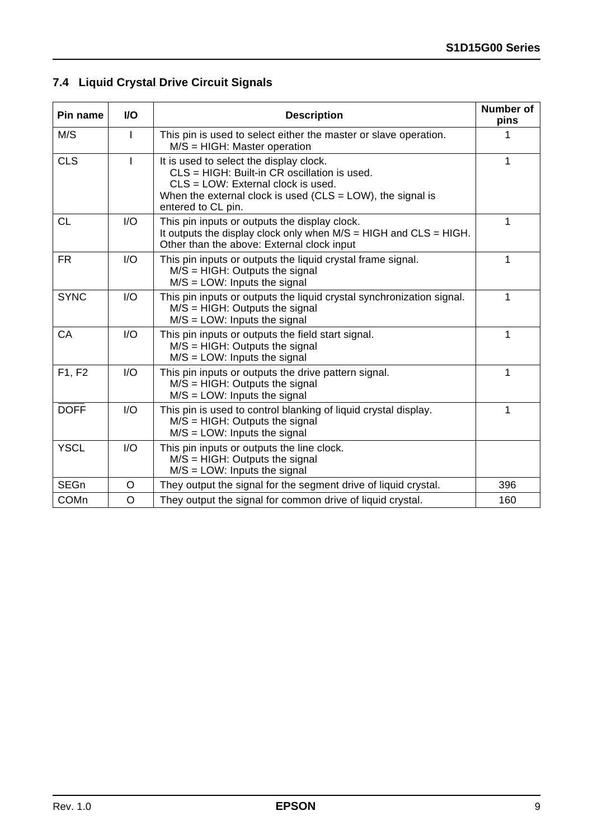## **7.4 Liquid Crystal Drive Circuit Signals**

| Pin name    | <b>VO</b> | <b>Description</b>                                                                                                                                                                                                   | <b>Number of</b><br>pins |
|-------------|-----------|----------------------------------------------------------------------------------------------------------------------------------------------------------------------------------------------------------------------|--------------------------|
| M/S         |           | This pin is used to select either the master or slave operation.<br>$M/S = HIGH$ : Master operation                                                                                                                  |                          |
| <b>CLS</b>  |           | It is used to select the display clock.<br>CLS = HIGH: Built-in CR oscillation is used.<br>$CLS = LOW$ : External clock is used.<br>When the external clock is used (CLS = LOW), the signal is<br>entered to CL pin. | 1                        |
| <b>CL</b>   | I/O       | This pin inputs or outputs the display clock.<br>It outputs the display clock only when $M/S = HIGH$ and $CLS = HIGH$ .<br>Other than the above: External clock input                                                | 1                        |
| <b>FR</b>   | I/O       | This pin inputs or outputs the liquid crystal frame signal.<br>$M/S = HIGH$ : Outputs the signal<br>$M/S = LOW$ : Inputs the signal                                                                                  | 1                        |
| <b>SYNC</b> | I/O       | This pin inputs or outputs the liquid crystal synchronization signal.<br>$M/S = HIGH$ : Outputs the signal<br>$M/S = LOW$ : Inputs the signal                                                                        | 1                        |
| CA          | 1/O       | This pin inputs or outputs the field start signal.<br>$M/S = HIGH$ : Outputs the signal<br>$M/S = LOW$ : Inputs the signal                                                                                           | 1                        |
| F1, F2      | I/O       | This pin inputs or outputs the drive pattern signal.<br>$M/S = HIGH$ : Outputs the signal<br>$M/S = LOW$ : Inputs the signal                                                                                         | 1                        |
| <b>DOFF</b> | I/O       | This pin is used to control blanking of liquid crystal display.<br>$M/S = HIGH$ : Outputs the signal<br>$M/S = LOW$ : Inputs the signal                                                                              | 1                        |
| <b>YSCL</b> | I/O       | This pin inputs or outputs the line clock.<br>$M/S = HIGH$ : Outputs the signal<br>$M/S = LOW$ : Inputs the signal                                                                                                   |                          |
| <b>SEGn</b> | O         | They output the signal for the segment drive of liquid crystal.                                                                                                                                                      | 396                      |
| <b>COMn</b> | $\circ$   | They output the signal for common drive of liquid crystal.                                                                                                                                                           | 160                      |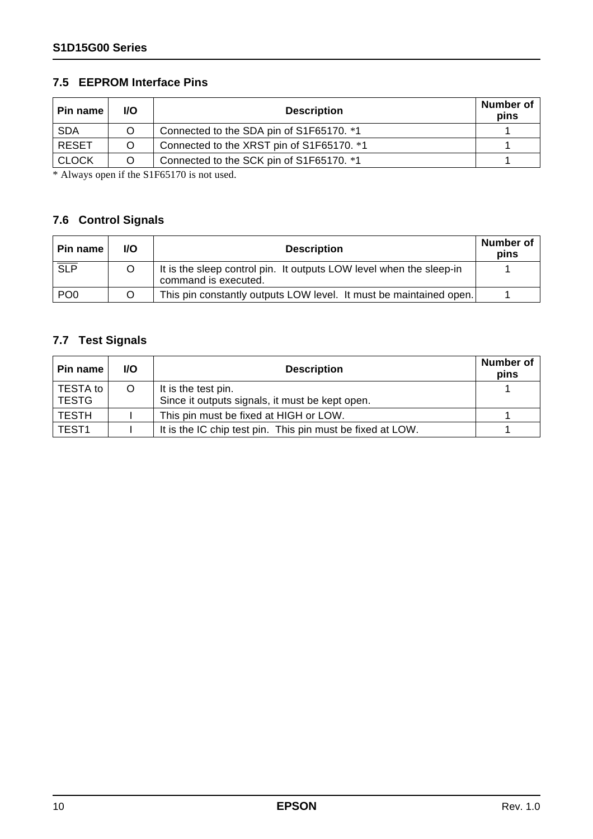### **7.5 EEPROM Interface Pins**

| ⊦Pin name    | I/O | <b>Description</b>                        | Number of<br>pins |
|--------------|-----|-------------------------------------------|-------------------|
| <b>SDA</b>   |     | Connected to the SDA pin of S1F65170. *1  |                   |
| <b>RESET</b> |     | Connected to the XRST pin of S1F65170. *1 |                   |
| <b>CLOCK</b> |     | Connected to the SCK pin of S1F65170. *1  |                   |

\* Always open if the S1F65170 is not used.

## **7.6 Control Signals**

| Pin name         | <b>I/O</b> | <b>Description</b>                                                                          | Number of<br>pins |
|------------------|------------|---------------------------------------------------------------------------------------------|-------------------|
| $\overline{SLP}$ |            | It is the sleep control pin. It outputs LOW level when the sleep-in<br>command is executed. |                   |
| PO <sub>0</sub>  |            | This pin constantly outputs LOW level. It must be maintained open.                          |                   |

## **7.7 Test Signals**

| <b>Pin name</b>   | <b>I/O</b> | <b>Description</b>                                                     | <b>Number of</b><br>pins |
|-------------------|------------|------------------------------------------------------------------------|--------------------------|
| TESTA to<br>TESTG | O          | It is the test pin.<br>Since it outputs signals, it must be kept open. |                          |
| <b>TESTH</b>      |            | This pin must be fixed at HIGH or LOW.                                 |                          |
| <b>TEST1</b>      |            | It is the IC chip test pin. This pin must be fixed at LOW.             |                          |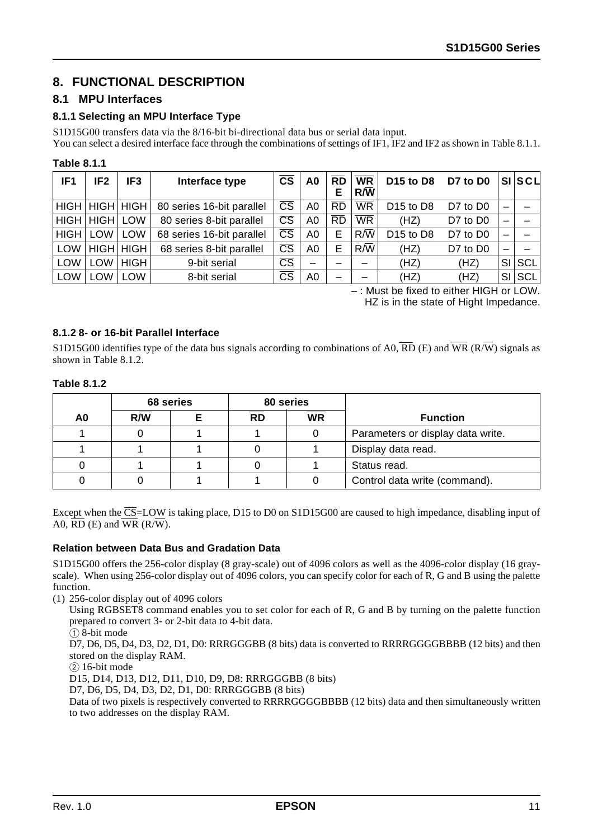## **8. FUNCTIONAL DESCRIPTION**

#### **8.1 MPU Interfaces**

#### **8.1.1 Selecting an MPU Interface Type**

S1D15G00 transfers data via the 8/16-bit bi-directional data bus or serial data input.

You can select a desired interface face through the combinations of settings of IF1, IF2 and IF2 as shown in Table 8.1.1.

#### **Table 8.1.1**

| IF <sub>1</sub> | IF <sub>2</sub>    | IF <sub>3</sub> | Interface type            | <b>CS</b>              | A0             | <b>RD</b><br>Е | <b>WR</b><br>$R/\bar{W}$ | D <sub>15</sub> to D <sub>8</sub> | D7 to D0 |    | $SI$ $SCI$ |
|-----------------|--------------------|-----------------|---------------------------|------------------------|----------------|----------------|--------------------------|-----------------------------------|----------|----|------------|
|                 | HIGH   HIGH   HIGH |                 | 80 series 16-bit parallel | $\overline{\text{CS}}$ | A0             | <b>RD</b>      | <b>WR</b>                | D <sub>15</sub> to D <sub>8</sub> | D7 to D0 |    |            |
|                 | HIGH   HIGH        | LOW             | 80 series 8-bit parallel  | $\overline{\text{CS}}$ | A <sub>0</sub> | <b>RD</b>      | $\overline{\text{WR}}$   | (HZ)                              | D7 to D0 |    |            |
| HIGH            | LOW                | <b>LOW</b>      | 68 series 16-bit parallel | $\overline{\text{CS}}$ | A <sub>0</sub> | Е              | $R/\overline{W}$         | D <sub>15</sub> to D <sub>8</sub> | D7 to D0 |    |            |
| LOW             |                    | HIGH HIGH       | 68 series 8-bit parallel  | $\overline{\text{CS}}$ | A <sub>0</sub> | Е              | $R/\overline{W}$         | (HZ)                              | D7 to D0 |    |            |
| <b>LOW</b>      | LOW                | <b>HIGH</b>     | 9-bit serial              | $\overline{\text{CS}}$ |                |                |                          | (HZ)                              | (HZ)     | SI | SCL        |
| <b>LOW</b>      | LOW                | LOW             | 8-bit serial              | $\overline{\text{CS}}$ | A <sub>0</sub> |                |                          | (HZ)                              | (HZ)     | SI | SCL        |

– : Must be fixed to either HIGH or LOW.

HZ is in the state of Hight Impedance.

#### **8.1.2 8- or 16-bit Parallel Interface**

S1D15G00 identifies type of the data bus signals according to combinations of A0,  $\overline{RD}$  (E) and  $\overline{WR}$  (R $\overline{W}$ ) signals as shown in Table 8.1.2.

#### **Table 8.1.2**

|    |     | 68 series |           | 80 series |                                   |
|----|-----|-----------|-----------|-----------|-----------------------------------|
| A0 | R/W |           | <b>RD</b> | <b>WR</b> | <b>Function</b>                   |
|    |     |           |           |           | Parameters or display data write. |
|    |     |           |           |           | Display data read.                |
|    |     |           |           |           | Status read.                      |
|    |     |           |           |           | Control data write (command).     |

Except when the  $\overline{CS}$ =LOW is taking place, D15 to D0 on S1D15G00 are caused to high impedance, disabling input of A0,  $\overline{RD}$  (E) and  $\overline{WR}$  (R/ $\overline{W}$ ).

#### **Relation between Data Bus and Gradation Data**

S1D15G00 offers the 256-color display (8 gray-scale) out of 4096 colors as well as the 4096-color display (16 grayscale). When using 256-color display out of 4096 colors, you can specify color for each of R, G and B using the palette function.

(1) 256-color display out of 4096 colors

Using RGBSET8 command enables you to set color for each of R, G and B by turning on the palette function prepared to convert 3- or 2-bit data to 4-bit data.

 $(1)$  8-bit mode

D7, D6, D5, D4, D3, D2, D1, D0: RRRGGGBB (8 bits) data is converted to RRRRGGGGBBBB (12 bits) and then stored on the display RAM.

 $(2)$  16-bit mode

D15, D14, D13, D12, D11, D10, D9, D8: RRRGGGBB (8 bits)

D7, D6, D5, D4, D3, D2, D1, D0: RRRGGGBB (8 bits)

Data of two pixels is respectively converted to RRRRGGGGBBBB (12 bits) data and then simultaneously written to two addresses on the display RAM.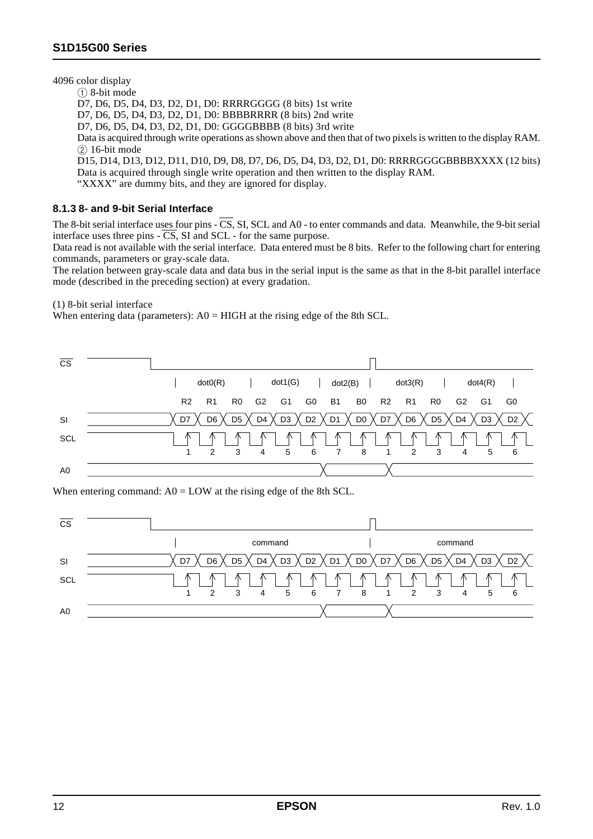4096 color display

 $(1)$  8-bit mode D7, D6, D5, D4, D3, D2, D1, D0: RRRRGGGG (8 bits) 1st write D7, D6, D5, D4, D3, D2, D1, D0: BBBBRRRR (8 bits) 2nd write D7, D6, D5, D4, D3, D2, D1, D0: GGGGBBBB (8 bits) 3rd write Data is acquired through write operations as shown above and then that of two pixels is written to the display RAM.  $(2)$  16-bit mode D15, D14, D13, D12, D11, D10, D9, D8, D7, D6, D5, D4, D3, D2, D1, D0: RRRRGGGGBBBBXXXX (12 bits) Data is acquired through single write operation and then written to the display RAM. "XXXX" are dummy bits, and they are ignored for display.

#### **8.1.3 8- and 9-bit Serial Interface**

The 8-bit serial interface uses four pins  $-\overline{CS}$ , SI, SCL and A0 - to enter commands and data. Meanwhile, the 9-bit serial interface uses three pins  $-\overline{CS}$ , SI and SCL - for the same purpose.

Data read is not available with the serial interface. Data entered must be 8 bits. Refer to the following chart for entering commands, parameters or gray-scale data.

The relation between gray-scale data and data bus in the serial input is the same as that in the 8-bit parallel interface mode (described in the preceding section) at every gradation.

(1) 8-bit serial interface

When entering data (parameters):  $AO = HIGH$  at the rising edge of the 8th SCL.



When entering command:  $A0 = LOW$  at the rising edge of the 8th SCL.

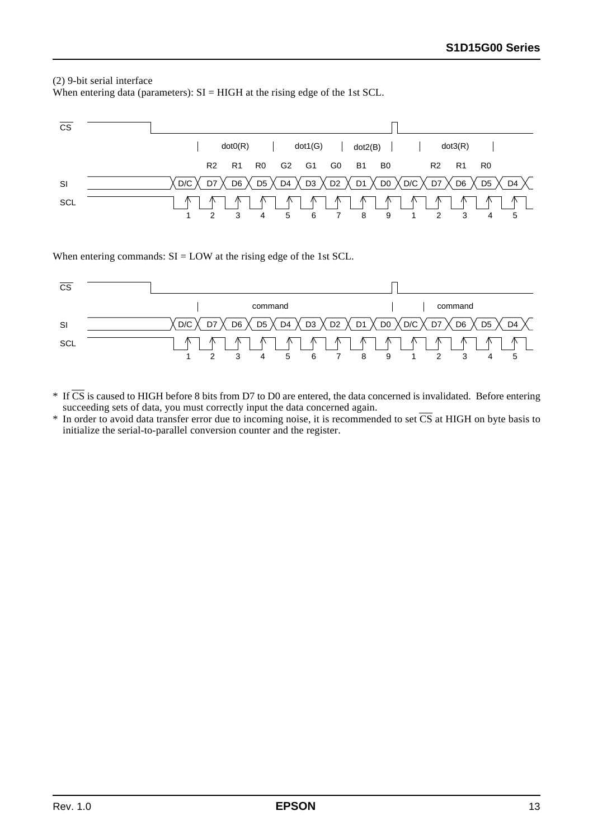#### (2) 9-bit serial interface

When entering data (parameters):  $SI = HIGH$  at the rising edge of the 1st SCL.



When entering commands:  $SI = LOW$  at the rising edge of the 1st SCL.



- $*$  If  $\overline{CS}$  is caused to HIGH before 8 bits from D7 to D0 are entered, the data concerned is invalidated. Before entering succeeding sets of data, you must correctly input the data concerned again.
- $*$  In order to avoid data transfer error due to incoming noise, it is recommended to set  $\overline{CS}$  at HIGH on byte basis to initialize the serial-to-parallel conversion counter and the register.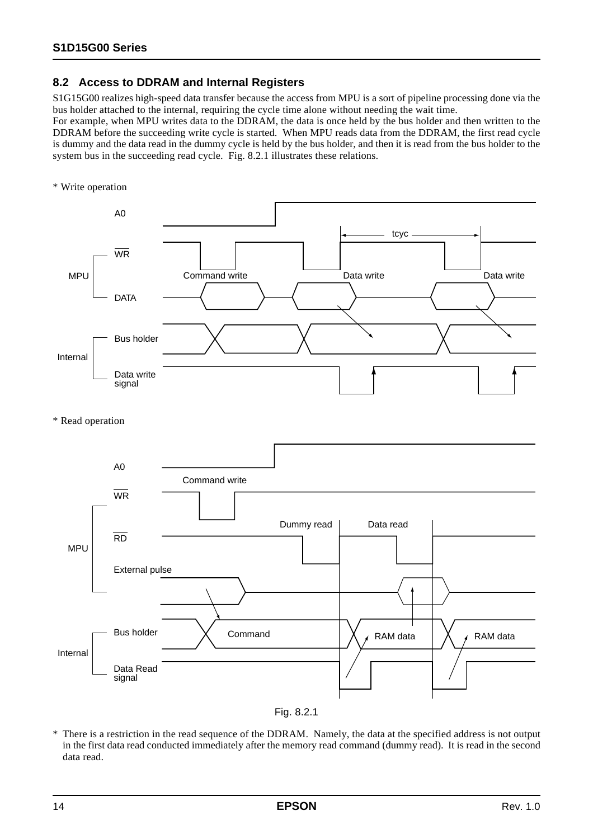## **8.2 Access to DDRAM and Internal Registers**

S1G15G00 realizes high-speed data transfer because the access from MPU is a sort of pipeline processing done via the bus holder attached to the internal, requiring the cycle time alone without needing the wait time.

For example, when MPU writes data to the DDRAM, the data is once held by the bus holder and then written to the DDRAM before the succeeding write cycle is started. When MPU reads data from the DDRAM, the first read cycle is dummy and the data read in the dummy cycle is held by the bus holder, and then it is read from the bus holder to the system bus in the succeeding read cycle. Fig. 8.2.1 illustrates these relations.

\* Write operation







<sup>\*</sup> There is a restriction in the read sequence of the DDRAM. Namely, the data at the specified address is not output in the first data read conducted immediately after the memory read command (dummy read). It is read in the second data read.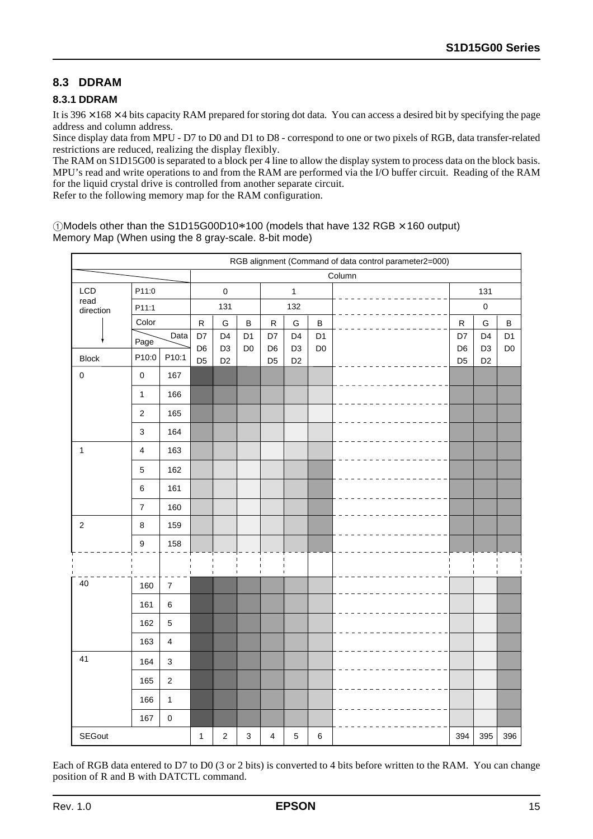## **8.3 DDRAM**

#### **8.3.1 DDRAM**

It is  $396 \times 168 \times 4$  bits capacity RAM prepared for storing dot data. You can access a desired bit by specifying the page address and column address.

Since display data from MPU - D7 to D0 and D1 to D8 - correspond to one or two pixels of RGB, data transfer-related restrictions are reduced, realizing the display flexibly.

The RAM on S1D15G00 is separated to a block per 4 line to allow the display system to process data on the block basis. MPU's read and write operations to and from the RAM are performed via the I/O buffer circuit. Reading of the RAM for the liquid crystal drive is controlled from another separate circuit.

Refer to the following memory map for the RAM configuration.

 $10$ Models other than the S1D15G00D10 $*100$  (models that have 132 RGB  $\times$  160 output) Memory Map (When using the 8 gray-scale. 8-bit mode)

|                   |               |                         |                           |                                                                                                                                              |                                  |                | RGB alignment (Command of data control parameter2=000) |                                  |                |        |                      |                                  |                |  |
|-------------------|---------------|-------------------------|---------------------------|----------------------------------------------------------------------------------------------------------------------------------------------|----------------------------------|----------------|--------------------------------------------------------|----------------------------------|----------------|--------|----------------------|----------------------------------|----------------|--|
|                   |               |                         |                           |                                                                                                                                              |                                  |                |                                                        |                                  |                | Column |                      |                                  |                |  |
| LCD               |               | P11:0                   |                           |                                                                                                                                              | $\mathbf 0$                      |                |                                                        | $\mathbf{1}$                     |                |        |                      | 131                              |                |  |
| read<br>direction |               | P11:1                   |                           |                                                                                                                                              | 131                              |                |                                                        | 132                              |                |        |                      | $\mathbf 0$                      |                |  |
|                   |               | Color                   |                           | ${\sf R}$                                                                                                                                    | ${\mathsf G}$                    | B              | ${\sf R}$                                              | ${\mathsf G}$                    | В              |        | ${\sf R}$            | G                                | B              |  |
|                   |               | Data<br>Page            |                           | D7                                                                                                                                           | D <sub>4</sub><br>D <sub>3</sub> | D <sub>1</sub> | D7                                                     | D <sub>4</sub><br>D <sub>3</sub> | D <sub>1</sub> |        | D7<br>D <sub>6</sub> | D <sub>4</sub><br>D <sub>3</sub> | D <sub>1</sub> |  |
| <b>Block</b>      |               | P10:0<br>P10:1          |                           | D <sub>6</sub><br>D <sub>6</sub><br>D <sub>0</sub><br>D <sub>0</sub><br>D <sub>5</sub><br>D <sub>5</sub><br>D <sub>2</sub><br>D <sub>2</sub> |                                  |                |                                                        |                                  |                |        |                      |                                  | D <sub>0</sub> |  |
| $\pmb{0}$         |               | $\pmb{0}$               | 167                       |                                                                                                                                              |                                  |                |                                                        |                                  |                |        | D <sub>5</sub>       | D <sub>2</sub>                   |                |  |
|                   |               | $\mathbf 1$             | 166                       |                                                                                                                                              |                                  |                |                                                        |                                  |                |        |                      |                                  |                |  |
|                   |               | $\sqrt{2}$              | 165                       |                                                                                                                                              |                                  |                |                                                        |                                  |                |        |                      |                                  |                |  |
|                   |               | $\mathsf 3$             | 164                       |                                                                                                                                              |                                  |                |                                                        |                                  |                |        |                      |                                  |                |  |
| 1                 |               | $\overline{\mathbf{4}}$ | 163                       |                                                                                                                                              |                                  |                |                                                        |                                  |                |        |                      |                                  |                |  |
|                   |               | $\mathbf 5$             | 162                       |                                                                                                                                              |                                  |                |                                                        |                                  |                |        |                      |                                  |                |  |
|                   |               | 6                       | 161                       |                                                                                                                                              |                                  |                |                                                        |                                  |                |        |                      |                                  |                |  |
|                   |               | $\boldsymbol{7}$        | 160                       |                                                                                                                                              |                                  |                |                                                        |                                  |                |        |                      |                                  |                |  |
| $\sqrt{2}$        |               | $\bf 8$                 | 159                       |                                                                                                                                              |                                  |                |                                                        |                                  |                |        |                      |                                  |                |  |
|                   |               | $\boldsymbol{9}$        | 158                       |                                                                                                                                              |                                  |                |                                                        |                                  |                |        |                      |                                  |                |  |
|                   |               |                         |                           |                                                                                                                                              |                                  |                |                                                        |                                  |                |        |                      |                                  |                |  |
| 40                |               | 160                     | $\overline{7}$            |                                                                                                                                              |                                  |                |                                                        |                                  |                |        |                      |                                  |                |  |
|                   |               | 161                     | $\,6\,$                   |                                                                                                                                              |                                  |                |                                                        |                                  |                |        |                      |                                  |                |  |
|                   |               | 162                     | $\overline{5}$            |                                                                                                                                              |                                  |                |                                                        |                                  |                |        |                      |                                  |                |  |
|                   |               | 163                     | $\overline{\mathbf{4}}$   |                                                                                                                                              |                                  |                |                                                        |                                  |                |        |                      |                                  |                |  |
| 41                |               | 164                     | $\ensuremath{\mathsf{3}}$ |                                                                                                                                              |                                  |                |                                                        |                                  |                |        |                      |                                  |                |  |
|                   |               | 165                     | $\boldsymbol{2}$          |                                                                                                                                              |                                  |                |                                                        |                                  |                |        |                      |                                  |                |  |
|                   |               | 166                     | $\mathbf{1}$              |                                                                                                                                              |                                  |                |                                                        |                                  |                |        |                      |                                  |                |  |
|                   |               | 167                     | $\mathbf 0$               |                                                                                                                                              |                                  |                |                                                        |                                  |                |        |                      |                                  |                |  |
|                   | <b>SEGout</b> |                         |                           |                                                                                                                                              | $\boldsymbol{2}$                 | 3              | 4                                                      | $\sqrt{5}$                       | 6              |        | 394                  | 395                              | 396            |  |

Each of RGB data entered to D7 to D0 (3 or 2 bits) is converted to 4 bits before written to the RAM. You can change position of R and B with DATCTL command.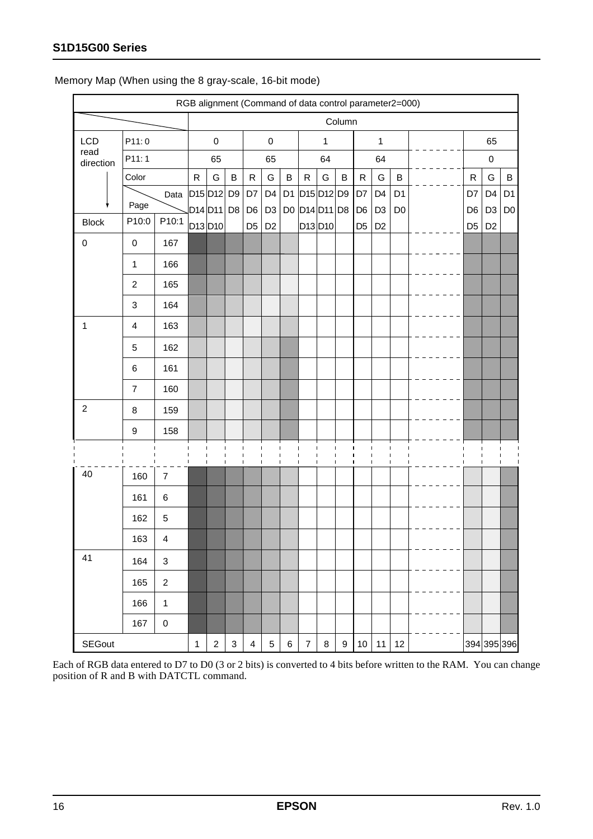|                   |               |                         |                  |                                           |                |                |                                  |                                  |         |                                                  |                |                  |                                  |                                  | RGB alignment (Command of data control parameter2=000) |  |  |  |                                  |                                  |                |
|-------------------|---------------|-------------------------|------------------|-------------------------------------------|----------------|----------------|----------------------------------|----------------------------------|---------|--------------------------------------------------|----------------|------------------|----------------------------------|----------------------------------|--------------------------------------------------------|--|--|--|----------------------------------|----------------------------------|----------------|
|                   |               |                         |                  |                                           |                |                |                                  |                                  |         |                                                  |                | Column           |                                  |                                  |                                                        |  |  |  |                                  |                                  |                |
| LCD               |               | P11:0                   |                  |                                           | $\mathbf 0$    |                |                                  | $\mathbf 0$                      |         |                                                  | $\mathbf{1}$   |                  |                                  | $\mathbf{1}$                     |                                                        |  |  |  |                                  | 65                               |                |
| read<br>direction |               | P11:1                   |                  |                                           | 65             |                | 65                               |                                  | 64      |                                                  | 64             |                  |                                  |                                  | $\pmb{0}$                                              |  |  |  |                                  |                                  |                |
|                   |               | Color                   |                  | ${\sf R}$                                 | G              | B              | $\mathsf R$                      | G                                | $\sf B$ | ${\sf R}$                                        | G              | $\sf B$          | ${\sf R}$                        | G                                | B                                                      |  |  |  | $\mathsf{R}$                     | G                                | B              |
|                   |               | Page                    | Data             | D <sub>15</sub> D <sub>12</sub>           |                | D <sub>9</sub> | D7                               | D <sub>4</sub>                   |         | D1 D15 D12 D9                                    |                |                  | D7                               | D <sub>4</sub>                   | D <sub>1</sub>                                         |  |  |  | D7                               | D <sub>4</sub>                   | D <sub>1</sub> |
| <b>Block</b>      |               | P10:0                   | P10:1            | D14D11<br>D <sub>13</sub> D <sub>10</sub> |                | D <sub>8</sub> | D <sub>6</sub><br>D <sub>5</sub> | D <sub>3</sub><br>D <sub>2</sub> |         | D0 D14 D11 D8<br>D <sub>13</sub> D <sub>10</sub> |                |                  | D <sub>6</sub><br>D <sub>5</sub> | D <sub>3</sub><br>D <sub>2</sub> | D <sub>0</sub>                                         |  |  |  | D <sub>6</sub><br>D <sub>5</sub> | D <sub>3</sub><br>D <sub>2</sub> | D <sub>0</sub> |
| 0                 |               | $\pmb{0}$               | 167              |                                           |                |                |                                  |                                  |         |                                                  |                |                  |                                  |                                  |                                                        |  |  |  |                                  |                                  |                |
|                   |               | $\mathbf{1}$            | 166              |                                           |                |                |                                  |                                  |         |                                                  |                |                  |                                  |                                  |                                                        |  |  |  |                                  |                                  |                |
|                   |               | $\boldsymbol{2}$        | 165              |                                           |                |                |                                  |                                  |         |                                                  |                |                  |                                  |                                  |                                                        |  |  |  |                                  |                                  |                |
|                   |               | $\mathsf 3$             | 164              |                                           |                |                |                                  |                                  |         |                                                  |                |                  |                                  |                                  |                                                        |  |  |  |                                  |                                  |                |
| 1                 |               | $\overline{\mathbf{4}}$ | 163              |                                           |                |                |                                  |                                  |         |                                                  |                |                  |                                  |                                  |                                                        |  |  |  |                                  |                                  |                |
|                   |               | $\mathbf 5$             | 162              |                                           |                |                |                                  |                                  |         |                                                  |                |                  |                                  |                                  |                                                        |  |  |  |                                  |                                  |                |
|                   |               | $\,6$                   | 161              |                                           |                |                |                                  |                                  |         |                                                  |                |                  |                                  |                                  |                                                        |  |  |  |                                  |                                  |                |
|                   |               | $\overline{7}$          | 160              |                                           |                |                |                                  |                                  |         |                                                  |                |                  |                                  |                                  |                                                        |  |  |  |                                  |                                  |                |
| $\boldsymbol{2}$  |               |                         |                  |                                           |                |                |                                  |                                  |         |                                                  |                |                  |                                  |                                  |                                                        |  |  |  |                                  |                                  |                |
|                   |               | 8                       | 159              |                                           |                |                |                                  |                                  |         |                                                  |                |                  |                                  |                                  |                                                        |  |  |  |                                  |                                  |                |
|                   |               | $\boldsymbol{9}$        | 158              |                                           |                |                | п                                | -1                               |         | $\mathbf{I}$<br>$\blacksquare$                   | $\blacksquare$ | $\blacksquare$   |                                  |                                  | $\mathbf{I}$                                           |  |  |  |                                  |                                  |                |
|                   |               |                         |                  |                                           |                |                |                                  |                                  |         |                                                  |                |                  |                                  |                                  |                                                        |  |  |  |                                  |                                  |                |
| 40                |               | 160                     | $\boldsymbol{7}$ |                                           |                |                |                                  |                                  |         |                                                  |                |                  |                                  |                                  |                                                        |  |  |  |                                  |                                  |                |
|                   |               | 161                     | $\,6$            |                                           |                |                |                                  |                                  |         |                                                  |                |                  |                                  |                                  |                                                        |  |  |  |                                  |                                  |                |
|                   |               | 162                     | $\mathbf 5$      |                                           |                |                |                                  |                                  |         |                                                  |                |                  |                                  |                                  |                                                        |  |  |  |                                  |                                  |                |
|                   |               | 163                     | 4                |                                           |                |                |                                  |                                  |         |                                                  |                |                  |                                  |                                  |                                                        |  |  |  |                                  |                                  |                |
| 41                |               | 164                     | $\mathsf 3$      |                                           |                |                |                                  |                                  |         |                                                  |                |                  |                                  |                                  |                                                        |  |  |  |                                  |                                  |                |
|                   |               | 165                     | $\boldsymbol{2}$ |                                           |                |                |                                  |                                  |         |                                                  |                |                  |                                  |                                  |                                                        |  |  |  |                                  |                                  |                |
|                   |               | 166                     | $\mathbf 1$      |                                           |                |                |                                  |                                  |         |                                                  |                |                  |                                  |                                  |                                                        |  |  |  |                                  |                                  |                |
|                   |               | 167                     | $\pmb{0}$        |                                           |                |                |                                  |                                  |         |                                                  |                |                  |                                  |                                  |                                                        |  |  |  |                                  |                                  |                |
|                   | <b>SEGout</b> |                         |                  | 1                                         | $\overline{c}$ | 3              | $\overline{\mathbf{4}}$          | 5                                | $\,6\,$ | $\boldsymbol{7}$                                 | $\bf8$         | $\boldsymbol{9}$ | $10\,$                           | 11                               | 12                                                     |  |  |  |                                  | 394 395 396                      |                |

Memory Map (When using the 8 gray-scale, 16-bit mode)

Each of RGB data entered to D7 to D0 (3 or 2 bits) is converted to 4 bits before written to the RAM. You can change position of R and B with DATCTL command.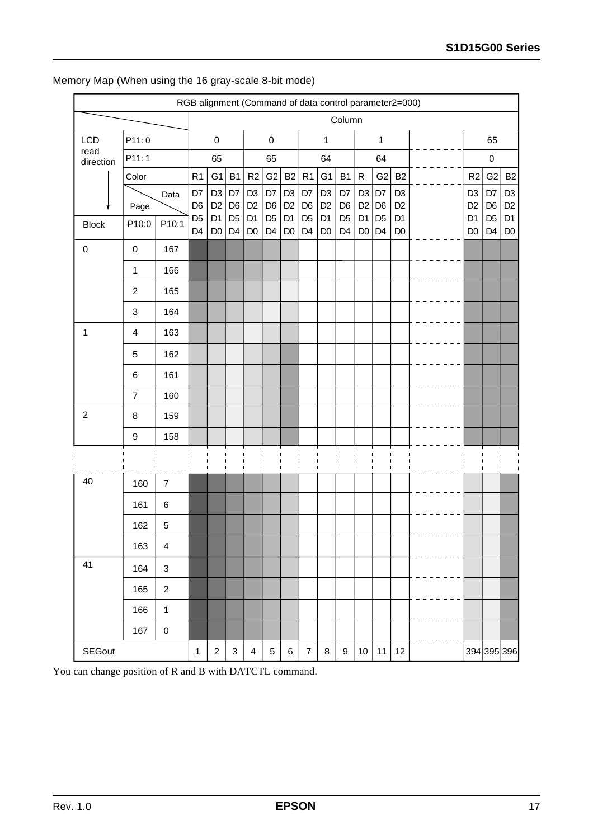|                   |                  |                           |                                  | RGB alignment (Command of data control parameter2=000) |                                  |                                  |                                  |                                  |                                  |                                  |                                  |                                  |                                  |                                  |  |  |                                  |                                  |                                  |
|-------------------|------------------|---------------------------|----------------------------------|--------------------------------------------------------|----------------------------------|----------------------------------|----------------------------------|----------------------------------|----------------------------------|----------------------------------|----------------------------------|----------------------------------|----------------------------------|----------------------------------|--|--|----------------------------------|----------------------------------|----------------------------------|
|                   |                  |                           |                                  |                                                        |                                  |                                  |                                  |                                  |                                  |                                  | Column                           |                                  |                                  |                                  |  |  |                                  |                                  |                                  |
| <b>LCD</b>        | P11:0            |                           |                                  | $\pmb{0}$                                              |                                  |                                  | $\pmb{0}$                        |                                  |                                  | 1                                |                                  |                                  | $\mathbf{1}$                     |                                  |  |  |                                  | 65                               |                                  |
| read<br>direction | P11:1            |                           |                                  | 65                                                     |                                  | 65                               |                                  |                                  | 64                               |                                  |                                  | 64                               |                                  |                                  |  |  |                                  | 0                                |                                  |
|                   | Color            |                           | R <sub>1</sub>                   | G <sub>1</sub>                                         | <b>B1</b>                        | R2                               | G2                               | <b>B2</b>                        | R1                               | G <sub>1</sub>                   | <b>B1</b>                        | ${\sf R}$                        | G <sub>2</sub>                   | B <sub>2</sub>                   |  |  | R <sub>2</sub>                   | G <sub>2</sub>                   | B <sub>2</sub>                   |
|                   | Page             | Data                      | D7<br>D <sub>6</sub>             | D <sub>3</sub><br>D <sub>2</sub>                       | D7<br>D <sub>6</sub>             | D <sub>3</sub><br>D <sub>2</sub> | D7<br>D <sub>6</sub>             | D <sub>3</sub><br>D <sub>2</sub> | D7<br>D <sub>6</sub>             | D <sub>3</sub><br>D <sub>2</sub> | D7<br>D <sub>6</sub>             | D <sub>3</sub><br>D <sub>2</sub> | D7<br>D <sub>6</sub>             | D <sub>3</sub><br>D <sub>2</sub> |  |  | D <sub>3</sub><br>D <sub>2</sub> | D7<br>D <sub>6</sub>             | D <sub>3</sub><br>D <sub>2</sub> |
| <b>Block</b>      | P10:0            | P10:1                     | D <sub>5</sub><br>D <sub>4</sub> | D <sub>1</sub><br>D <sub>0</sub>                       | D <sub>5</sub><br>D <sub>4</sub> | D <sub>1</sub><br>D <sub>0</sub> | D <sub>5</sub><br>D <sub>4</sub> | D <sub>1</sub><br>D <sub>0</sub> | D <sub>5</sub><br>D <sub>4</sub> | D <sub>1</sub><br>D <sub>0</sub> | D <sub>5</sub><br>D <sub>4</sub> | D <sub>1</sub><br>D <sub>0</sub> | D <sub>5</sub><br>D <sub>4</sub> | D <sub>1</sub><br>D <sub>0</sub> |  |  | D <sub>1</sub><br>D <sub>0</sub> | D <sub>5</sub><br>D <sub>4</sub> | D <sub>1</sub><br>D <sub>0</sub> |
| 0                 | $\pmb{0}$        | 167                       |                                  |                                                        |                                  |                                  |                                  |                                  |                                  |                                  |                                  |                                  |                                  |                                  |  |  |                                  |                                  |                                  |
|                   | $\mathbf 1$      | 166                       |                                  |                                                        |                                  |                                  |                                  |                                  |                                  |                                  |                                  |                                  |                                  |                                  |  |  |                                  |                                  |                                  |
|                   | $\boldsymbol{2}$ | 165                       |                                  |                                                        |                                  |                                  |                                  |                                  |                                  |                                  |                                  |                                  |                                  |                                  |  |  |                                  |                                  |                                  |
|                   | 3                | 164                       |                                  |                                                        |                                  |                                  |                                  |                                  |                                  |                                  |                                  |                                  |                                  |                                  |  |  |                                  |                                  |                                  |
| 1                 | $\overline{4}$   | 163                       |                                  |                                                        |                                  |                                  |                                  |                                  |                                  |                                  |                                  |                                  |                                  |                                  |  |  |                                  |                                  |                                  |
|                   | 5                | 162                       |                                  |                                                        |                                  |                                  |                                  |                                  |                                  |                                  |                                  |                                  |                                  |                                  |  |  |                                  |                                  |                                  |
|                   | $\,6$            | 161                       |                                  |                                                        |                                  |                                  |                                  |                                  |                                  |                                  |                                  |                                  |                                  |                                  |  |  |                                  |                                  |                                  |
|                   | $\overline{7}$   | 160                       |                                  |                                                        |                                  |                                  |                                  |                                  |                                  |                                  |                                  |                                  |                                  |                                  |  |  |                                  |                                  |                                  |
| $\overline{c}$    | 8                | 159                       |                                  |                                                        |                                  |                                  |                                  |                                  |                                  |                                  |                                  |                                  |                                  |                                  |  |  |                                  |                                  |                                  |
|                   | $\boldsymbol{9}$ | 158                       |                                  |                                                        |                                  |                                  |                                  |                                  |                                  |                                  |                                  |                                  |                                  |                                  |  |  |                                  |                                  |                                  |
|                   |                  |                           |                                  |                                                        | $\blacksquare$                   |                                  |                                  |                                  | ı                                |                                  | ı                                | $\mathbf I$<br>$\mathbf{I}$      | I                                |                                  |  |  |                                  |                                  |                                  |
| 40                | 160              | $\overline{7}$            |                                  |                                                        |                                  |                                  |                                  |                                  |                                  |                                  |                                  |                                  |                                  |                                  |  |  |                                  |                                  |                                  |
|                   | 161              | 6                         |                                  |                                                        |                                  |                                  |                                  |                                  |                                  |                                  |                                  |                                  |                                  |                                  |  |  |                                  |                                  |                                  |
|                   | 162              | $\mathbf 5$               |                                  |                                                        |                                  |                                  |                                  |                                  |                                  |                                  |                                  |                                  |                                  |                                  |  |  |                                  |                                  |                                  |
|                   | 163              | 4                         |                                  |                                                        |                                  |                                  |                                  |                                  |                                  |                                  |                                  |                                  |                                  |                                  |  |  |                                  |                                  |                                  |
| 41                | 164              | $\ensuremath{\mathsf{3}}$ |                                  |                                                        |                                  |                                  |                                  |                                  |                                  |                                  |                                  |                                  |                                  |                                  |  |  |                                  |                                  |                                  |
|                   | 165              | $\boldsymbol{2}$          |                                  |                                                        |                                  |                                  |                                  |                                  |                                  |                                  |                                  |                                  |                                  |                                  |  |  |                                  |                                  |                                  |
|                   | 166              | $\mathbf 1$               |                                  |                                                        |                                  |                                  |                                  |                                  |                                  |                                  |                                  |                                  |                                  |                                  |  |  |                                  |                                  |                                  |
|                   | 167              | $\mathbf 0$               |                                  |                                                        |                                  |                                  |                                  |                                  |                                  |                                  |                                  |                                  |                                  |                                  |  |  |                                  |                                  |                                  |
| <b>SEGout</b>     |                  |                           |                                  | $\overline{c}$                                         | 3                                | $\overline{\mathbf{4}}$          | $\mathbf 5$                      | $\,6$                            | $\boldsymbol{7}$                 | 8                                | $\boldsymbol{9}$                 | 10                               | 11                               | 12                               |  |  |                                  | 394 395 396                      |                                  |

## Memory Map (When using the 16 gray-scale 8-bit mode)

You can change position of R and B with DATCTL command.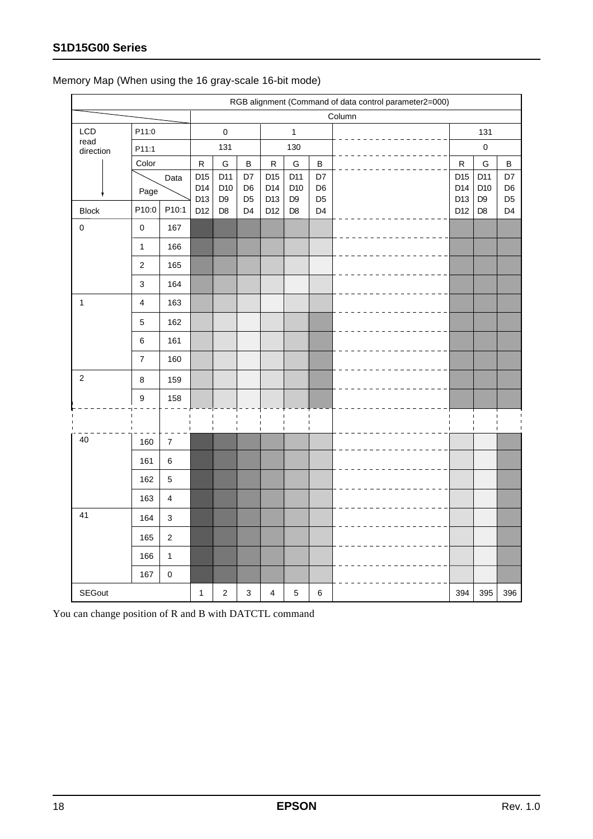|                   |                          |                         |                  |                        |                      |            |                |                      | RGB alignment (Command of data control parameter2=000) |                        |                        |                      |  |
|-------------------|--------------------------|-------------------------|------------------|------------------------|----------------------|------------|----------------|----------------------|--------------------------------------------------------|------------------------|------------------------|----------------------|--|
|                   |                          |                         |                  |                        |                      |            |                | Column               |                                                        |                        |                        |                      |  |
| LCD               | P11:0                    |                         |                  | $\mathbf 0$            |                      |            | $\mathbf{1}$   |                      |                                                        |                        |                        |                      |  |
| read<br>direction | P11:1                    |                         |                  | 131                    |                      |            | 130            |                      |                                                        |                        | $\pmb{0}$              |                      |  |
|                   | Color                    |                         | ${\sf R}$<br>D15 | G                      | $\sf B$              | ${\sf R}$  | ${\mathsf G}$  | $\sf B$              |                                                        | ${\sf R}$              | G                      | $\sf B$              |  |
|                   |                          | Data                    |                  | D11<br>D <sub>10</sub> | D7<br>D <sub>6</sub> | D15<br>D14 | D11<br>D10     | D7<br>D <sub>6</sub> |                                                        | D <sub>15</sub><br>D14 | D11<br>D <sub>10</sub> | D7<br>D <sub>6</sub> |  |
|                   | Page                     |                         | D14<br>D13       | D <sub>9</sub>         | D <sub>5</sub>       | D13        | D <sub>9</sub> | D <sub>5</sub>       |                                                        | D13                    | D <sub>9</sub>         | D <sub>5</sub>       |  |
| <b>Block</b>      | P10:0                    | P10:1                   | D12              | D <sub>8</sub>         | D <sub>4</sub>       | D12        | D <sub>8</sub> | D <sub>4</sub>       |                                                        | D12                    | D <sub>8</sub>         | D <sub>4</sub>       |  |
| $\mathbf 0$       | $\pmb{0}$                | 167                     |                  |                        |                      |            |                |                      |                                                        |                        |                        |                      |  |
|                   | $\mathbf{1}$             | 166                     |                  |                        |                      |            |                |                      |                                                        |                        |                        |                      |  |
|                   | $\sqrt{2}$               | 165                     |                  |                        |                      |            |                |                      |                                                        |                        |                        |                      |  |
|                   | $\mathsf 3$              | 164                     |                  |                        |                      |            |                |                      |                                                        |                        |                        |                      |  |
| $\mathbf{1}$      | $\overline{\mathbf{4}}$  | 163                     |                  |                        |                      |            |                |                      |                                                        |                        |                        |                      |  |
|                   | 5                        | 162                     |                  |                        |                      |            |                |                      |                                                        |                        |                        |                      |  |
|                   | $\,6\,$                  | 161                     |                  |                        |                      |            |                |                      |                                                        |                        |                        |                      |  |
|                   | $\overline{\mathcal{I}}$ | 160                     |                  |                        |                      |            |                |                      |                                                        |                        |                        |                      |  |
| $\overline{2}$    | 8                        | 159                     |                  |                        |                      |            |                |                      |                                                        |                        |                        |                      |  |
|                   | 9                        | 158                     |                  |                        |                      |            |                |                      |                                                        |                        |                        |                      |  |
|                   |                          |                         |                  |                        |                      |            |                |                      |                                                        |                        |                        |                      |  |
| 40                | 160                      | $\boldsymbol{7}$        |                  |                        |                      |            |                | $\mathbf{I}$         |                                                        |                        |                        |                      |  |
|                   | 161                      | $\,6\,$                 |                  |                        |                      |            |                |                      |                                                        |                        |                        |                      |  |
|                   | 162                      | $\sqrt{5}$              |                  |                        |                      |            |                |                      |                                                        |                        |                        |                      |  |
|                   | 163                      | $\overline{\mathbf{4}}$ |                  |                        |                      |            |                |                      |                                                        |                        |                        |                      |  |
| 41                | 164                      | $\mathbf{3}$            |                  |                        |                      |            |                |                      |                                                        |                        |                        |                      |  |
|                   | 165                      | $\sqrt{2}$              |                  |                        |                      |            |                |                      |                                                        |                        |                        |                      |  |
|                   | 166                      | $\mathbf{1}$            |                  |                        |                      |            |                |                      |                                                        |                        |                        |                      |  |
|                   | 167                      | $\mathbf 0$             |                  |                        |                      |            |                |                      |                                                        |                        |                        |                      |  |
| <b>SEGout</b>     |                          |                         |                  |                        | $\mathsf 3$          | 4          | $\sqrt{5}$     | $\,6\,$              |                                                        | 394                    | 395                    | 396                  |  |

## Memory Map (When using the 16 gray-scale 16-bit mode)

You can change position of R and B with DATCTL command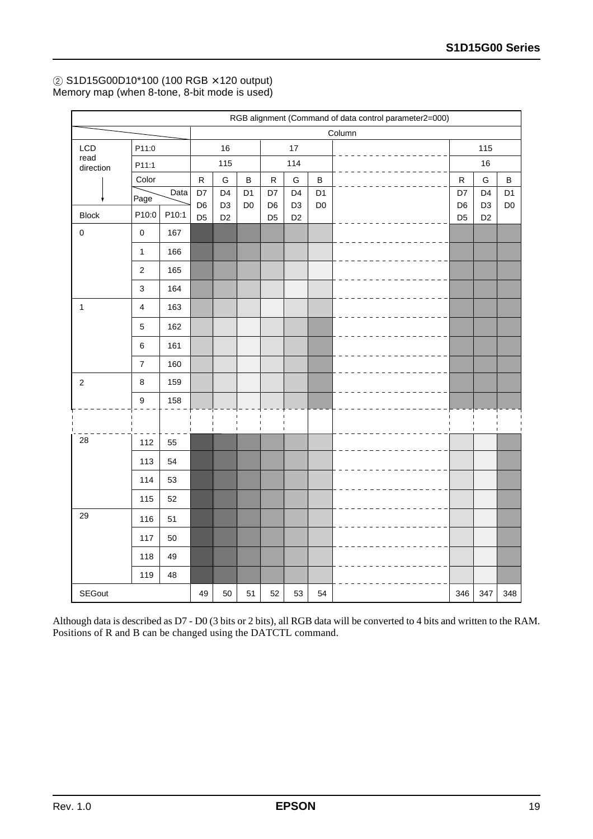#### 2 S1D15G00D10\*100 (100 RGB × 120 output) Memory map (when 8-tone, 8-bit mode is used)

|                   | RGB alignment (Command of data control parameter2=000) |       |                      |                                  |                                  |                                  |                                  |                                  |        |                                  |                                  |                                  |
|-------------------|--------------------------------------------------------|-------|----------------------|----------------------------------|----------------------------------|----------------------------------|----------------------------------|----------------------------------|--------|----------------------------------|----------------------------------|----------------------------------|
|                   |                                                        |       |                      |                                  |                                  |                                  |                                  |                                  | Column |                                  |                                  |                                  |
| LCD               | P11:0                                                  |       |                      | 16                               |                                  |                                  | 17                               |                                  |        |                                  | 115                              |                                  |
| read<br>direction | P11:1                                                  |       |                      | 115                              |                                  | 114                              |                                  |                                  |        | 16                               |                                  |                                  |
|                   | Color                                                  |       | ${\sf R}$            | G                                | $\, {\bf B}$                     | ${\sf R}$                        | G                                | $\sf B$                          |        | ${\sf R}$                        | ${\mathsf G}$                    | $\, {\bf B}$                     |
|                   | Page                                                   | Data  | D7<br>D <sub>6</sub> | D <sub>4</sub><br>D <sub>3</sub> | D <sub>1</sub><br>D <sub>0</sub> | D7                               | D <sub>4</sub><br>D <sub>3</sub> | D <sub>1</sub><br>D <sub>0</sub> |        | D7                               | D <sub>4</sub>                   | D <sub>1</sub><br>D <sub>0</sub> |
| <b>Block</b>      | P10:0                                                  | P10:1 | D <sub>5</sub>       | D <sub>2</sub>                   |                                  | D <sub>6</sub><br>D <sub>5</sub> | D <sub>2</sub>                   |                                  |        | D <sub>6</sub><br>D <sub>5</sub> | D <sub>3</sub><br>D <sub>2</sub> |                                  |
| $\pmb{0}$         | $\pmb{0}$                                              | 167   |                      |                                  |                                  |                                  |                                  |                                  |        |                                  |                                  |                                  |
|                   | $\mathbf{1}$                                           | 166   |                      |                                  |                                  |                                  |                                  |                                  |        |                                  |                                  |                                  |
|                   | $\sqrt{2}$                                             | 165   |                      |                                  |                                  |                                  |                                  |                                  |        |                                  |                                  |                                  |
|                   | $\ensuremath{\mathsf{3}}$                              | 164   |                      |                                  |                                  |                                  |                                  |                                  |        |                                  |                                  |                                  |
| $\mathbf{1}$      | $\overline{\mathbf{4}}$                                | 163   |                      |                                  |                                  |                                  |                                  |                                  |        |                                  |                                  |                                  |
|                   | $\sqrt{5}$                                             | 162   |                      |                                  |                                  |                                  |                                  |                                  |        |                                  |                                  |                                  |
|                   | $\,6\,$                                                | 161   |                      |                                  |                                  |                                  |                                  |                                  |        |                                  |                                  |                                  |
|                   | $\boldsymbol{7}$                                       | 160   |                      |                                  |                                  |                                  |                                  |                                  |        |                                  |                                  |                                  |
| $\overline{2}$    | $\,8\,$                                                | 159   |                      |                                  |                                  |                                  |                                  |                                  |        |                                  |                                  |                                  |
|                   | $\boldsymbol{9}$                                       | 158   |                      |                                  |                                  |                                  |                                  |                                  |        |                                  |                                  |                                  |
|                   |                                                        |       |                      |                                  |                                  |                                  |                                  |                                  |        |                                  |                                  |                                  |
| 28                | 112                                                    | 55    |                      |                                  |                                  |                                  |                                  |                                  |        |                                  |                                  |                                  |
|                   | 113                                                    | 54    |                      |                                  |                                  |                                  |                                  |                                  |        |                                  |                                  |                                  |
|                   | 114                                                    | 53    |                      |                                  |                                  |                                  |                                  |                                  |        |                                  |                                  |                                  |
|                   | 115                                                    | 52    |                      |                                  |                                  |                                  |                                  |                                  |        |                                  |                                  |                                  |
| 29                | 116                                                    | 51    |                      |                                  |                                  |                                  |                                  |                                  |        |                                  |                                  |                                  |
|                   | 117                                                    | 50    |                      |                                  |                                  |                                  |                                  |                                  |        |                                  |                                  |                                  |
|                   | 118                                                    | 49    |                      |                                  |                                  |                                  |                                  |                                  |        |                                  |                                  |                                  |
|                   | 119                                                    | 48    |                      |                                  |                                  |                                  |                                  |                                  |        |                                  |                                  |                                  |
| <b>SEGout</b>     |                                                        |       | 49                   | 50                               | 51                               | 52                               | 53                               | 54                               |        | 346                              | 347                              | 348                              |

Although data is described as D7 - D0 (3 bits or 2 bits), all RGB data will be converted to 4 bits and written to the RAM. Positions of R and B can be changed using the DATCTL command.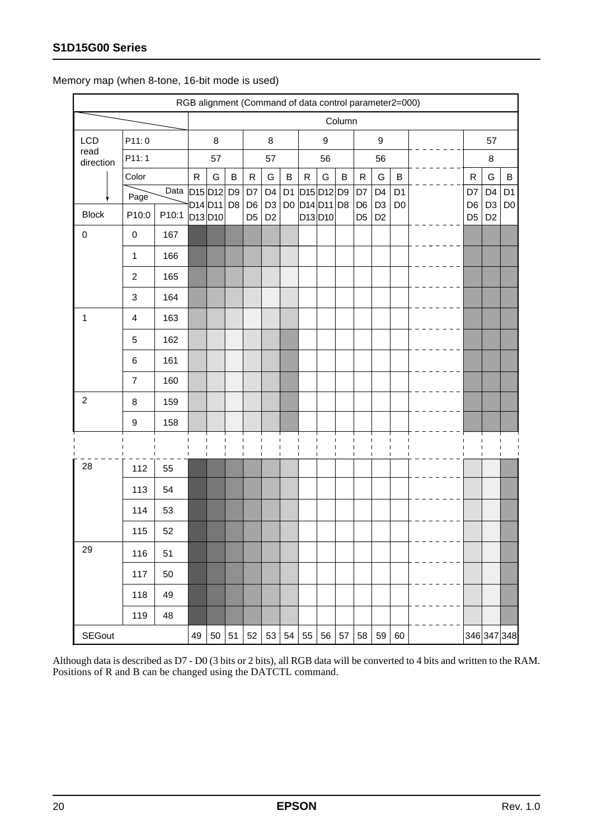|                   | RGB alignment (Command of data control parameter2=000) |       |           |                                                                                   |                |                      |                                  |                |                                                                 |    |        |                      |                                  |                                  |  |  |                      |                                  |                                  |
|-------------------|--------------------------------------------------------|-------|-----------|-----------------------------------------------------------------------------------|----------------|----------------------|----------------------------------|----------------|-----------------------------------------------------------------|----|--------|----------------------|----------------------------------|----------------------------------|--|--|----------------------|----------------------------------|----------------------------------|
|                   |                                                        |       |           |                                                                                   |                |                      |                                  |                |                                                                 |    | Column |                      |                                  |                                  |  |  |                      |                                  |                                  |
| LCD               | P11:0                                                  |       |           | 8                                                                                 |                |                      | 8                                |                |                                                                 | 9  |        | 9                    |                                  |                                  |  |  | 57                   |                                  |                                  |
| read<br>direction | P11:1                                                  |       |           | 57                                                                                |                |                      | 57                               |                |                                                                 | 56 |        |                      | 56                               |                                  |  |  |                      | 8                                |                                  |
|                   | Color                                                  |       | ${\sf R}$ | G                                                                                 | B              | ${\sf R}$            | G                                | B              | $\mathsf{R}$                                                    | G  | B      | $\mathsf{R}$         | G                                | B                                |  |  | $\mathsf{R}$         | G                                | B                                |
|                   | Page                                                   | Data  |           | D <sub>15</sub> D <sub>12</sub> D <sub>9</sub><br>D <sub>14</sub> D <sub>11</sub> | D <sub>8</sub> | D7<br>D <sub>6</sub> | D <sub>4</sub><br>D <sub>3</sub> | D <sub>1</sub> | D <sub>15</sub> D <sub>12</sub> D <sub>9</sub><br>D0 D14 D11 D8 |    |        | D7<br>D <sub>6</sub> | D <sub>4</sub><br>D <sub>3</sub> | D <sub>1</sub><br>D <sub>0</sub> |  |  | D7<br>D <sub>6</sub> | D <sub>4</sub><br>D <sub>3</sub> | D <sub>1</sub><br>D <sub>0</sub> |
| <b>Block</b>      | P10:0                                                  | P10:1 |           | D <sub>13</sub> D <sub>10</sub>                                                   |                | D <sub>5</sub>       | D <sub>2</sub>                   |                | D13D10                                                          |    |        | D <sub>5</sub>       | D <sub>2</sub>                   |                                  |  |  | D <sub>5</sub>       | D <sub>2</sub>                   |                                  |
| $\mathsf 0$       | $\pmb{0}$                                              | 167   |           |                                                                                   |                |                      |                                  |                |                                                                 |    |        |                      |                                  |                                  |  |  |                      |                                  |                                  |
|                   | $\mathbf 1$                                            | 166   |           |                                                                                   |                |                      |                                  |                |                                                                 |    |        |                      |                                  |                                  |  |  |                      |                                  |                                  |
|                   | $\overline{2}$                                         | 165   |           |                                                                                   |                |                      |                                  |                |                                                                 |    |        |                      |                                  |                                  |  |  |                      |                                  |                                  |
|                   | 3                                                      | 164   |           |                                                                                   |                |                      |                                  |                |                                                                 |    |        |                      |                                  |                                  |  |  |                      |                                  |                                  |
| 1                 | $\overline{\mathbf{4}}$                                | 163   |           |                                                                                   |                |                      |                                  |                |                                                                 |    |        |                      |                                  |                                  |  |  |                      |                                  |                                  |
|                   | 5                                                      | 162   |           |                                                                                   |                |                      |                                  |                |                                                                 |    |        |                      |                                  |                                  |  |  |                      |                                  |                                  |
|                   | $\,6$                                                  | 161   |           |                                                                                   |                |                      |                                  |                |                                                                 |    |        |                      |                                  |                                  |  |  |                      |                                  |                                  |
|                   | 7                                                      | 160   |           |                                                                                   |                |                      |                                  |                |                                                                 |    |        |                      |                                  |                                  |  |  |                      |                                  |                                  |
| $\overline{2}$    | 8                                                      | 159   |           |                                                                                   |                |                      |                                  |                |                                                                 |    |        |                      |                                  |                                  |  |  |                      |                                  |                                  |
|                   | $\boldsymbol{9}$                                       | 158   |           |                                                                                   |                |                      |                                  |                |                                                                 |    |        |                      |                                  |                                  |  |  |                      |                                  |                                  |
|                   |                                                        |       |           |                                                                                   |                | п                    |                                  |                |                                                                 |    |        |                      |                                  |                                  |  |  |                      |                                  |                                  |
| 28                | 112                                                    | 55    |           |                                                                                   |                |                      |                                  |                |                                                                 |    |        |                      |                                  |                                  |  |  |                      |                                  |                                  |
|                   | 113                                                    | 54    |           |                                                                                   |                |                      |                                  |                |                                                                 |    |        |                      |                                  |                                  |  |  |                      |                                  |                                  |
|                   | 114                                                    | 53    |           |                                                                                   |                |                      |                                  |                |                                                                 |    |        |                      |                                  |                                  |  |  |                      |                                  |                                  |
|                   | 115                                                    | 52    |           |                                                                                   |                |                      |                                  |                |                                                                 |    |        |                      |                                  |                                  |  |  |                      |                                  |                                  |
| 29                | 116                                                    | 51    |           |                                                                                   |                |                      |                                  |                |                                                                 |    |        |                      |                                  |                                  |  |  |                      |                                  |                                  |
|                   | 117                                                    | 50    |           |                                                                                   |                |                      |                                  |                |                                                                 |    |        |                      |                                  |                                  |  |  |                      |                                  |                                  |
|                   | 118                                                    | 49    |           |                                                                                   |                |                      |                                  |                |                                                                 |    |        |                      |                                  |                                  |  |  |                      |                                  |                                  |
|                   | 119                                                    | 48    |           |                                                                                   |                |                      |                                  |                |                                                                 |    |        |                      |                                  |                                  |  |  |                      |                                  |                                  |
| <b>SEGout</b>     |                                                        |       | 49        | 50                                                                                | 51             | 52                   | 53                               | 54             | 55                                                              | 56 | 57     | 58                   | 59                               | 60                               |  |  | 346 347 348          |                                  |                                  |

Memory map (when 8-tone, 16-bit mode is used)

Although data is described as D7 - D0 (3 bits or 2 bits), all RGB data will be converted to 4 bits and written to the RAM. Positions of R and B can be changed using the DATCTL command.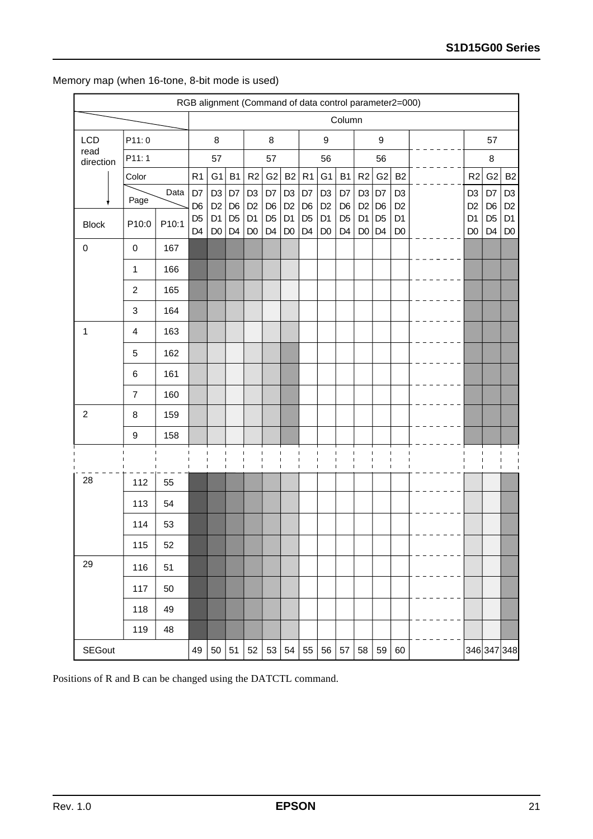|                   | RGB alignment (Command of data control parameter2=000) |       |                                  |                                  |                                  |                                  |                                  |                                  |                                  |                                  |                                  |                                  |                                  |                                  |  |  |                                  |                                  |                                  |
|-------------------|--------------------------------------------------------|-------|----------------------------------|----------------------------------|----------------------------------|----------------------------------|----------------------------------|----------------------------------|----------------------------------|----------------------------------|----------------------------------|----------------------------------|----------------------------------|----------------------------------|--|--|----------------------------------|----------------------------------|----------------------------------|
|                   |                                                        |       |                                  |                                  |                                  |                                  |                                  |                                  |                                  |                                  | Column                           |                                  |                                  |                                  |  |  |                                  |                                  |                                  |
| LCD               | P11:0                                                  |       |                                  | $\bf 8$                          |                                  |                                  | $\bf 8$                          |                                  |                                  | $\boldsymbol{9}$                 |                                  |                                  | $\boldsymbol{9}$                 |                                  |  |  |                                  | 57                               |                                  |
| read<br>direction | P11:1                                                  |       |                                  | 57                               |                                  |                                  | 57                               |                                  |                                  | 56                               |                                  | 56                               |                                  |                                  |  |  | 8                                |                                  |                                  |
|                   | Color                                                  |       | R1                               | G <sub>1</sub>                   | B1                               | R2                               | G2                               | B2                               | R <sub>1</sub>                   | G <sub>1</sub>                   | <b>B1</b>                        | R2                               | G <sub>2</sub>                   | B <sub>2</sub>                   |  |  | R2                               | G <sub>2</sub>                   | B <sub>2</sub>                   |
|                   | Page                                                   | Data  | D7<br>D <sub>6</sub>             | D <sub>3</sub><br>D <sub>2</sub> | D7<br>D <sub>6</sub>             | D <sub>3</sub><br>D <sub>2</sub> | D7<br>D <sub>6</sub>             | D <sub>3</sub><br>D <sub>2</sub> | D7<br>D <sub>6</sub>             | D <sub>3</sub><br>D <sub>2</sub> | D7<br>D <sub>6</sub>             | D <sub>3</sub><br>D <sub>2</sub> | D7<br>D <sub>6</sub>             | D <sub>3</sub><br>D <sub>2</sub> |  |  | D <sub>3</sub><br>D <sub>2</sub> | D7<br>D <sub>6</sub>             | D <sub>3</sub><br>D <sub>2</sub> |
| <b>Block</b>      | P10:0                                                  | P10:1 | D <sub>5</sub><br>D <sub>4</sub> | D <sub>1</sub><br>D <sub>0</sub> | D <sub>5</sub><br>D <sub>4</sub> | D <sub>1</sub><br>D <sub>0</sub> | D <sub>5</sub><br>D <sub>4</sub> | D <sub>1</sub><br>D <sub>0</sub> | D <sub>5</sub><br>D <sub>4</sub> | D <sub>1</sub><br>D <sub>0</sub> | D <sub>5</sub><br>D <sub>4</sub> | D <sub>1</sub><br>$\mathsf{D}0$  | D <sub>5</sub><br>D <sub>4</sub> | D <sub>1</sub><br>D <sub>0</sub> |  |  | D <sub>1</sub><br>D <sub>0</sub> | D <sub>5</sub><br>D <sub>4</sub> | D <sub>1</sub><br>D <sub>0</sub> |
| $\mathbf 0$       | $\pmb{0}$                                              | 167   |                                  |                                  |                                  |                                  |                                  |                                  |                                  |                                  |                                  |                                  |                                  |                                  |  |  |                                  |                                  |                                  |
|                   | 1                                                      | 166   |                                  |                                  |                                  |                                  |                                  |                                  |                                  |                                  |                                  |                                  |                                  |                                  |  |  |                                  |                                  |                                  |
|                   | $\overline{2}$                                         | 165   |                                  |                                  |                                  |                                  |                                  |                                  |                                  |                                  |                                  |                                  |                                  |                                  |  |  |                                  |                                  |                                  |
|                   | 3                                                      | 164   |                                  |                                  |                                  |                                  |                                  |                                  |                                  |                                  |                                  |                                  |                                  |                                  |  |  |                                  |                                  |                                  |
| 1                 | $\overline{\mathbf{4}}$                                | 163   |                                  |                                  |                                  |                                  |                                  |                                  |                                  |                                  |                                  |                                  |                                  |                                  |  |  |                                  |                                  |                                  |
|                   | 5                                                      | 162   |                                  |                                  |                                  |                                  |                                  |                                  |                                  |                                  |                                  |                                  |                                  |                                  |  |  |                                  |                                  |                                  |
|                   | 6                                                      | 161   |                                  |                                  |                                  |                                  |                                  |                                  |                                  |                                  |                                  |                                  |                                  |                                  |  |  |                                  |                                  |                                  |
|                   | $\overline{7}$                                         | 160   |                                  |                                  |                                  |                                  |                                  |                                  |                                  |                                  |                                  |                                  |                                  |                                  |  |  |                                  |                                  |                                  |
| $\mathbf 2$       | $\bf 8$                                                | 159   |                                  |                                  |                                  |                                  |                                  |                                  |                                  |                                  |                                  |                                  |                                  |                                  |  |  |                                  |                                  |                                  |
|                   | 9                                                      | 158   |                                  |                                  |                                  |                                  |                                  |                                  |                                  |                                  |                                  |                                  |                                  |                                  |  |  |                                  |                                  |                                  |
|                   |                                                        |       |                                  |                                  |                                  | ı<br>$\blacksquare$              |                                  |                                  |                                  |                                  |                                  |                                  |                                  |                                  |  |  |                                  |                                  |                                  |
| 28                | 112                                                    | 55    |                                  |                                  |                                  |                                  |                                  |                                  |                                  |                                  |                                  |                                  |                                  |                                  |  |  |                                  |                                  |                                  |
|                   | 113                                                    | 54    |                                  |                                  |                                  |                                  |                                  |                                  |                                  |                                  |                                  |                                  |                                  |                                  |  |  |                                  |                                  |                                  |
|                   | 114                                                    | 53    |                                  |                                  |                                  |                                  |                                  |                                  |                                  |                                  |                                  |                                  |                                  |                                  |  |  |                                  |                                  |                                  |
|                   | 115                                                    | 52    |                                  |                                  |                                  |                                  |                                  |                                  |                                  |                                  |                                  |                                  |                                  |                                  |  |  |                                  |                                  |                                  |
| 29                | 116                                                    | 51    |                                  |                                  |                                  |                                  |                                  |                                  |                                  |                                  |                                  |                                  |                                  |                                  |  |  |                                  |                                  |                                  |
|                   | 117                                                    | 50    |                                  |                                  |                                  |                                  |                                  |                                  |                                  |                                  |                                  |                                  |                                  |                                  |  |  |                                  |                                  |                                  |
|                   | 118                                                    | 49    |                                  |                                  |                                  |                                  |                                  |                                  |                                  |                                  |                                  |                                  |                                  |                                  |  |  |                                  |                                  |                                  |
|                   | 119                                                    | 48    |                                  |                                  |                                  |                                  |                                  |                                  |                                  |                                  |                                  |                                  |                                  |                                  |  |  |                                  |                                  |                                  |
| <b>SEGout</b>     |                                                        |       | 49                               | 50                               | 51                               | 52                               | 53                               | 54                               | 55                               | 56                               | 57                               | 58                               | 59                               | 60                               |  |  |                                  | 346 347 348                      |                                  |

## Memory map (when 16-tone, 8-bit mode is used)

Positions of R and B can be changed using the DATCTL command.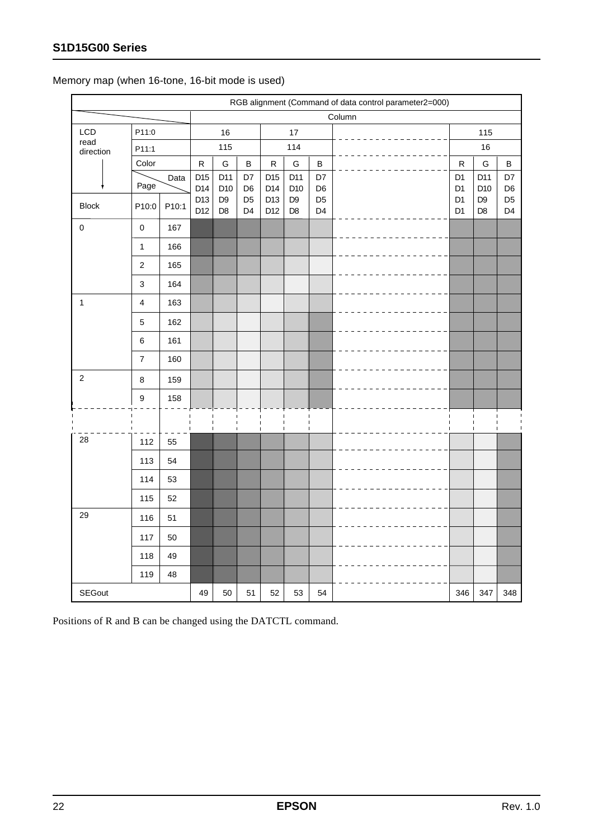|                   | RGB alignment (Command of data control parameter2=000) |       |            |                                  |                                  |            |                                  |                                  |        |                                  |                                  |                                  |
|-------------------|--------------------------------------------------------|-------|------------|----------------------------------|----------------------------------|------------|----------------------------------|----------------------------------|--------|----------------------------------|----------------------------------|----------------------------------|
|                   |                                                        |       |            |                                  |                                  |            |                                  |                                  | Column |                                  |                                  |                                  |
| LCD               | P11:0                                                  |       |            | 16                               |                                  |            | $17$                             |                                  |        |                                  | 115                              |                                  |
| read<br>direction | P11:1                                                  |       |            | 115                              |                                  | 114        |                                  |                                  |        | 16                               |                                  |                                  |
|                   | Color                                                  |       | ${\sf R}$  | G                                | $\sf B$                          | ${\sf R}$  | G                                | $\sf B$                          |        | R                                | G                                | $\sf B$                          |
|                   | Page                                                   | Data  | D15<br>D14 | D11<br>D <sub>10</sub>           | D7<br>D <sub>6</sub>             | D15<br>D14 | D11<br>D10                       | D7<br>D <sub>6</sub>             |        | D <sub>1</sub><br>D <sub>1</sub> | D11<br>D <sub>10</sub>           | D7<br>D <sub>6</sub>             |
| <b>Block</b>      | P10:0                                                  | P10:1 | D13<br>D12 | D <sub>9</sub><br>D <sub>8</sub> | D <sub>5</sub><br>D <sub>4</sub> | D13<br>D12 | D <sub>9</sub><br>D <sub>8</sub> | D <sub>5</sub><br>D <sub>4</sub> |        | D <sub>1</sub><br>D <sub>1</sub> | D <sub>9</sub><br>D <sub>8</sub> | D <sub>5</sub><br>D <sub>4</sub> |
| $\mathbf 0$       | $\mathbf 0$                                            | 167   |            |                                  |                                  |            |                                  |                                  |        |                                  |                                  |                                  |
|                   | $\mathbf{1}$                                           | 166   |            |                                  |                                  |            |                                  |                                  |        |                                  |                                  |                                  |
|                   | $\boldsymbol{2}$                                       | 165   |            |                                  |                                  |            |                                  |                                  |        |                                  |                                  |                                  |
|                   | $\mathfrak{S}$                                         | 164   |            |                                  |                                  |            |                                  |                                  |        |                                  |                                  |                                  |
| $\mathbf{1}$      | 4                                                      | 163   |            |                                  |                                  |            |                                  |                                  |        |                                  |                                  |                                  |
|                   | $\mathbf 5$                                            | 162   |            |                                  |                                  |            |                                  |                                  |        |                                  |                                  |                                  |
|                   | $\,6\,$                                                | 161   |            |                                  |                                  |            |                                  |                                  |        |                                  |                                  |                                  |
|                   | $\boldsymbol{7}$                                       | 160   |            |                                  |                                  |            |                                  |                                  |        |                                  |                                  |                                  |
| $\overline{c}$    | $\bf 8$                                                | 159   |            |                                  |                                  |            |                                  |                                  |        |                                  |                                  |                                  |
|                   | 9                                                      | 158   |            |                                  |                                  |            |                                  |                                  |        |                                  |                                  |                                  |
|                   |                                                        |       |            | -1                               |                                  | п          | $\mathbf{I}$                     |                                  |        |                                  |                                  |                                  |
| 28                | 112                                                    | 55    |            | $\mathbf{I}$                     |                                  | п          | $\blacksquare$                   | $\blacksquare$                   |        |                                  | п                                |                                  |
|                   | 113                                                    | 54    |            |                                  |                                  |            |                                  |                                  |        |                                  |                                  |                                  |
|                   | 114                                                    | 53    |            |                                  |                                  |            |                                  |                                  |        |                                  |                                  |                                  |
|                   | 115                                                    | 52    |            |                                  |                                  |            |                                  |                                  |        |                                  |                                  |                                  |
| 29                | 116                                                    | 51    |            |                                  |                                  |            |                                  |                                  |        |                                  |                                  |                                  |
|                   | 117                                                    | 50    |            |                                  |                                  |            |                                  |                                  |        |                                  |                                  |                                  |
|                   | 118                                                    | 49    |            |                                  |                                  |            |                                  |                                  |        |                                  |                                  |                                  |
|                   | 119                                                    | 48    |            |                                  |                                  |            |                                  |                                  |        |                                  |                                  |                                  |
| <b>SEGout</b>     |                                                        |       | 49         | 50                               | 51                               | 52         | 53                               | 54                               |        | 346                              | 347                              | 348                              |

Memory map (when 16-tone, 16-bit mode is used)

Positions of R and B can be changed using the DATCTL command.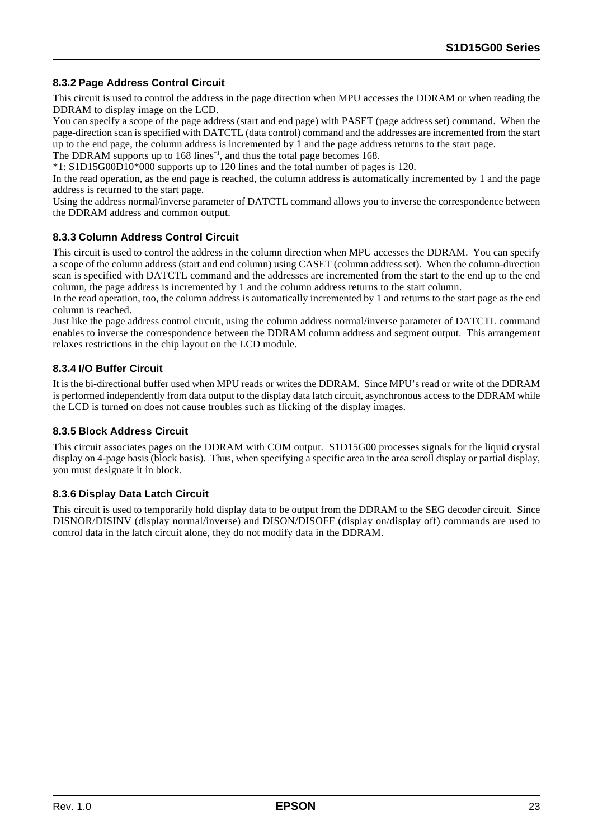#### **8.3.2 Page Address Control Circuit**

This circuit is used to control the address in the page direction when MPU accesses the DDRAM or when reading the DDRAM to display image on the LCD.

You can specify a scope of the page address (start and end page) with PASET (page address set) command. When the page-direction scan is specified with DATCTL (data control) command and the addresses are incremented from the start up to the end page, the column address is incremented by 1 and the page address returns to the start page.

The DDRAM supports up to 168 lines<sup>\*1</sup>, and thus the total page becomes 168.

\*1: S1D15G00D10\*000 supports up to 120 lines and the total number of pages is 120.

In the read operation, as the end page is reached, the column address is automatically incremented by 1 and the page address is returned to the start page.

Using the address normal/inverse parameter of DATCTL command allows you to inverse the correspondence between the DDRAM address and common output.

#### **8.3.3 Column Address Control Circuit**

This circuit is used to control the address in the column direction when MPU accesses the DDRAM. You can specify a scope of the column address (start and end column) using CASET (column address set). When the column-direction scan is specified with DATCTL command and the addresses are incremented from the start to the end up to the end column, the page address is incremented by 1 and the column address returns to the start column.

In the read operation, too, the column address is automatically incremented by 1 and returns to the start page as the end column is reached.

Just like the page address control circuit, using the column address normal/inverse parameter of DATCTL command enables to inverse the correspondence between the DDRAM column address and segment output. This arrangement relaxes restrictions in the chip layout on the LCD module.

#### **8.3.4 I/O Buffer Circuit**

It is the bi-directional buffer used when MPU reads or writes the DDRAM. Since MPU's read or write of the DDRAM is performed independently from data output to the display data latch circuit, asynchronous access to the DDRAM while the LCD is turned on does not cause troubles such as flicking of the display images.

#### **8.3.5 Block Address Circuit**

This circuit associates pages on the DDRAM with COM output. S1D15G00 processes signals for the liquid crystal display on 4-page basis (block basis). Thus, when specifying a specific area in the area scroll display or partial display, you must designate it in block.

#### **8.3.6 Display Data Latch Circuit**

This circuit is used to temporarily hold display data to be output from the DDRAM to the SEG decoder circuit. Since DISNOR/DISINV (display normal/inverse) and DISON/DISOFF (display on/display off) commands are used to control data in the latch circuit alone, they do not modify data in the DDRAM.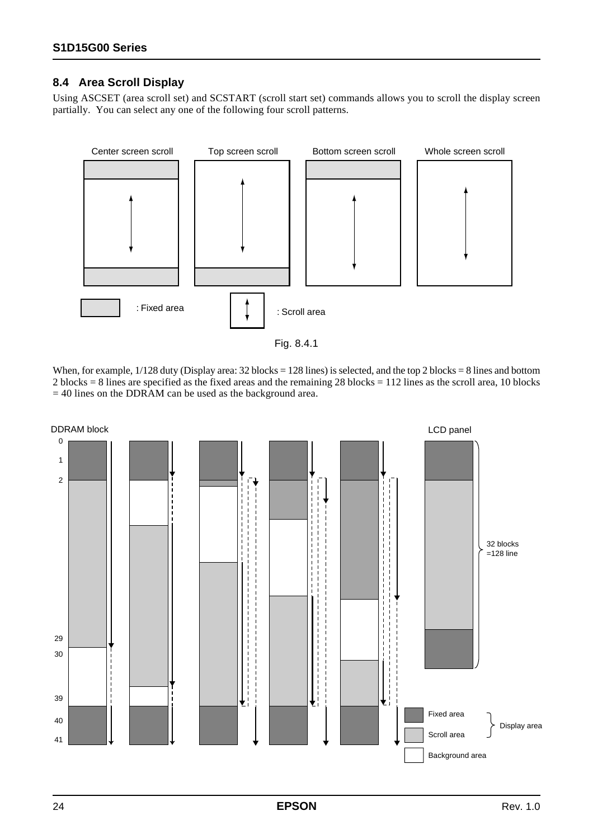#### **8.4 Area Scroll Display**

Using ASCSET (area scroll set) and SCSTART (scroll start set) commands allows you to scroll the display screen partially. You can select any one of the following four scroll patterns.



When, for example,  $1/128$  duty (Display area: 32 blocks = 128 lines) is selected, and the top 2 blocks = 8 lines and bottom 2 blocks = 8 lines are specified as the fixed areas and the remaining 28 blocks = 112 lines as the scroll area, 10 blocks  $= 40$  lines on the DDRAM can be used as the background area.

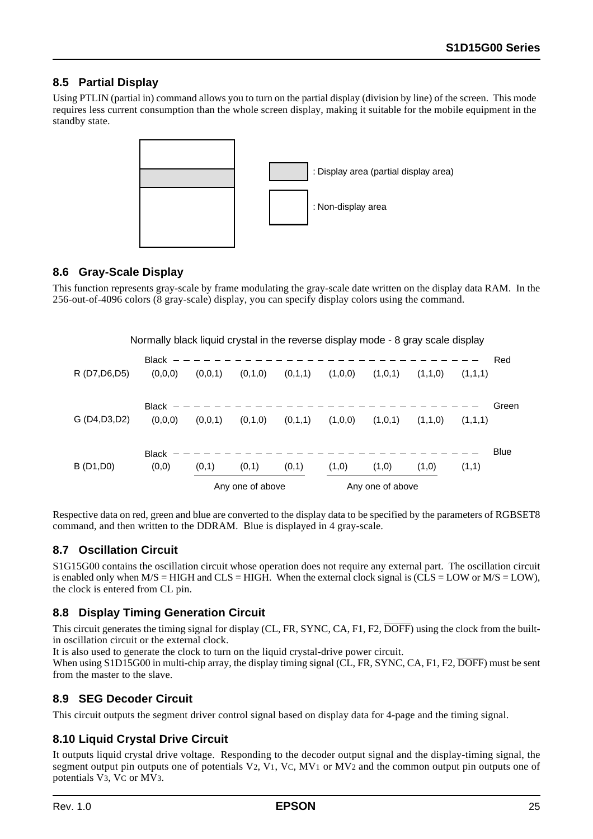### **8.5 Partial Display**

Using PTLIN (partial in) command allows you to turn on the partial display (division by line) of the screen. This mode requires less current consumption than the whole screen display, making it suitable for the mobile equipment in the standby state.



#### **8.6 Gray-Scale Display**

This function represents gray-scale by frame modulating the gray-scale date written on the display data RAM. In the 256-out-of-4096 colors (8 gray-scale) display, you can specify display colors using the command.

Normally black liquid crystal in the reverse display mode - 8 gray scale display

|                |                         |         | Any one of above |         |         | Any one of above |         |         |             |
|----------------|-------------------------|---------|------------------|---------|---------|------------------|---------|---------|-------------|
| B (D1, D0)     | <b>Black</b><br>(0,0)   | (0,1)   | (0,1)            | (0,1)   | (1,0)   | (1,0)            | (1,0)   | (1,1)   | <b>Blue</b> |
| G (D4, D3, D2) | Black<br>(0,0,0)        | (0,0,1) | (0,1,0)          | (0,1,1) | (1,0,0) | (1,0,1)          | (1,1,0) | (1,1,1) | Green       |
| R (D7, D6, D5) | <b>Black</b><br>(0,0,0) | (0,0,1) | (0,1,0)          | (0,1,1) | (1,0,0) | (1,0,1)          | (1,1,0) | (1,1,1) | Red         |

Respective data on red, green and blue are converted to the display data to be specified by the parameters of RGBSET8 command, and then written to the DDRAM. Blue is displayed in 4 gray-scale.

#### **8.7 Oscillation Circuit**

S1G15G00 contains the oscillation circuit whose operation does not require any external part. The oscillation circuit is enabled only when  $M/S = HIGH$  and  $CLS = HIGH$ . When the external clock signal is  $(CLS = LOW$  or  $M/S = LOW$ , the clock is entered from CL pin.

#### **8.8 Display Timing Generation Circuit**

This circuit generates the timing signal for display (CL, FR, SYNC, CA, F1, F2, DOFF) using the clock from the builtin oscillation circuit or the external clock.

It is also used to generate the clock to turn on the liquid crystal-drive power circuit.

When using S1D15G00 in multi-chip array, the display timing signal (CL, FR, SYNC, CA, F1, F2, DOFF) must be sent from the master to the slave.

#### **8.9 SEG Decoder Circuit**

This circuit outputs the segment driver control signal based on display data for 4-page and the timing signal.

#### **8.10 Liquid Crystal Drive Circuit**

It outputs liquid crystal drive voltage. Responding to the decoder output signal and the display-timing signal, the segment output pin outputs one of potentials  $V_2$ ,  $V_1$ ,  $V_C$ ,  $MV_1$  or  $MV_2$  and the common output pin outputs one of potentials V3, VC or MV3.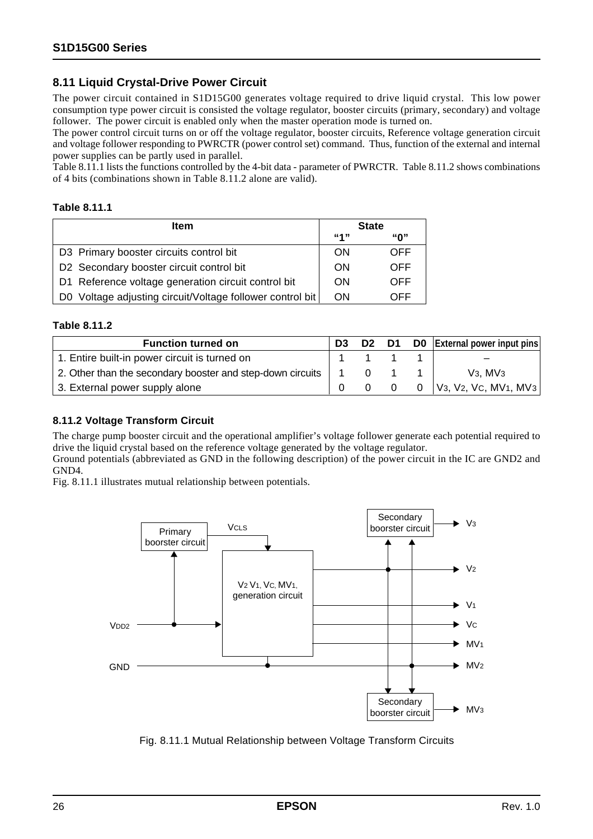#### **8.11 Liquid Crystal-Drive Power Circuit**

The power circuit contained in S1D15G00 generates voltage required to drive liquid crystal. This low power consumption type power circuit is consisted the voltage regulator, booster circuits (primary, secondary) and voltage follower. The power circuit is enabled only when the master operation mode is turned on.

The power control circuit turns on or off the voltage regulator, booster circuits, Reference voltage generation circuit and voltage follower responding to PWRCTR (power control set) command. Thus, function of the external and internal power supplies can be partly used in parallel.

Table 8.11.1 lists the functions controlled by the 4-bit data - parameter of PWRCTR. Table 8.11.2 shows combinations of 4 bits (combinations shown in Table 8.11.2 alone are valid).

#### **Table 8.11.1**

| <b>Item</b>                                               |                          | <b>State</b> |
|-----------------------------------------------------------|--------------------------|--------------|
|                                                           | <b><i><u>"4"</u></i></b> | "በ"          |
| D3 Primary booster circuits control bit                   | <b>ON</b>                | OFF          |
| D2 Secondary booster circuit control bit                  | <b>ON</b>                | OFF          |
| D1 Reference voltage generation circuit control bit       | ON                       | OFF          |
| D0 Voltage adjusting circuit/Voltage follower control bit | <b>ON</b>                | OFF          |

#### **Table 8.11.2**

| <b>Function turned on</b>                                  | D <sub>3</sub> | D <sub>2</sub> | D1       | D0 | <b>External power input pins</b> |
|------------------------------------------------------------|----------------|----------------|----------|----|----------------------------------|
| 1. Entire built-in power circuit is turned on              |                |                |          |    |                                  |
| 2. Other than the secondary booster and step-down circuits |                |                |          |    | $V_3$ , MV $_3$                  |
| 3. External power supply alone                             |                |                | $\Omega$ | 0  | $ V_3, V_2, V_3, MV_1, MV_3 $    |

#### **8.11.2 Voltage Transform Circuit**

The charge pump booster circuit and the operational amplifier's voltage follower generate each potential required to drive the liquid crystal based on the reference voltage generated by the voltage regulator.

Ground potentials (abbreviated as GND in the following description) of the power circuit in the IC are GND2 and GND4.

Fig. 8.11.1 illustrates mutual relationship between potentials.



Fig. 8.11.1 Mutual Relationship between Voltage Transform Circuits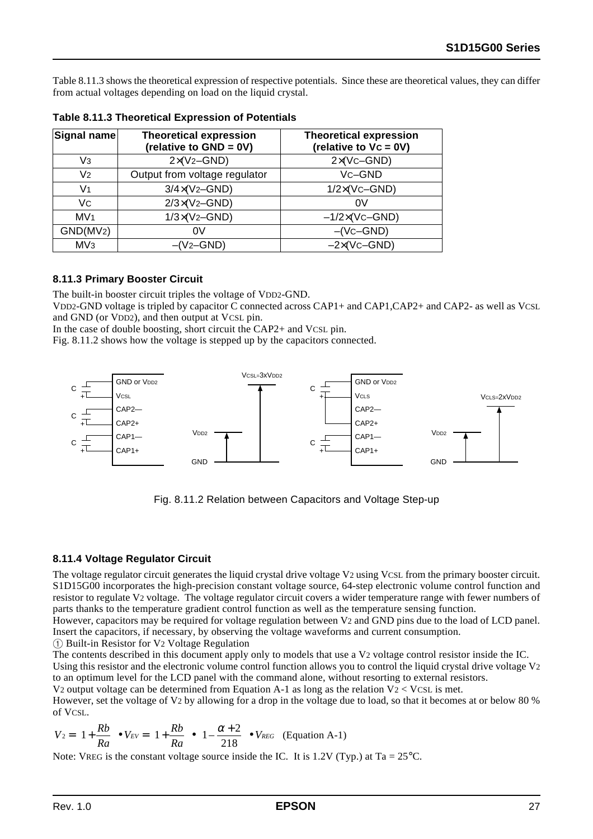Table 8.11.3 shows the theoretical expression of respective potentials. Since these are theoretical values, they can differ from actual voltages depending on load on the liquid crystal.

| Signal name           | <b>Theoretical expression</b><br>(relative to GND = 0V) | <b>Theoretical expression</b><br>(relative to Vc = 0V) |
|-----------------------|---------------------------------------------------------|--------------------------------------------------------|
| Vз                    | $2\times$ (V <sub>2</sub> -GND)                         | $2 \times (VC - GND)$                                  |
| V <sub>2</sub>        | Output from voltage regulator                           | Vc-GND                                                 |
| V1                    | $3/4 \times (V_2 - GND)$                                | $1/2 \times (V_C - GND)$                               |
| Vc                    | $2/3\times(V_2 - GND)$                                  | 0V                                                     |
| MV <sub>1</sub>       | $1/3\times(V_2 - GND)$                                  | $-1/2\times(Vc-GND)$                                   |
| GND(MV <sub>2</sub> ) | 0V                                                      | $-(Vc-GND)$                                            |
| MV <sub>3</sub>       | $-(V_2-GND)$                                            | $-2\times$ (Vc-GND)                                    |

**Table 8.11.3 Theoretical Expression of Potentials**

#### **8.11.3 Primary Booster Circuit**

The built-in booster circuit triples the voltage of VDD2-GND.

VDD2-GND voltage is tripled by capacitor  $\overline{C}$  connected across CAP1+ and CAP1, CAP2+ and CAP2- as well as VCSL and GND (or VDD2), and then output at VCSL pin.

In the case of double boosting, short circuit the CAP2+ and VCSL pin.

Fig. 8.11.2 shows how the voltage is stepped up by the capacitors connected.



Fig. 8.11.2 Relation between Capacitors and Voltage Step-up

#### **8.11.4 Voltage Regulator Circuit**

The voltage regulator circuit generates the liquid crystal drive voltage V2 using VCSL from the primary booster circuit. S1D15G00 incorporates the high-precision constant voltage source, 64-step electronic volume control function and resistor to regulate V2 voltage. The voltage regulator circuit covers a wider temperature range with fewer numbers of parts thanks to the temperature gradient control function as well as the temperature sensing function.

However, capacitors may be required for voltage regulation between V2 and GND pins due to the load of LCD panel. Insert the capacitors, if necessary, by observing the voltage waveforms and current consumption.

1 Built-in Resistor for V2 Voltage Regulation

The contents described in this document apply only to models that use a V<sub>2</sub> voltage control resistor inside the IC. Using this resistor and the electronic volume control function allows you to control the liquid crystal drive voltage V2 to an optimum level for the LCD panel with the command alone, without resorting to external resistors.

V2 output voltage can be determined from Equation A-1 as long as the relation  $V_2 < V_{CSL}$  is met.

However, set the voltage of V2 by allowing for a drop in the voltage due to load, so that it becomes at or below 80 % of VCSL.

$$
V_2 = \left(1 + \frac{Rb}{Ra}\right) \bullet V_{EV} = \left(1 + \frac{Rb}{Ra}\right) \bullet \left(1 - \frac{\alpha + 2}{218}\right) \bullet V_{REG} \quad \text{(Equation A-1)}
$$

Note: VREG is the constant voltage source inside the IC. It is 1.2V (Typ.) at Ta =  $25^{\circ}$ C.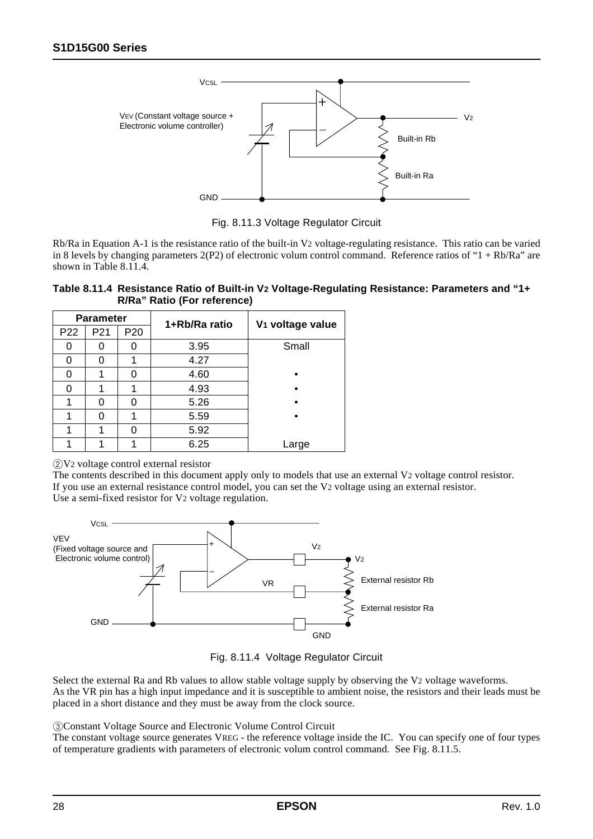

Fig. 8.11.3 Voltage Regulator Circuit

Rb/Ra in Equation A-1 is the resistance ratio of the built-in V2 voltage-regulating resistance. This ratio can be varied in 8 levels by changing parameters 2(P2) of electronic volum control command. Reference ratios of "1 + Rb/Ra" are shown in Table 8.11.4.

| Table 8.11.4 Resistance Ratio of Built-in V2 Voltage-Regulating Resistance: Parameters and "1+ |  |
|------------------------------------------------------------------------------------------------|--|
| R/Ra" Ratio (For reference)                                                                    |  |

|                 | <b>Parameter</b> |                 | 1+Rb/Ra ratio | V <sub>1</sub> voltage value |  |  |  |  |
|-----------------|------------------|-----------------|---------------|------------------------------|--|--|--|--|
| P <sub>22</sub> | P21              | P <sub>20</sub> |               |                              |  |  |  |  |
|                 |                  |                 | 3.95          | Small                        |  |  |  |  |
| ი               |                  |                 | 4.27          |                              |  |  |  |  |
| 0               |                  |                 | 4.60          |                              |  |  |  |  |
| ი               |                  |                 | 4.93          |                              |  |  |  |  |
|                 | O                |                 | 5.26          |                              |  |  |  |  |
|                 | U                |                 | 5.59          |                              |  |  |  |  |
|                 |                  |                 | 5.92          |                              |  |  |  |  |
|                 |                  |                 | 6.25          | Large                        |  |  |  |  |

2V2 voltage control external resistor

The contents described in this document apply only to models that use an external V2 voltage control resistor. If you use an external resistance control model, you can set the V2 voltage using an external resistor. Use a semi-fixed resistor for V2 voltage regulation.



Fig. 8.11.4 Voltage Regulator Circuit

Select the external Ra and Rb values to allow stable voltage supply by observing the V2 voltage waveforms. As the VR pin has a high input impedance and it is susceptible to ambient noise, the resistors and their leads must be placed in a short distance and they must be away from the clock source.

3Constant Voltage Source and Electronic Volume Control Circuit

The constant voltage source generates VREG - the reference voltage inside the IC. You can specify one of four types of temperature gradients with parameters of electronic volum control command. See Fig. 8.11.5.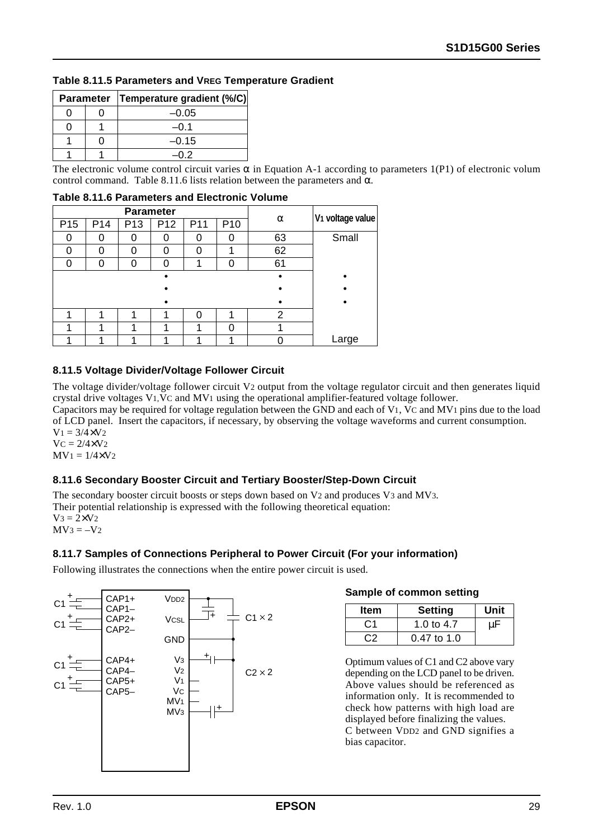| Table 8.11.5 Parameters and VREG Temperature Gradient |
|-------------------------------------------------------|
|-------------------------------------------------------|

|  | Parameter   Temperature gradient (%/C) |
|--|----------------------------------------|
|  | $-0.05$                                |
|  | –ი 1                                   |
|  | $-0.15$                                |
|  | -በ 2                                   |

The electronic volume control circuit varies  $\alpha$  in Equation A-1 according to parameters 1(P1) of electronic volum control command. Table 8.11.6 lists relation between the parameters and  $\alpha$ .

|  |  |  |  |  |  | Table 8.11.6 Parameters and Electronic Volume |  |
|--|--|--|--|--|--|-----------------------------------------------|--|
|--|--|--|--|--|--|-----------------------------------------------|--|

|                 |                 | <b>Parameter</b> |                 |     |                 |    |                              |
|-----------------|-----------------|------------------|-----------------|-----|-----------------|----|------------------------------|
| P <sub>15</sub> | P <sub>14</sub> | P <sub>13</sub>  | P <sub>12</sub> | P11 | P <sub>10</sub> | α  | V <sub>1</sub> voltage value |
|                 |                 | U                |                 |     |                 | 63 | Small                        |
|                 | ∩               | 0                |                 | U   |                 | 62 |                              |
|                 | 0               | 0                |                 |     |                 | 61 |                              |
|                 |                 |                  |                 |     |                 |    |                              |
|                 |                 |                  |                 |     |                 |    |                              |
|                 |                 |                  |                 |     |                 |    |                              |
|                 |                 | ÷                |                 |     |                 | 2  |                              |
|                 |                 | и                |                 |     |                 |    |                              |
|                 |                 | л                |                 |     |                 |    | Large                        |

#### **8.11.5 Voltage Divider/Voltage Follower Circuit**

The voltage divider/voltage follower circuit V2 output from the voltage regulator circuit and then generates liquid crystal drive voltages V1,VC and MV1 using the operational amplifier-featured voltage follower.

Capacitors may be required for voltage regulation between the GND and each of V1, VC and MV1 pins due to the load of LCD panel. Insert the capacitors, if necessary, by observing the voltage waveforms and current consumption.  $V_1 = 3/4 \times V_2$ 

 $VC = 2/4 \times V_2$  $MV_1 = 1/4 \times V_2$ 

#### **8.11.6 Secondary Booster Circuit and Tertiary Booster/Step-Down Circuit**

The secondary booster circuit boosts or steps down based on V2 and produces V3 and MV3. Their potential relationship is expressed with the following theoretical equation:  $V_3 = 2 \times V_2$  $MV3 = -V2$ 

#### **8.11.7 Samples of Connections Peripheral to Power Circuit (For your information)**

Following illustrates the connections when the entire power circuit is used.



#### **Sample of common setting**

| <b>Item</b>    | <b>Setting</b> | Unit |
|----------------|----------------|------|
| C <sub>1</sub> | 1.0 to 4.7     |      |
| C2             | $0.47$ to 1.0  |      |

Optimum values of C1 and C2 above vary depending on the LCD panel to be driven. Above values should be referenced as information only. It is recommended to check how patterns with high load are displayed before finalizing the values. C between VDD2 and GND signifies a bias capacitor.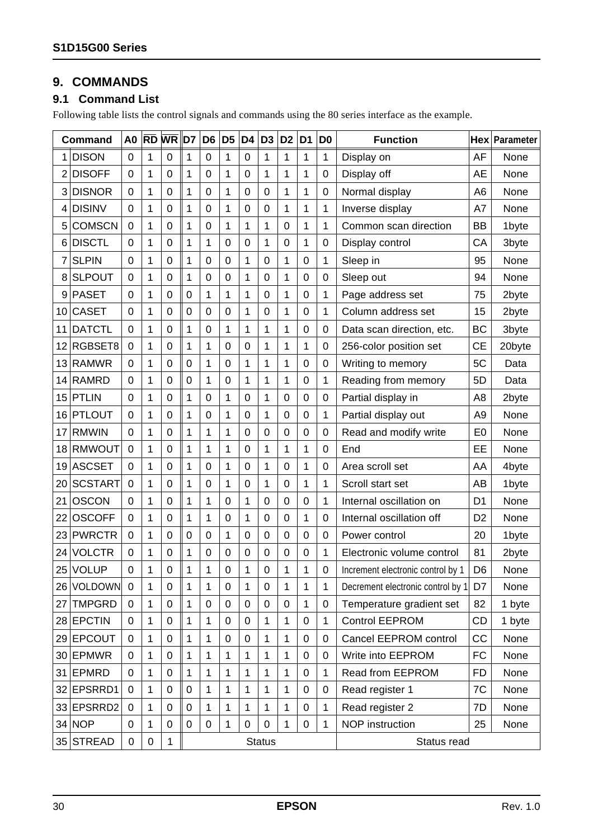## **9. COMMANDS**

### **9.1 Command List**

Following table lists the control signals and commands using the 80 series interface as the example.

|    | <b>Command</b> | A <sub>0</sub>   | $ {\bf \overline{RD}} $ | <b>WR</b>    | ID7                                             | D <sub>6</sub>   | D <sub>5</sub> | D <sub>4</sub>         | D <sub>3</sub> | D <sub>2</sub> | D <sub>1</sub>   | D <sub>0</sub>   | <b>Function</b>                   |                | Hex Parameter |
|----|----------------|------------------|-------------------------|--------------|-------------------------------------------------|------------------|----------------|------------------------|----------------|----------------|------------------|------------------|-----------------------------------|----------------|---------------|
|    | <b>DISON</b>   | 0                | 1                       | 0            | 1                                               | $\mathbf 0$      | 1              | $\mathbf 0$            | 1              | 1              | 1                | 1                | Display on                        | AF             | None          |
| 2  | <b>DISOFF</b>  | 0                | 1                       | 0            | 1                                               | 0                | 1              | 0                      | 1              | 1              | 1                | 0                | Display off                       | AE             | None          |
| 3  | <b>DISNOR</b>  | 0                | 1                       | 0            | 1                                               | 0                | 1              | $\mathbf 0$            | 0              | 1              | 1                | $\boldsymbol{0}$ | Normal display                    | A <sub>6</sub> | None          |
| 4  | <b>DISINV</b>  | 0                | 1                       | $\mathbf 0$  | 1                                               | 0                | 1              | $\mathbf 0$            | 0              | 1              | 1                | $\mathbf{1}$     | Inverse display                   | A7             | None          |
| 5  | <b>COMSCN</b>  | 0                | 1                       | 0            | 1                                               | 0                | 1              | 1                      | 1              | $\mathbf 0$    | 1                | 1                | Common scan direction             | BB             | 1byte         |
| 6  | <b>DISCTL</b>  | 0                | 1                       | 0            | 1                                               | 1                | 0              | 0                      | 1              | $\mathbf 0$    | 1                | $\boldsymbol{0}$ | Display control                   | CA             | 3byte         |
| 7  | <b>SLPIN</b>   | 0                | 1                       | $\mathbf 0$  | 1                                               | $\mathbf 0$      | $\mathbf 0$    | 1                      | 0              | 1              | $\mathbf 0$      | 1                | Sleep in                          | 95             | None          |
| 8  | <b>SLPOUT</b>  | 0                | 1                       | 0            | 1                                               | 0                | 0              | 1                      | 0              | 1              | $\mathbf 0$      | $\boldsymbol{0}$ | Sleep out                         | 94             | None          |
| 9  | <b>PASET</b>   | 0                | 1                       | 0            | 0                                               | 1                | 1              | 1                      | 0              | 1              | $\mathbf 0$      | 1                | Page address set                  | 75             | 2byte         |
| 10 | <b>CASET</b>   | 0                | 1                       | 0            | 0                                               | 0                | 0              | 1                      | 0              | 1              | $\mathbf 0$      | 1                | Column address set                | 15             | 2byte         |
| 11 | <b>DATCTL</b>  | 0                | 1                       | 0            | 1                                               | $\mathbf 0$      | 1              | 1                      | 1              | 1              | $\mathbf 0$      | $\mathbf 0$      | Data scan direction, etc.         | <b>BC</b>      | 3byte         |
| 12 | RGBSET8        | 0                | 1                       | $\mathbf 0$  | 1                                               | 1                | $\mathbf 0$    | $\mathbf 0$            | 1              | 1              | 1                | $\boldsymbol{0}$ | 256-color position set            | СE             | 20byte        |
| 13 | <b>RAMWR</b>   | 0                | 1                       | 0            | $\boldsymbol{0}$                                | 1                | $\mathbf 0$    | 1                      | 1              | 1              | $\boldsymbol{0}$ | $\boldsymbol{0}$ | Writing to memory                 | 5C             | Data          |
| 14 | <b>RAMRD</b>   | 0                | 1                       | $\mathbf 0$  | $\mathbf 0$                                     | 1                | 0              | 1                      | 1              | 1              | $\mathbf 0$      | $\mathbf{1}$     | Reading from memory               | 5D             | Data          |
| 15 | <b>PTLIN</b>   | 0                | 1                       | 0            | 1                                               | $\mathbf 0$      | 1              | $\mathbf 0$            | $\mathbf{1}$   | $\mathbf 0$    | $\boldsymbol{0}$ | $\boldsymbol{0}$ | Partial display in                | A <sub>8</sub> | 2byte         |
| 16 | <b>PTLOUT</b>  | 0                | 1                       | 0            | 1                                               | 0                | 1              | $\mathbf 0$            | 1              | $\mathbf 0$    | $\mathbf 0$      | 1                | Partial display out               | A <sub>9</sub> | None          |
| 17 | <b>RMWIN</b>   | 0                | 1                       | 0            | 1                                               | 1                | 1              | $\mathbf 0$            | 0              | $\mathbf 0$    | $\boldsymbol{0}$ | $\boldsymbol{0}$ | Read and modify write             | E <sub>0</sub> | None          |
| 18 | <b>RMWOUT</b>  | 0                | 1                       | 0            | 1                                               | 1                | 1              | 0                      | 1              | 1              | 1                | $\mathbf 0$      | End                               | EE             | None          |
| 19 | <b>ASCSET</b>  | 0                | 1                       | 0            | 1                                               | 0                | 1              | $\mathbf 0$            | 1              | $\mathbf 0$    | 1                | $\mathbf 0$      | Area scroll set                   | AA             | 4byte         |
| 20 | <b>SCSTART</b> | 0                | 1                       | $\mathbf 0$  | 1                                               | $\boldsymbol{0}$ | 1              | $\mathbf 0$            | 1              | $\mathbf 0$    | 1                | $\mathbf{1}$     | Scroll start set                  | AB             | 1byte         |
| 21 | <b>OSCON</b>   | 0                | 1                       | 0            | 1                                               | 1                | $\mathbf 0$    | 1                      | $\mathbf 0$    | $\mathbf 0$    | $\boldsymbol{0}$ | 1                | Internal oscillation on           | D <sub>1</sub> | None          |
| 22 | <b>OSCOFF</b>  | 0                | 1                       | 0            | 1                                               | 1                | $\mathbf 0$    | 1                      | $\mathbf 0$    | $\mathbf 0$    | $\mathbf{1}$     | $\boldsymbol{0}$ | Internal oscillation off          | D <sub>2</sub> | None          |
| 23 | <b>PWRCTR</b>  | 0                | 1                       | 0            | $\mathbf 0$                                     | $\mathbf 0$      | 1              | $\mathbf 0$            | $\mathbf 0$    | $\mathbf 0$    | $\mathbf 0$      | $\mathbf 0$      | Power control                     | 20             | 1byte         |
| 24 | <b>VOLCTR</b>  | 0                | 1                       | 0            | 1                                               | 0                | 0              | $\mathbf 0$            | 0              | $\mathbf 0$    | $\boldsymbol{0}$ | 1                | Electronic volume control         | 81             | 2byte         |
| 25 | <b>VOLUP</b>   | 0                | 1                       | 0            | 1                                               | 1                | 0              | 1                      | 0              | 1              | 1                | $\mathbf 0$      | Increment electronic control by 1 | D <sub>6</sub> | None          |
|    | 26 VOLDOWN     | $\boldsymbol{0}$ | 1                       | 0            | 1                                               | 1                | 0              | 1                      | 0              | 1              | 1                | 1                | Decrement electronic control by 1 | D7             | None          |
| 27 | <b>TMPGRD</b>  | 0                | $\mathbf{1}$            | $\mathbf 0$  | 1                                               | 0                | 0              | $\mathbf 0$            | 0              | $\mathbf 0$    | 1                | $\mathbf 0$      | Temperature gradient set          | 82             | 1 byte        |
|    | 28 EPCTIN      | 0                | 1                       | 0            | 1                                               | 1                | $\mathbf 0$    | $\mathbf 0$            | $\mathbf{1}$   | 1              | 0                | $\mathbf{1}$     | <b>Control EEPROM</b>             | CD             | 1 byte        |
| 29 | <b>EPCOUT</b>  | $\mathbf 0$      | 1                       | 0            | 1                                               | 1                | 0              | $\boldsymbol{0}$       | $\mathbf{1}$   | 1              | $\pmb{0}$        | $\boldsymbol{0}$ | Cancel EEPROM control             | CC             | None          |
| 30 | <b>EPMWR</b>   | 0                | 1                       | 0            | 1                                               | 1                | 1              | 1                      | $\mathbf{1}$   | 1              | $\pmb{0}$        | $\boldsymbol{0}$ | Write into EEPROM                 | <b>FC</b>      | None          |
| 31 | EPMRD          | 0                | 1                       | 0            | 1                                               | 1                | 1              | 1                      | $\mathbf{1}$   | 1              | $\mathbf 0$      | $\mathbf{1}$     | Read from EEPROM                  | <b>FD</b>      | None          |
|    | 32 EPSRRD1     | 0                | 1                       | $\pmb{0}$    | $\pmb{0}$                                       | 1                | 1              | 1                      | 1              | 1              | 0                | 0                | Read register 1                   | 7C             | None          |
|    | 33 EPSRRD2     | 0                | 1                       | 0            | 0                                               | 1                | 1              | 1                      | 1              | 1              | $\mathbf 0$      | 1                | Read register 2                   | 7D             | None          |
|    | $34$ NOP       | 0                | 1                       | 0            | 0<br>0<br>1<br>0<br>1<br>$\mathbf{1}$<br>0<br>0 |                  |                | <b>NOP</b> instruction | 25             | None           |                  |                  |                                   |                |               |
|    | 35 STREAD      | 0                | $\boldsymbol{0}$        | $\mathbf{1}$ | <b>Status</b>                                   |                  |                |                        |                | Status read    |                  |                  |                                   |                |               |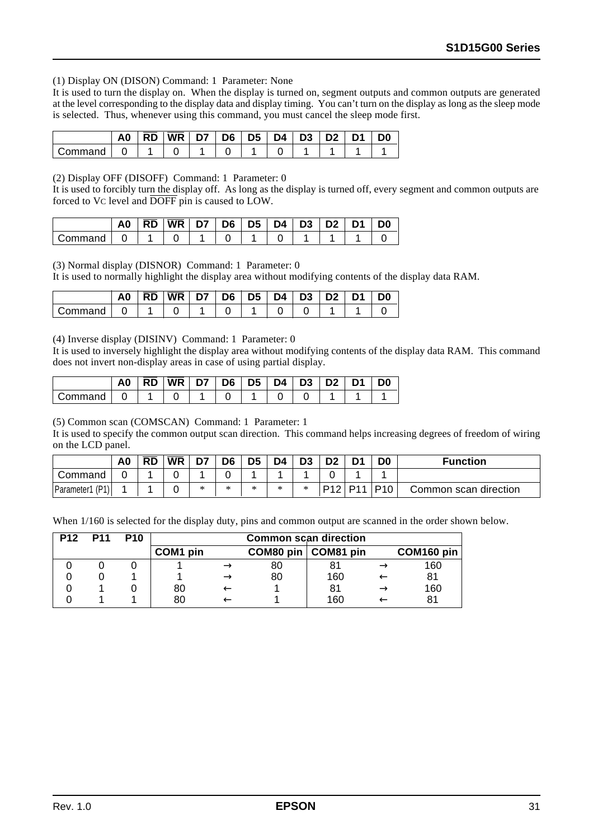#### (1) Display ON (DISON) Command: 1 Parameter: None

It is used to turn the display on. When the display is turned on, segment outputs and common outputs are generated at the level corresponding to the display data and display timing. You can't turn on the display as long as the sleep mode is selected. Thus, whenever using this command, you must cancel the sleep mode first.

|         | A0 | RD | WR | D7 | D6 | D5 | D4 L | D <sub>3</sub> | D <sub>2</sub> | D0 |
|---------|----|----|----|----|----|----|------|----------------|----------------|----|
| じommand |    |    |    |    |    |    |      |                |                |    |

(2) Display OFF (DISOFF) Command: 1 Parameter: 0

It is used to forcibly turn the display off. As long as the display is turned off, every segment and common outputs are forced to VC level and DOFF pin is caused to LOW.

|         | A0 | <b>RD</b> | <b>WR</b> | D7 | D6   D5 | D4 | D <sub>3</sub> | D <sub>2</sub> | D1 | D0 |
|---------|----|-----------|-----------|----|---------|----|----------------|----------------|----|----|
| ∶ommand |    |           |           |    |         |    |                |                |    |    |

(3) Normal display (DISNOR) Command: 1 Parameter: 0

It is used to normally highlight the display area without modifying contents of the display data RAM.

|         | A0 | <b>RD</b> | WR | D7 | D6 | D5 | D4 | $^+$ D3 | D <sub>2</sub> | D <sub>0</sub> |
|---------|----|-----------|----|----|----|----|----|---------|----------------|----------------|
| Command |    |           |    |    |    |    |    |         |                |                |

(4) Inverse display (DISINV) Command: 1 Parameter: 0

It is used to inversely highlight the display area without modifying contents of the display data RAM. This command does not invert non-display areas in case of using partial display.

|         | A0 | <b>RD</b> | <b>WR</b> | D7 | D6 | D5   D4 | D3 | D <sub>2</sub> | D٥ |
|---------|----|-----------|-----------|----|----|---------|----|----------------|----|
| Command |    |           |           |    |    |         |    |                |    |

(5) Common scan (COMSCAN) Command: 1 Parameter: 1

It is used to specify the common output scan direction. This command helps increasing degrees of freedom of wiring on the LCD panel.

|                    | A <sub>0</sub> | $\overline{RD}$ | <b>WR</b> | D7 | D <sub>6</sub> | D <sub>5</sub> | D4 | D <sub>3</sub> |     | D <sub>1</sub>  | D <sub>0</sub>  | <b>Function</b>       |
|--------------------|----------------|-----------------|-----------|----|----------------|----------------|----|----------------|-----|-----------------|-----------------|-----------------------|
| Command            |                |                 |           |    |                |                |    |                |     |                 |                 |                       |
| (P1)<br>Parameter1 |                |                 |           | ж  | *              | ×              | *  | *              | P12 | D <sub>11</sub> | P <sub>10</sub> | Common scan direction |

When  $1/160$  is selected for the display duty, pins and common output are scanned in the order shown below.

| <b>P12</b> | <b>P11</b> | <b>P10</b> |          | <b>Common scan direction</b> |    |                       |  |            |  |  |  |  |
|------------|------------|------------|----------|------------------------------|----|-----------------------|--|------------|--|--|--|--|
|            |            |            | COM1 pin |                              |    | COM80 pin   COM81 pin |  | COM160 pin |  |  |  |  |
|            |            |            |          |                              | 80 |                       |  | 160        |  |  |  |  |
|            |            |            |          |                              | 80 | 160                   |  | 81         |  |  |  |  |
|            |            |            | 80       |                              |    | 81                    |  | 160        |  |  |  |  |
|            |            |            | 80       |                              |    | 160                   |  |            |  |  |  |  |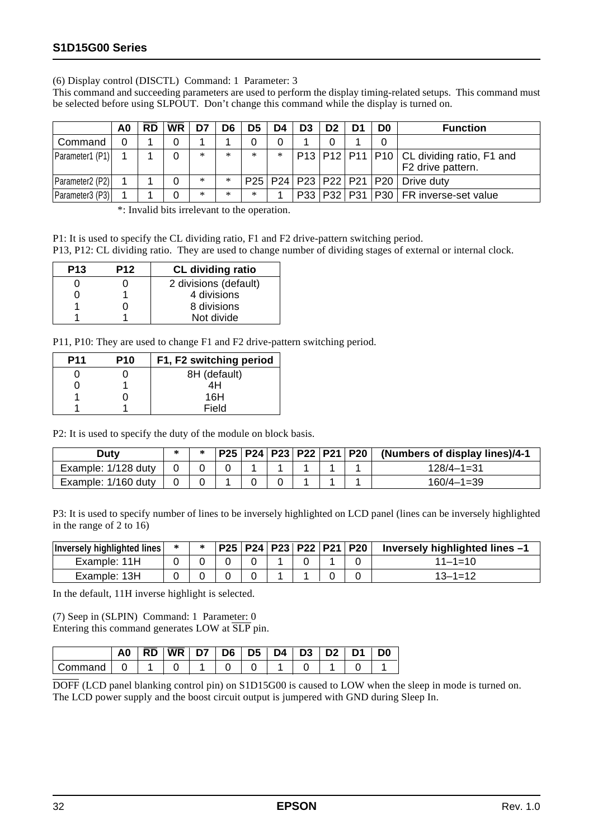(6) Display control (DISCTL) Command: 1 Parameter: 3

This command and succeeding parameters are used to perform the display timing-related setups. This command must be selected before using SLPOUT. Don't change this command while the display is turned on.

|                 | A0 | RD | <b>WR</b> |     | D6     | D5     |     | D3  | D2 | D0 | <b>Function</b>                                                |
|-----------------|----|----|-----------|-----|--------|--------|-----|-----|----|----|----------------------------------------------------------------|
| Command         |    |    |           |     |        |        |     |     |    |    |                                                                |
| Parameter1 (P1) |    |    |           | $*$ | $*$    | $*$    | $*$ |     |    |    | P13 P12 P11 P10 CL dividing ratio, F1 and<br>F2 drive pattern. |
| Parameter2 (P2) |    |    |           | *   | $\ast$ |        |     |     |    |    | P25   P24   P23   P22   P21   P20   Drive duty                 |
| Parameter3 (P3) |    |    |           | $*$ | $*$    | $\ast$ |     | P33 |    |    | P32   P31   P30   FR inverse-set value                         |

\*: Invalid bits irrelevant to the operation.

P1: It is used to specify the CL dividing ratio, F1 and F2 drive-pattern switching period.

P13, P12: CL dividing ratio. They are used to change number of dividing stages of external or internal clock.

| <b>P13</b> | <b>P12</b> | <b>CL dividing ratio</b> |
|------------|------------|--------------------------|
|            |            | 2 divisions (default)    |
|            |            | 4 divisions              |
|            |            | 8 divisions              |
|            |            | Not divide               |

P11, P10: They are used to change F1 and F2 drive-pattern switching period.

| <b>P11</b> | <b>P10</b> | F1, F2 switching period |
|------------|------------|-------------------------|
|            |            | 8H (default)            |
|            |            | 4H                      |
|            |            | 16H                     |
|            |            | Field                   |

P2: It is used to specify the duty of the module on block basis.

| Duty                |  |  |  |  | $ P25 P24 P23 P22 P21 P20 $ (Numbers of display lines)/4-1 |
|---------------------|--|--|--|--|------------------------------------------------------------|
| Example: 1/128 duty |  |  |  |  | $128/4 - 1 = 31$                                           |
| Example: 1/160 duty |  |  |  |  | $160/4 - 1 = 39$                                           |

P3: It is used to specify number of lines to be inversely highlighted on LCD panel (lines can be inversely highlighted in the range of 2 to 16)

| <b>Inversely highlighted lines</b> |  |  |  | *   P25   P24   P23   P22   P21   P20 | Inversely highlighted lines $-1$ |
|------------------------------------|--|--|--|---------------------------------------|----------------------------------|
| Example: 11H                       |  |  |  |                                       | $11 - 1 = 10$                    |
| Example: 13H                       |  |  |  |                                       | $13 - 1 = 12$                    |

In the default, 11H inverse highlight is selected.

(7) Seep in (SLPIN) Command: 1 Parameter: 0 Entering this command generates LOW at SLP pin.

| A <sub>0</sub> | <b>WR</b> | דח | D6 | D <sub>5</sub> | D4. | D <sub>3</sub> |  | D0 |
|----------------|-----------|----|----|----------------|-----|----------------|--|----|
|                |           |    |    |                |     |                |  |    |

DOFF (LCD panel blanking control pin) on S1D15G00 is caused to LOW when the sleep in mode is turned on. The LCD power supply and the boost circuit output is jumpered with GND during Sleep In.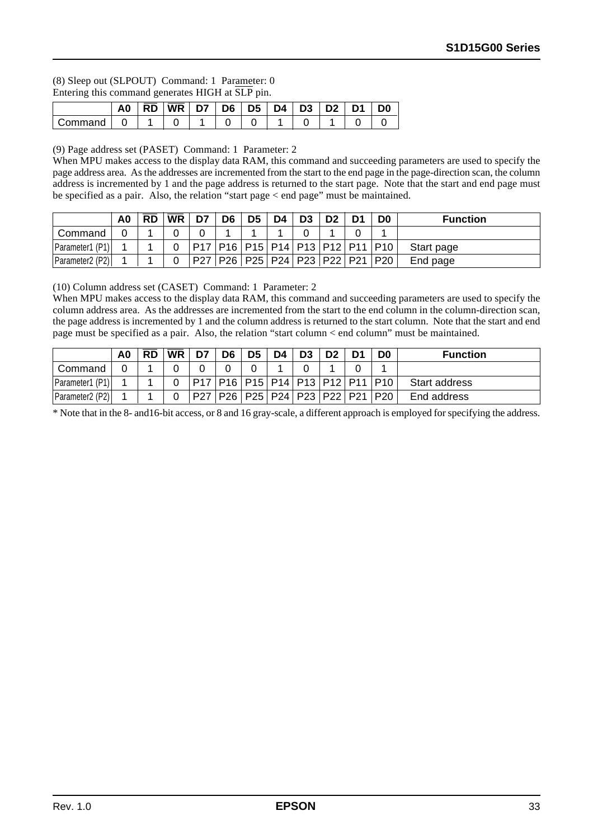#### (8) Sleep out (SLPOUT) Command: 1 Parameter: 0 Entering this command generates HIGH at SLP pin.

|         | A0 | <b>RD</b> | <b>WR</b> | D6 | D <sub>5</sub> | D4. | D <sub>3</sub> | D1 | D0 |
|---------|----|-----------|-----------|----|----------------|-----|----------------|----|----|
| `วmmand |    |           |           |    |                |     |                |    |    |

(9) Page address set (PASET) Command: 1 Parameter: 2

When MPU makes access to the display data RAM, this command and succeeding parameters are used to specify the page address area. As the addresses are incremented from the start to the end page in the page-direction scan, the column address is incremented by 1 and the page address is returned to the start page. Note that the start and end page must be specified as a pair. Also, the relation "start page < end page" must be maintained.

|                 | A <sub>0</sub> | $W$ R | D7 | D <sub>6</sub>                                | D5 | D4 | D <sub>3</sub> |  | <b>Function</b> |
|-----------------|----------------|-------|----|-----------------------------------------------|----|----|----------------|--|-----------------|
| Command         |                |       |    |                                               |    |    |                |  |                 |
| Parameter1 (P1) |                |       |    | P17   P16   P15   P14   P13   P12   P11   P10 |    |    |                |  | Start page      |
| Parameter2 (P2) |                |       |    | P27   P26   P25   P24   P23   P22   P21   P20 |    |    |                |  | End page        |

(10) Column address set (CASET) Command: 1 Parameter: 2

When MPU makes access to the display data RAM, this command and succeeding parameters are used to specify the column address area. As the addresses are incremented from the start to the end column in the column-direction scan, the page address is incremented by 1 and the column address is returned to the start column. Note that the start and end page must be specified as a pair. Also, the relation "start column < end column" must be maintained.

|                 | A <sub>0</sub> | <b>RD</b> | <b>WR</b> | D7 | D6 | D <sub>5</sub> | D4 | D3                                            |  | D0 | <b>Function</b> |
|-----------------|----------------|-----------|-----------|----|----|----------------|----|-----------------------------------------------|--|----|-----------------|
| Command         |                |           |           |    |    |                |    |                                               |  |    |                 |
| Parameter1 (P1) |                |           |           |    |    |                |    | P17   P16   P15   P14   P13   P12   P11   P10 |  |    | Start address   |
| Parameter2 (P2) |                |           |           |    |    |                |    | P27   P26   P25   P24   P23   P22   P21   P20 |  |    | End address     |

\* Note that in the 8- and16-bit access, or 8 and 16 gray-scale, a different approach is employed for specifying the address.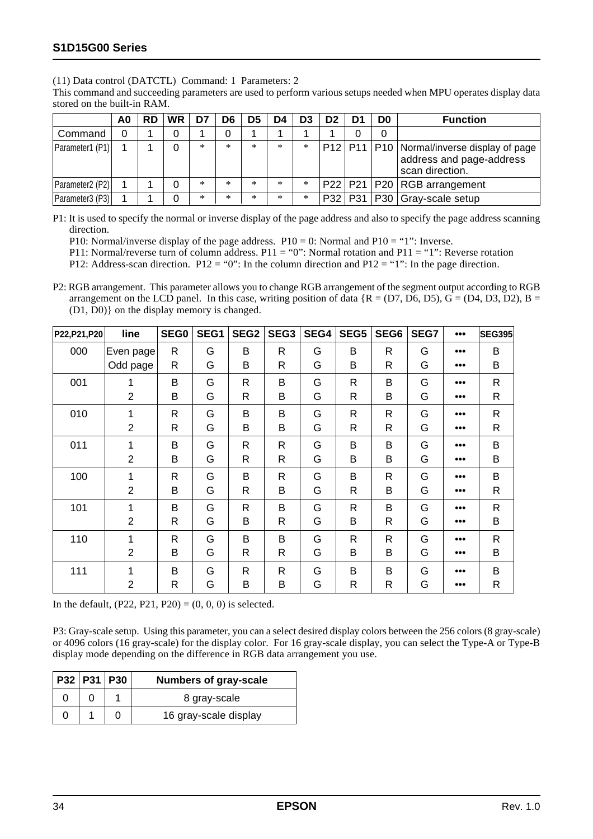(11) Data control (DATCTL) Command: 1 Parameters: 2

This command and succeeding parameters are used to perform various setups needed when MPU operates display data stored on the built-in RAM.

|                                          | A0 | <b>RD</b> | <b>WR</b> |     | D6          | D5     |     | D3     | D2 | D <sub>0</sub> | <b>Function</b>                                                                                   |
|------------------------------------------|----|-----------|-----------|-----|-------------|--------|-----|--------|----|----------------|---------------------------------------------------------------------------------------------------|
| Command                                  |    |           |           |     |             |        |     |        |    |                |                                                                                                   |
| <b>Parameter1</b> (P1)                   |    |           |           | $*$ | $\ast$      | $\ast$ | $*$ | $\ast$ |    |                | P12   P11   P10   Normal/inverse display of page  <br>address and page-address<br>scan direction. |
| Parameter <sub>2</sub> (P <sub>2</sub> ) |    |           |           | *   | ${}^{\ast}$ | $\ast$ | *   | $\ast$ |    |                | $P22$   P21   P20   RGB arrangement                                                               |
| Parameter3 (P3)                          |    |           |           | *   | $\ast$      | $*$    | $*$ | $\ast$ |    |                | P32   P31   P30   Gray-scale setup                                                                |

P1: It is used to specify the normal or inverse display of the page address and also to specify the page address scanning direction.

P10: Normal/inverse display of the page address.  $P10 = 0$ : Normal and  $P10 = "1"$ : Inverse.

P11: Normal/reverse turn of column address. P11 = "0": Normal rotation and P11 = "1": Reverse rotation

P12: Address-scan direction. P12 = "0": In the column direction and P12 = "1": In the page direction.

P2: RGB arrangement. This parameter allows you to change RGB arrangement of the segment output according to RGB arrangement on the LCD panel. In this case, writing position of data  ${R = (D7, D6, D5), G = (D4, D3, D2), B =}$ (D1, D0)} on the display memory is changed.

| P22, P21, P20 | line           | SEG0         | SEG1 | SEG <sub>2</sub> | SEG <sub>3</sub> | SEG4 | SEG5         | SEG6         | SEG7 | 000                     | <b>SEG395</b> |
|---------------|----------------|--------------|------|------------------|------------------|------|--------------|--------------|------|-------------------------|---------------|
| 000           | Even page      | R            | G    | B                | $\mathsf{R}$     | G    | B            | R            | G    | $\bullet\bullet\bullet$ | B             |
|               | Odd page       | R            | G    | B                | R                | G    | B            | R            | G    |                         | B             |
| 001           | 1              | B            | G    | R                | B                | G    | $\mathsf{R}$ | B            | G    |                         | $\mathsf R$   |
|               | $\overline{2}$ | B            | G    | R                | B                | G    | $\mathsf{R}$ | B            | G    |                         | R             |
| 010           | 1              | $\mathsf{R}$ | G    | B                | B                | G    | R            | R            | G    |                         | $\mathsf R$   |
|               | $\overline{2}$ | $\mathsf{R}$ | G    | B                | B                | G    | R            | R            | G    |                         | $\mathsf{R}$  |
| 011           | 1              | B            | G    | R                | $\mathsf{R}$     | G    | B            | B            | G    |                         | B             |
|               | $\overline{2}$ | B            | G    | R                | R                | G    | B            | B            | G    |                         | B             |
| 100           | 1              | R            | G    | B                | R                | G    | B            | R            | G    |                         | B             |
|               | $\overline{2}$ | B            | G    | R                | B                | G    | R            | B            | G    |                         | R             |
| 101           | 1              | B            | G    | R                | B                | G    | $\mathsf{R}$ | B            | G    |                         | ${\sf R}$     |
|               | $\overline{2}$ | R            | G    | B                | R                | G    | B            | R            | G    |                         | B             |
| 110           | 1              | R            | G    | B                | B                | G    | $\mathsf{R}$ | $\mathsf{R}$ | G    |                         | $\mathsf{R}$  |
|               | $\overline{2}$ | B            | G    | R                | R                | G    | B            | B            | G    |                         | B             |
| 111           | 1              | B            | G    | R                | R                | G    | B            | B            | G    |                         | B             |
|               | $\overline{2}$ | R            | G    | B                | B                | G    | $\mathsf{R}$ | R            | G    |                         | R             |

In the default,  $(P22, P21, P20) = (0, 0, 0)$  is selected.

P3: Gray-scale setup. Using this parameter, you can a select desired display colors between the 256 colors (8 gray-scale) or 4096 colors (16 gray-scale) for the display color. For 16 gray-scale display, you can select the Type-A or Type-B display mode depending on the difference in RGB data arrangement you use.

| $ $ P32   P31   P30 |  | <b>Numbers of gray-scale</b> |
|---------------------|--|------------------------------|
|                     |  | 8 gray-scale                 |
|                     |  | 16 gray-scale display        |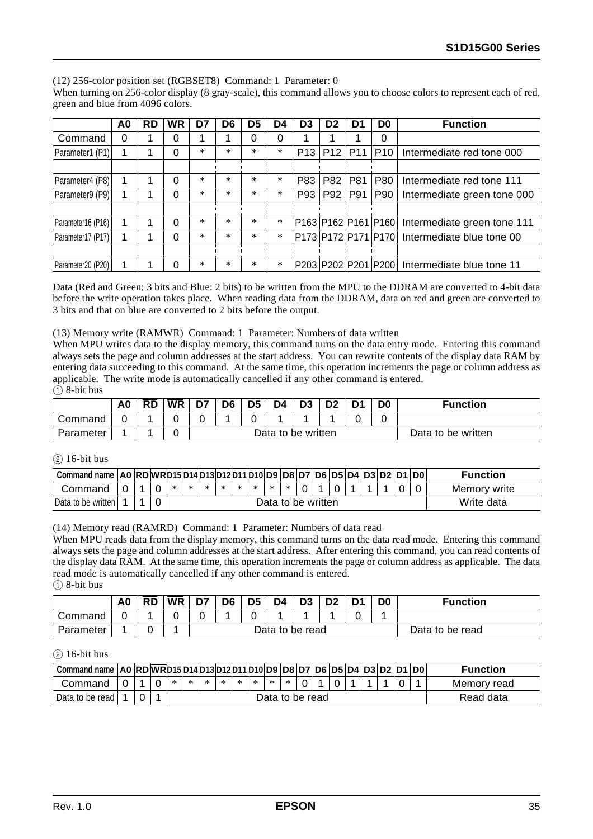(12) 256-color position set (RGBSET8) Command: 1 Parameter: 0

When turning on 256-color display (8 gray-scale), this command allows you to choose colors to represent each of red, green and blue from 4096 colors.

|                   | A0 | $\overline{RD}$ | <b>WR</b> | D7 | D <sub>6</sub> | D <sub>5</sub> | D4     | D <sub>3</sub> | D <sub>2</sub> | D1         | D <sub>0</sub>      | <b>Function</b>                               |
|-------------------|----|-----------------|-----------|----|----------------|----------------|--------|----------------|----------------|------------|---------------------|-----------------------------------------------|
| Command           | 0  |                 | 0         |    |                | 0              | ი      |                |                |            |                     |                                               |
| Parameter1 (P1)   |    |                 |           | ×. | ×.             | ×.             | $\ast$ | P13            | P12            |            | $P11$  P10          | Intermediate red tone 000                     |
|                   |    |                 |           |    |                |                |        |                |                |            |                     |                                               |
| Parameter4 (P8)   |    |                 |           | *  | ×.             | ×.             | $\ast$ | P83            | P82            | <b>P81</b> | <b>P80</b>          | Intermediate red tone 111                     |
| Parameter9 (P9)   |    |                 |           | ×. | ×              | ×.             | $\ast$ | P93            | P92            | P91        | P90                 | Intermediate green tone 000                   |
|                   |    |                 |           |    |                |                |        |                |                |            |                     |                                               |
| Parameter16 (P16) |    |                 |           | ×. | ×.             | ×.             | $\ast$ |                |                |            | P163 P162 P161 P160 | Intermediate green tone 111                   |
| Parameter17 (P17) |    |                 |           | *  | ×              | $\ast$         | $\ast$ |                |                |            |                     | P173 P172 P171 P170 Intermediate blue tone 00 |
|                   |    |                 |           |    |                |                |        |                |                |            |                     |                                               |
| Parameter20 (P20) |    |                 |           | *  | ×              | ×.             | $\ast$ |                |                |            |                     | P203 P202 P201 P200 Intermediate blue tone 11 |

Data (Red and Green: 3 bits and Blue: 2 bits) to be written from the MPU to the DDRAM are converted to 4-bit data before the write operation takes place. When reading data from the DDRAM, data on red and green are converted to 3 bits and that on blue are converted to 2 bits before the output.

#### (13) Memory write (RAMWR) Command: 1 Parameter: Numbers of data written

When MPU writes data to the display memory, this command turns on the data entry mode. Entering this command always sets the page and column addresses at the start address. You can rewrite contents of the display data RAM by entering data succeeding to this command. At the same time, this operation increments the page or column address as applicable. The write mode is automatically cancelled if any other command is entered.  $\bigcap$ 

| 8-bit bus |  |
|-----------|--|
|           |  |

|           | A0 | $\overline{RD}$ | <b>WR</b> | D7 | D <sub>6</sub> | D <sub>5</sub> | D4 |                    | no. | D <sub>0</sub> | <b>Function</b>    |
|-----------|----|-----------------|-----------|----|----------------|----------------|----|--------------------|-----|----------------|--------------------|
| Command   |    |                 |           |    |                |                |    |                    |     |                |                    |
| Parameter |    |                 |           |    |                |                |    | Data to be written |     |                | Data to be written |

#### $(2)$  16-bit bus

| Command name   A0   RD   WR  D15   D14   D13   D12   D11   D10   D9   D8   D7   D6   D5   D4   D3   D2   D1   D0 |   |  |   |                    |      |   |   |   |   |   |  |  |  |  |  |  |            | <b>Function</b> |
|------------------------------------------------------------------------------------------------------------------|---|--|---|--------------------|------|---|---|---|---|---|--|--|--|--|--|--|------------|-----------------|
| Command                                                                                                          | 0 |  | ∗ | $\ast$             | - 26 | * | * | * | * | * |  |  |  |  |  |  |            | Memory write    |
| IData to be written I                                                                                            |   |  |   | Data to be written |      |   |   |   |   |   |  |  |  |  |  |  | Write data |                 |

#### (14) Memory read (RAMRD) Command: 1 Parameter: Numbers of data read

When MPU reads data from the display memory, this command turns on the data read mode. Entering this command always sets the page and column addresses at the start address. After entering this command, you can read contents of the display data RAM. At the same time, this operation increments the page or column address as applicable. The data read mode is automatically cancelled if any other command is entered.

 $(1)$  8-bit bus

|           | A <sub>0</sub> | <b>RD</b> | <b>WR</b> | D7 | D <sub>6</sub> | D <sub>5</sub> | D4 | D <sub>3</sub>  | מח | $\mathsf{D}'$ | D <sub>0</sub> | <b>Function</b> |
|-----------|----------------|-----------|-----------|----|----------------|----------------|----|-----------------|----|---------------|----------------|-----------------|
| Command   |                |           |           |    |                |                |    |                 |    |               |                |                 |
| Parameter |                |           |           |    |                |                |    | Data to be read |    |               |                | Data to be read |

#### $(2)$  16-bit bus

| Command name   AO   RD   WR D15  D14  D13  D12  D11  D10   D9   D8   D7   D6   D5   D4   D3   D2   D1   D0 |  |  |                 |    |        |   |        |        |         |  |  |  |           |  | <b>Function</b> |
|------------------------------------------------------------------------------------------------------------|--|--|-----------------|----|--------|---|--------|--------|---------|--|--|--|-----------|--|-----------------|
| Command                                                                                                    |  |  | $\ast$          | ж. | $\ast$ | ∗ | $\sim$ | $\ast$ | $\cdot$ |  |  |  |           |  | Memory read     |
| Data to be read I                                                                                          |  |  | Data to be read |    |        |   |        |        |         |  |  |  | Read data |  |                 |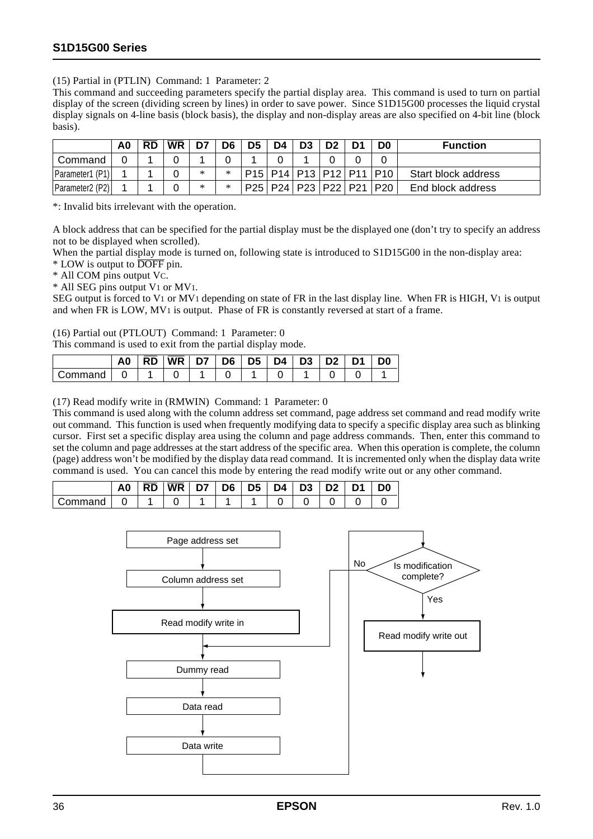(15) Partial in (PTLIN) Command: 1 Parameter: 2

This command and succeeding parameters specify the partial display area. This command is used to turn on partial display of the screen (dividing screen by lines) in order to save power. Since S1D15G00 processes the liquid crystal display signals on 4-line basis (block basis), the display and non-display areas are also specified on 4-bit line (block basis).

|                                          | A0 | <b>RD</b> | <b>WR</b> | D7 | D6 | D5 | D4 | D <sub>3</sub>                    |  | D0                                                                                                        | <b>Function</b>     |
|------------------------------------------|----|-----------|-----------|----|----|----|----|-----------------------------------|--|-----------------------------------------------------------------------------------------------------------|---------------------|
| Command                                  |    |           |           |    |    |    |    |                                   |  |                                                                                                           |                     |
| Parameter1 (P1)                          |    |           |           | ж  |    |    |    |                                   |  | P <sub>15</sub>   P <sub>14</sub>   P <sub>13</sub>   P <sub>12</sub>   P <sub>11</sub>   P <sub>10</sub> | Start block address |
| Parameter <sub>2</sub> (P <sub>2</sub> ) |    |           |           | ж  |    |    |    | P25   P24   P23   P22   P21   P20 |  |                                                                                                           | End block address   |

\*: Invalid bits irrelevant with the operation.

A block address that can be specified for the partial display must be the displayed one (don't try to specify an address not to be displayed when scrolled).

When the partial display mode is turned on, following state is introduced to S1D15G00 in the non-display area:

\* LOW is output to DOFF pin.

\* All COM pins output VC.

\* All SEG pins output V1 or MV1.

SEG output is forced to V1 or MV1 depending on state of FR in the last display line. When FR is HIGH, V1 is output and when FR is LOW, MV1 is output. Phase of FR is constantly reversed at start of a frame.

(16) Partial out (PTLOUT) Command: 1 Parameter: 0

This command is used to exit from the partial display mode.

|        | A <sub>0</sub> | <b>RD</b> | <b>WR</b> | D7 | D6 | D <sub>5</sub> | D4 | 'D3 | D <sub>2</sub> | D1 | D0 |
|--------|----------------|-----------|-----------|----|----|----------------|----|-----|----------------|----|----|
| าmmand |                |           |           |    |    |                |    |     |                |    |    |

(17) Read modify write in (RMWIN) Command: 1 Parameter: 0

This command is used along with the column address set command, page address set command and read modify write out command. This function is used when frequently modifying data to specify a specific display area such as blinking cursor. First set a specific display area using the column and page address commands. Then, enter this command to set the column and page addresses at the start address of the specific area. When this operation is complete, the column (page) address won't be modified by the display data read command. It is incremented only when the display data write command is used. You can cancel this mode by entering the read modify write out or any other command.

|           | A0 |  |  |  | RD   WR   D7   D6   D5   D4   D3   D2   D1 |  | D <sub>0</sub> |
|-----------|----|--|--|--|--------------------------------------------|--|----------------|
| l Command |    |  |  |  |                                            |  |                |

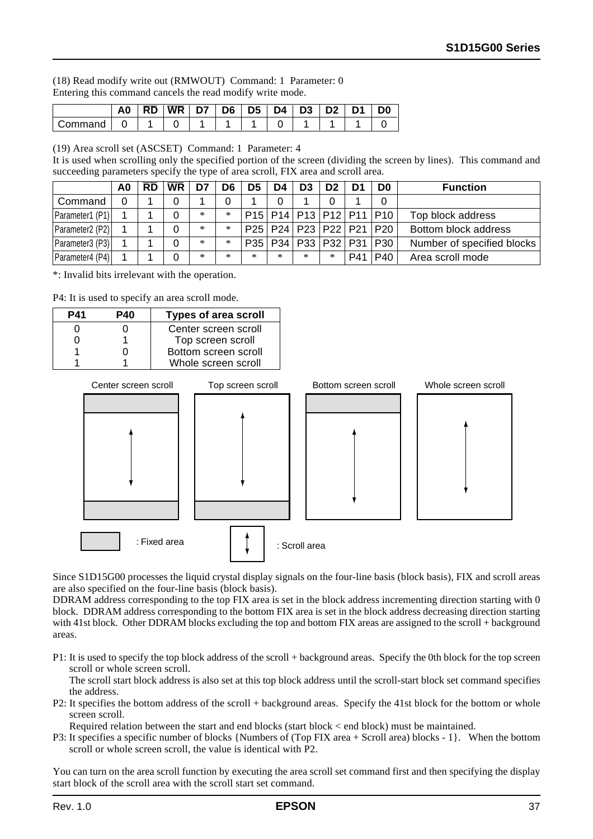(18) Read modify write out (RMWOUT) Command: 1 Parameter: 0 Entering this command cancels the read modify write mode.

|         | A0 | RD | <b>WR</b> | ~~ | D6 | D <sub>5</sub> | D4 | D <sub>3</sub> | n, | D0 |
|---------|----|----|-----------|----|----|----------------|----|----------------|----|----|
| Command |    |    |           |    |    |                |    |                |    |    |

(19) Area scroll set (ASCSET) Command: 1 Parameter: 4

It is used when scrolling only the specified portion of the screen (dividing the screen by lines). This command and succeeding parameters specify the type of area scroll, FIX area and scroll area.

|                 | A0 | <b>RD</b> | <b>WR</b> |     | D6     | D5  | D4  | D3                                | D <sub>2</sub> |     | D <sub>0</sub> | <b>Function</b>            |
|-----------------|----|-----------|-----------|-----|--------|-----|-----|-----------------------------------|----------------|-----|----------------|----------------------------|
| Command         |    |           |           |     |        |     |     |                                   |                |     |                |                            |
| Parameter1 (P1) |    |           |           | $*$ | $\ast$ |     |     | P15   P14   P13   P12   P11   P10 |                |     |                | Top block address          |
| Parameter2 (P2) |    |           |           | $*$ | $*$    |     |     | P25   P24   P23   P22   P21   P20 |                |     |                | Bottom block address       |
| Parameter3 (P3) |    |           |           | $*$ | $\ast$ |     |     | P35   P34   P33   P32   P31   P30 |                |     |                | Number of specified blocks |
| Parameter4 (P4) |    |           |           | $*$ | $*$    | $*$ | $*$ | $*$                               | ∗              | P41 | PA()           | Area scroll mode           |

\*: Invalid bits irrelevant with the operation.

P4: It is used to specify an area scroll mode.



Since S1D15G00 processes the liquid crystal display signals on the four-line basis (block basis), FIX and scroll areas are also specified on the four-line basis (block basis).

DDRAM address corresponding to the top FIX area is set in the block address incrementing direction starting with 0 block. DDRAM address corresponding to the bottom FIX area is set in the block address decreasing direction starting with 41st block. Other DDRAM blocks excluding the top and bottom FIX areas are assigned to the scroll + background areas.

P1: It is used to specify the top block address of the scroll + background areas. Specify the 0th block for the top screen scroll or whole screen scroll.

The scroll start block address is also set at this top block address until the scroll-start block set command specifies the address.

P2: It specifies the bottom address of the scroll + background areas. Specify the 41st block for the bottom or whole screen scroll.

Required relation between the start and end blocks (start block < end block) must be maintained.

P3: It specifies a specific number of blocks {Numbers of (Top FIX area + Scroll area) blocks - 1}. When the bottom scroll or whole screen scroll, the value is identical with P2.

You can turn on the area scroll function by executing the area scroll set command first and then specifying the display start block of the scroll area with the scroll start set command.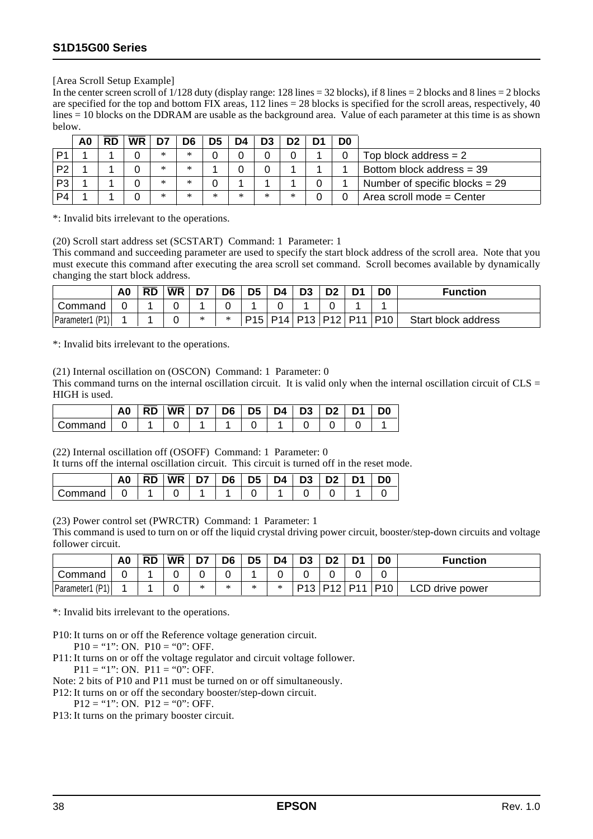#### [Area Scroll Setup Example]

In the center screen scroll of  $1/128$  duty (display range:  $128$  lines  $= 32$  blocks), if 8 lines  $= 2$  blocks and 8 lines  $= 2$  blocks are specified for the top and bottom FIX areas,  $112$  lines = 28 blocks is specified for the scroll areas, respectively, 40 lines = 10 blocks on the DDRAM are usable as the background area. Value of each parameter at this time is as shown below.

|                | A0 | RD | <b>WR</b> |        | D6 |   | D4 |     |   | D <sub>0</sub> |                                  |
|----------------|----|----|-----------|--------|----|---|----|-----|---|----------------|----------------------------------|
|                |    |    |           | $\ast$ | *  |   |    |     |   |                | $Top$ block address = 2          |
| P <sub>2</sub> |    |    |           | $\ast$ | *  |   |    |     |   |                | Bottom block address = 39        |
| P3             |    |    |           | $\ast$ | ×  |   |    |     |   |                | Number of specific blocks $= 29$ |
| P4             |    |    |           | ж      | ×  | × | ж  | $*$ | ∗ |                | Area scroll mode = Center        |

\*: Invalid bits irrelevant to the operations.

(20) Scroll start address set (SCSTART) Command: 1 Parameter: 1

This command and succeeding parameter are used to specify the start block address of the scroll area. Note that you must execute this command after executing the area scroll set command. Scroll becomes available by dynamically changing the start block address.

|                    | A0 | <b>RD</b> | <b>WR</b> | D7                     | D6 | D5 | D4 | D <sub>3</sub>                    |  | D <sub>0</sub> | <b>Function</b>     |
|--------------------|----|-----------|-----------|------------------------|----|----|----|-----------------------------------|--|----------------|---------------------|
| Command            |    |           |           |                        |    |    |    |                                   |  |                |                     |
| (PI)<br>Parameter1 |    |           |           | $\mathbf{r}$<br>$\sim$ | *  |    |    | P15   P14   P13   P12   P11   P10 |  |                | Start block address |

\*: Invalid bits irrelevant to the operations.

(21) Internal oscillation on (OSCON) Command: 1 Parameter: 0

This command turns on the internal oscillation circuit. It is valid only when the internal oscillation circuit of  $CLS =$ HIGH is used.

|         | A0 | <b>RD</b> | <b>WR</b> | D7 | D6 | D5 | D4 | D <sub>3</sub> | D <sub>2</sub> |  |
|---------|----|-----------|-----------|----|----|----|----|----------------|----------------|--|
| Command |    |           |           |    |    |    |    |                |                |  |

(22) Internal oscillation off (OSOFF) Command: 1 Parameter: 0

It turns off the internal oscillation circuit. This circuit is turned off in the reset mode.

|         | A <sub>0</sub> | <b>RD</b> | <b>WR</b> | D7 | D6 | D <sub>5</sub> | D4 | D <sub>3</sub> | D <sub>2</sub> | D1 | D0 |
|---------|----------------|-----------|-----------|----|----|----------------|----|----------------|----------------|----|----|
| Command |                |           |           |    |    |                |    |                |                |    |    |

(23) Power control set (PWRCTR) Command: 1 Parameter: 1

This command is used to turn on or off the liquid crystal driving power circuit, booster/step-down circuits and voltage follower circuit.

|                 | A <sub>0</sub> | <b>RD</b> | <b>WR</b> | D7 | D <sub>6</sub> | D5 | D4 | D <sub>3</sub>  |  | D <sub>0</sub> | <b>Function</b> |
|-----------------|----------------|-----------|-----------|----|----------------|----|----|-----------------|--|----------------|-----------------|
| ' Command       |                |           |           |    |                |    |    |                 |  |                |                 |
| Parameter1 (P1) |                |           |           | ж  | *              | *  | ∗  | P13   P12   P11 |  | $ P10\rangle$  | LCD drive power |

\*: Invalid bits irrelevant to the operations.

P10: It turns on or off the Reference voltage generation circuit.  $P10 = "1"$ : ON.  $P10 = "0"$ : OFF.

P11: It turns on or off the voltage regulator and circuit voltage follower.

 $P11 = "1"$ : ON.  $P11 = "0"$ : OFF.

Note: 2 bits of P10 and P11 must be turned on or off simultaneously.

P12: It turns on or off the secondary booster/step-down circuit.

 $P12 = "1"$ : ON.  $P12 = "0"$ : OFF.

P13: It turns on the primary booster circuit.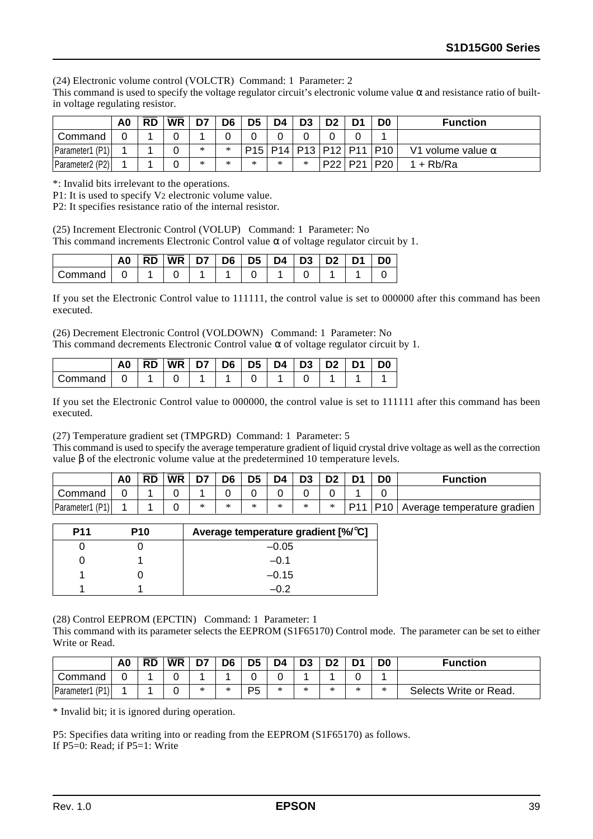(24) Electronic volume control (VOLCTR) Command: 1 Parameter: 2

This command is used to specify the voltage regulator circuit's electronic volume value  $\alpha$  and resistance ratio of builtin voltage regulating resistor.

|                                          | A0 | <b>RD</b> | <b>WR</b> | D7 | D6        | D5     | D4 | D <sub>3</sub>                      |                 | D <sub>0</sub> | <b>Function</b>          |
|------------------------------------------|----|-----------|-----------|----|-----------|--------|----|-------------------------------------|-----------------|----------------|--------------------------|
| Command                                  |    |           |           |    |           |        |    |                                     |                 |                |                          |
| Parameter1 (P1)                          |    |           |           | ж  | *         |        |    | $P15$   P14   P13   P12   P11   P10 |                 |                | V1 volume value $\alpha$ |
| Parameter <sub>2</sub> (P <sub>2</sub> ) |    |           |           | ж  | ste<br>ж. | $\ast$ | ж  | *                                   | P22   P21   P20 |                | $1 + Rb/Ra$              |

\*: Invalid bits irrelevant to the operations.

P1: It is used to specify V2 electronic volume value.

P2: It specifies resistance ratio of the internal resistor.

(25) Increment Electronic Control (VOLUP) Command: 1 Parameter: No This command increments Electronic Control value  $\alpha$  of voltage regulator circuit by 1.

|         | A0 | <b>RD</b> | <b>WR</b> | D7 | D6 | D <sub>5</sub> | D4 | D <sub>3</sub> | D <sub>2</sub> | D1 | סכ |
|---------|----|-----------|-----------|----|----|----------------|----|----------------|----------------|----|----|
| Command |    |           |           |    |    |                |    |                |                |    |    |

If you set the Electronic Control value to 111111, the control value is set to 000000 after this command has been executed.

(26) Decrement Electronic Control (VOLDOWN) Command: 1 Parameter: No This command decrements Electronic Control value  $\alpha$  of voltage regulator circuit by 1.

|         | A0 | <b>RD</b> | <b>WR</b> | D7 | D6 | D <sub>5</sub> | D4 | $\mid$ D <sub>3</sub> | D <sub>2</sub> | D0 |
|---------|----|-----------|-----------|----|----|----------------|----|-----------------------|----------------|----|
| Command |    |           |           |    |    |                |    |                       |                |    |

If you set the Electronic Control value to 000000, the control value is set to 111111 after this command has been executed.

(27) Temperature gradient set (TMPGRD) Command: 1 Parameter: 5

This command is used to specify the average temperature gradient of liquid crystal drive voltage as well as the correction value β of the electronic volume value at the predetermined 10 temperature levels.

|                    | A0 | <b>RD</b> | <b>WR</b> | D7 | D6 | D <sub>5</sub> | D4 | D <sub>3</sub> |        | D1  | D <sub>0</sub> | <b>Function</b>             |
|--------------------|----|-----------|-----------|----|----|----------------|----|----------------|--------|-----|----------------|-----------------------------|
| Command            |    |           |           |    |    |                |    |                |        |     |                |                             |
| (P1)<br>Parameter1 |    |           |           | ÷  | ÷  | ×              | ж  |                | $\ast$ | P11 | PI0            | Average temperature gradien |

| <b>P11</b> | <b>P10</b> | Average temperature gradient [%/°C] |
|------------|------------|-------------------------------------|
|            |            | $-0.05$                             |
|            |            | $-0.1$                              |
|            |            | $-0.15$                             |
|            |            |                                     |

(28) Control EEPROM (EPCTIN) Command: 1 Parameter: 1

This command with its parameter selects the EEPROM (S1F65170) Control mode. The parameter can be set to either Write or Read.

|                    | A0 | RD | <b>WR</b> | D7 | D6 | D <sub>5</sub> | D4     | D <sub>3</sub> | D <sub>2</sub> |    | D <sub>0</sub> | <b>Function</b>        |
|--------------------|----|----|-----------|----|----|----------------|--------|----------------|----------------|----|----------------|------------------------|
| Command            |    |    |           |    |    |                |        |                |                |    |                |                        |
| (P1)<br>Parameter1 |    |    |           | ж  | ×  | P <sub>5</sub> | $\ast$ |                | ÷              | ж. | ж.             | Selects Write or Read. |

\* Invalid bit; it is ignored during operation.

P5: Specifies data writing into or reading from the EEPROM (S1F65170) as follows. If  $P5=0$ : Read; if  $P5=1$ : Write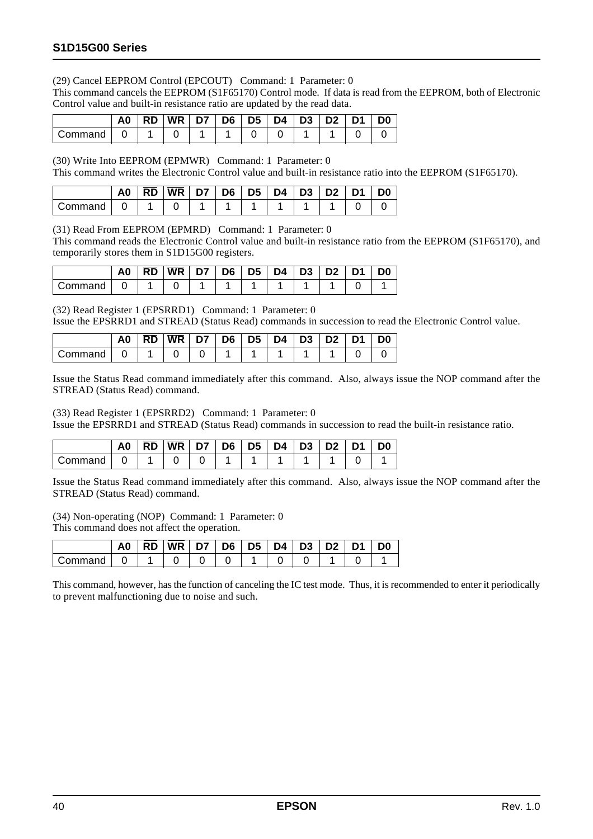(29) Cancel EEPROM Control (EPCOUT) Command: 1 Parameter: 0

This command cancels the EEPROM (S1F65170) Control mode. If data is read from the EEPROM, both of Electronic Control value and built-in resistance ratio are updated by the read data.

|         | A0 | <b>RD</b> | <b>WR</b> | D7 | D6 | D5   D4 | D <sub>3</sub> | _ כח | ∣ D1 | D <sub>0</sub> |
|---------|----|-----------|-----------|----|----|---------|----------------|------|------|----------------|
| Command |    |           |           |    |    |         |                |      |      |                |

(30) Write Into EEPROM (EPMWR) Command: 1 Parameter: 0

This command writes the Electronic Control value and built-in resistance ratio into the EEPROM (S1F65170).

|         | A0 | RD | WR I | <b>D7 D6 D5</b> I |  | $D4 \mid D3$ | <b>D2</b> | D <sub>1</sub> | D0 |
|---------|----|----|------|-------------------|--|--------------|-----------|----------------|----|
| Command |    |    |      |                   |  |              |           |                |    |

(31) Read From EEPROM (EPMRD) Command: 1 Parameter: 0

This command reads the Electronic Control value and built-in resistance ratio from the EEPROM (S1F65170), and temporarily stores them in S1D15G00 registers.

|         | A0 | <b>RD</b> | <b>WR</b> | D7   D6 | D5 | $\mathsf{D4}$   D3 | $\overline{D2}$ | D <sub>1</sub> | D <sub>0</sub> |
|---------|----|-----------|-----------|---------|----|--------------------|-----------------|----------------|----------------|
| Command |    |           |           |         |    |                    |                 |                |                |

(32) Read Register 1 (EPSRRD1) Command: 1 Parameter: 0

Issue the EPSRRD1 and STREAD (Status Read) commands in succession to read the Electronic Control value.

|         | A0 | RD | <b>WR</b> | D7 | D <sub>6</sub> | D <sub>5</sub> | D4 | D <sub>3</sub> | D <sub>1</sub> | D <sub>0</sub> |
|---------|----|----|-----------|----|----------------|----------------|----|----------------|----------------|----------------|
| Command |    |    |           |    |                |                |    |                |                |                |

Issue the Status Read command immediately after this command. Also, always issue the NOP command after the STREAD (Status Read) command.

(33) Read Register 1 (EPSRRD2) Command: 1 Parameter: 0

Issue the EPSRRD1 and STREAD (Status Read) commands in succession to read the built-in resistance ratio.

|          | A0 | <b>RD</b> | $ \overline{\text{WR}} $ D7 |  | $ $ D6 $ $ D5 $ $ | $\mid$ D4 $\mid$ D3 | $\overline{D2}$ | D1 | D <sub>0</sub> |
|----------|----|-----------|-----------------------------|--|-------------------|---------------------|-----------------|----|----------------|
| Command: |    |           |                             |  |                   |                     |                 |    |                |

Issue the Status Read command immediately after this command. Also, always issue the NOP command after the STREAD (Status Read) command.

(34) Non-operating (NOP) Command: 1 Parameter: 0 This command does not affect the operation.

|         | A <sub>0</sub> | <b>RD</b> | <b>WR</b> | D6 | D <sub>5</sub> | D4 | D3 |  | D0 |
|---------|----------------|-----------|-----------|----|----------------|----|----|--|----|
| ∶ommand |                |           |           |    |                |    |    |  |    |

This command, however, has the function of canceling the IC test mode. Thus, it is recommended to enter it periodically to prevent malfunctioning due to noise and such.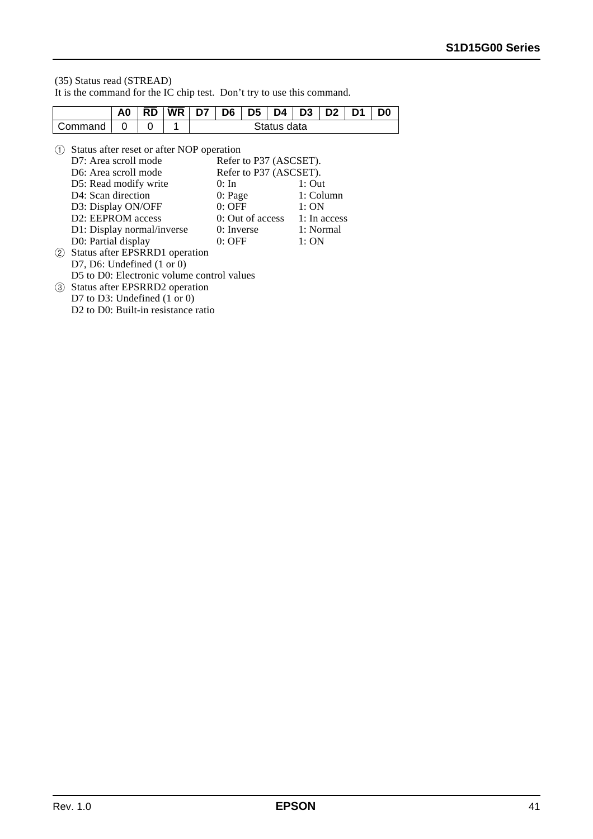#### (35) Status read (STREAD) It is the command for the IC chip test. Don't try to use this command.

|                   |                                                                                                                                                                                                                                                                                                                                                                                                                                                                                                                             | A0 | <b>RD</b> | WR. | D7 | D6                                                         | D5 | D4          | D <sub>3</sub>                                                                                                               | D <sub>2</sub> | D1 | D0 |
|-------------------|-----------------------------------------------------------------------------------------------------------------------------------------------------------------------------------------------------------------------------------------------------------------------------------------------------------------------------------------------------------------------------------------------------------------------------------------------------------------------------------------------------------------------------|----|-----------|-----|----|------------------------------------------------------------|----|-------------|------------------------------------------------------------------------------------------------------------------------------|----------------|----|----|
|                   | Command                                                                                                                                                                                                                                                                                                                                                                                                                                                                                                                     | 0  | O         | 1   |    |                                                            |    | Status data |                                                                                                                              |                |    |    |
| (1)<br>(2)<br>(3) | Status after reset or after NOP operation<br>D7: Area scroll mode<br>D6: Area scroll mode<br>D5: Read modify write<br>D4: Scan direction<br>D3: Display ON/OFF<br>D <sub>2</sub> : EEPROM access<br>D1: Display normal/inverse<br>D0: Partial display<br>Status after EPSRRD1 operation<br>D7, D6: Undefined $(1 \text{ or } 0)$<br>D5 to D0: Electronic volume control values<br>Status after EPSRRD2 operation<br>D7 to D3: Undefined $(1 \text{ or } 0)$<br>D <sub>2</sub> to D <sub>0</sub> : Built-in resistance ratio |    |           |     |    | $0:$ In<br>0: Page<br>$0:$ OFF<br>$0:$ Inverse<br>$0:$ OFF |    |             | Refer to P37 (ASCSET).<br>Refer to P37 (ASCSET).<br>$1:$ Out<br>1:ON<br>0: Out of access $1:$ In access<br>1: Normal<br>1:ON | 1: Column      |    |    |
|                   |                                                                                                                                                                                                                                                                                                                                                                                                                                                                                                                             |    |           |     |    |                                                            |    |             |                                                                                                                              |                |    |    |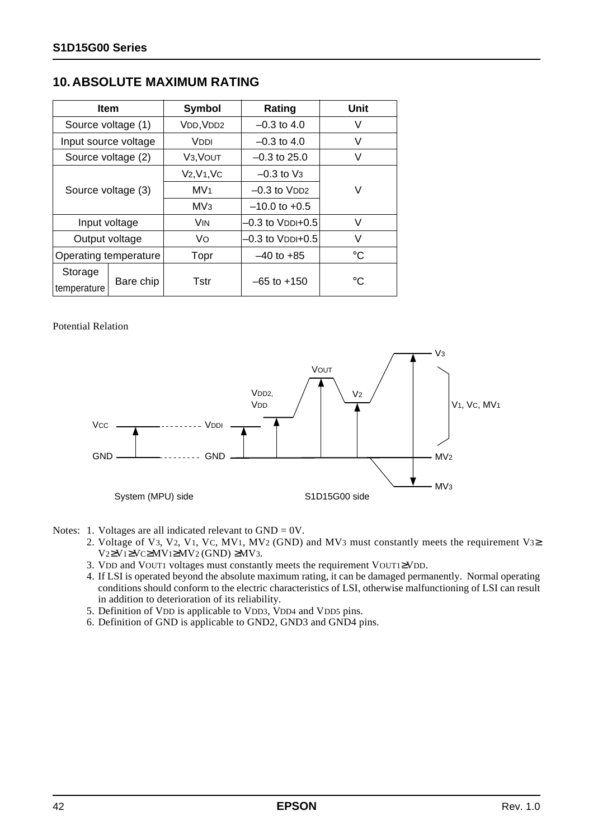## **10. ABSOLUTE MAXIMUM RATING**

| <b>Item</b>            |                    | Symbol                 | Rating                | <b>Unit</b>  |  |  |
|------------------------|--------------------|------------------------|-----------------------|--------------|--|--|
| Source voltage (1)     |                    | VDD, VDD2              | $-0.3$ to 4.0         | V            |  |  |
| Input source voltage   |                    | VDDI                   | $-0.3$ to 4.0         | V            |  |  |
| Source voltage (2)     |                    | V <sub>3</sub> , VOUT  | $-0.3$ to 25.0        | V            |  |  |
|                        |                    | $V2, V1, VC$           | $-0.3$ to $V_3$       |              |  |  |
|                        | Source voltage (3) |                        | $-0.3$ to $VDD2$      | V            |  |  |
|                        |                    |                        |                       |              |  |  |
| Input voltage          |                    | <b>VIN</b>             | $-0.3$ to $V$ DDI+0.5 | V            |  |  |
| Output voltage         |                    | Vo<br>–0.3 to VDDI+0.5 |                       | V            |  |  |
| Operating temperature  |                    | Topr                   | $-40$ to $+85$        | $^{\circ}C$  |  |  |
| Storage<br>temperature | Bare chip          | Tstr                   | $-65$ to $+150$       | $^{\circ}$ C |  |  |

#### Potential Relation



- Notes: 1. Voltages are all indicated relevant to  $GND = 0V$ .
	- 2. Voltage of V3, V2, V1, VC, MV1, MV2 (GND) and MV3 must constantly meets the requirement V3≥ V2≥V1≥VC≥MV1≥MV2 (GND) ≥MV3.
	- 3. VDD and VOUT1 voltages must constantly meets the requirement VOUT1≥VDD.
	- 4. If LSI is operated beyond the absolute maximum rating, it can be damaged permanently. Normal operating conditions should conform to the electric characteristics of LSI, otherwise malfunctioning of LSI can result in addition to deterioration of its reliability.
	- 5. Definition of VDD is applicable to VDD3, VDD4 and VDD5 pins.
	- 6. Definition of GND is applicable to GND2, GND3 and GND4 pins.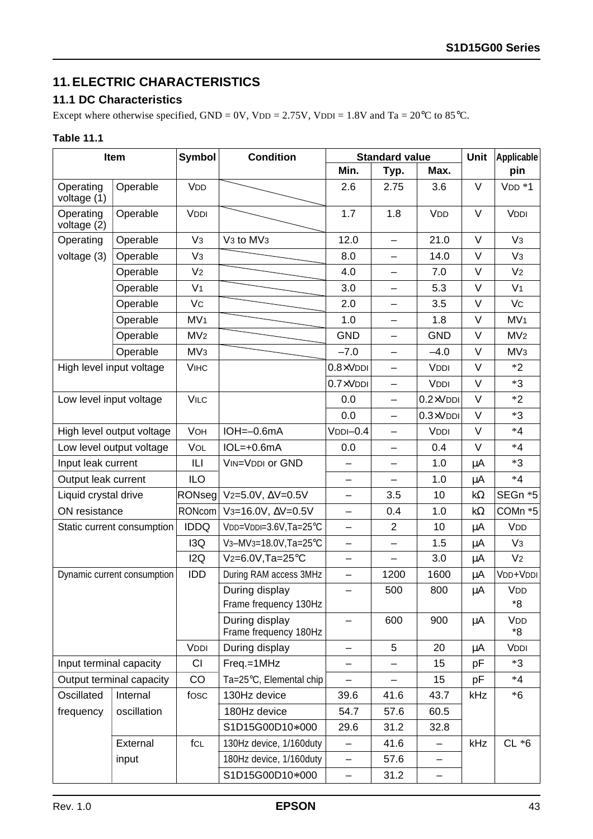## **11. ELECTRIC CHARACTERISTICS**

### **11.1 DC Characteristics**

Except where otherwise specified, GND = 0V, VDD = 2.75V, VDDI = 1.8V and Ta =  $20^{\circ}$ C to 85<sup>°</sup>C.

#### **Table 11.1**

|                           | Item                        | Symbol          | <b>Condition</b>                                |                          | <b>Standard value</b>    |                          | Unit      | Applicable       |
|---------------------------|-----------------------------|-----------------|-------------------------------------------------|--------------------------|--------------------------|--------------------------|-----------|------------------|
|                           |                             |                 |                                                 | Min.                     | Typ.                     | Max.                     |           | pin              |
| Operating<br>voltage (1)  | Operable                    | <b>VDD</b>      |                                                 | 2.6                      | 2.75                     | 3.6                      | V         | $VDD * 1$        |
| Operating<br>voltage (2)  | Operable                    | <b>VDDI</b>     |                                                 | 1.7                      | 1.8                      | <b>V<sub>DD</sub></b>    | V         | <b>VDDI</b>      |
| Operating                 | Operable                    | V <sub>3</sub>  | V <sub>3</sub> to MV <sub>3</sub>               | 12.0                     | $\overline{\phantom{0}}$ | 21.0                     | V         | V <sub>3</sub>   |
| voltage (3)               | Operable                    | V <sub>3</sub>  |                                                 | 8.0                      | —                        | 14.0                     | $\vee$    | V <sub>3</sub>   |
|                           | Operable                    | V <sub>2</sub>  |                                                 | 4.0                      |                          | 7.0                      | $\vee$    | V <sub>2</sub>   |
|                           | Operable                    | V <sub>1</sub>  |                                                 | 3.0                      | —                        | 5.3                      | $\vee$    | V <sub>1</sub>   |
|                           | Operable                    | Vc              |                                                 | 2.0                      | —                        | 3.5                      | $\vee$    | Vc               |
|                           | Operable                    | MV <sub>1</sub> |                                                 | 1.0                      |                          | 1.8                      | $\vee$    | MV <sub>1</sub>  |
|                           | Operable                    | MV <sub>2</sub> |                                                 | <b>GND</b>               | —                        | <b>GND</b>               | $\vee$    | MV <sub>2</sub>  |
|                           | Operable                    | MV <sub>3</sub> |                                                 | $-7.0$                   | -                        | $-4.0$                   | $\vee$    | MV <sub>3</sub>  |
|                           | High level input voltage    | <b>VIHC</b>     |                                                 | $0.8 \times$ VDDI        | —                        | VDDI                     | $\vee$    | $*2$             |
|                           |                             |                 |                                                 | $0.7 \times$ VDDI        | —                        | <b>VDDI</b>              | $\vee$    | $*3$             |
| Low level input voltage   |                             | <b>VILC</b>     |                                                 | 0.0                      | —                        | $0.2 \times V$ DDI       | $\vee$    | $*2$             |
|                           |                             |                 |                                                 | 0.0                      | —                        | $0.3 \times V$ DDI       | $\vee$    | $*3$             |
| High level output voltage |                             | <b>VOH</b>      | $IOH = -0.6mA$                                  | $VDDI-0.4$               | —                        | <b>VDDI</b>              | $\vee$    | $*4$             |
| Low level output voltage  |                             | VOL             | $IOL=+0.6mA$                                    | 0.0                      | —                        | 0.4                      | $\vee$    | $*4$             |
| Input leak current        |                             | L               | VIN=VDDI or GND                                 |                          |                          | 1.0                      | μA        | $*3$             |
| Output leak current       |                             | <b>ILO</b>      |                                                 | $\qquad \qquad -$        | —                        | 1.0                      | μA        | $*4$             |
| Liquid crystal drive      |                             | $ $ RONseg $ $  | $V2=5.0V, \Delta V=0.5V$                        | $\qquad \qquad -$        | 3.5                      | 10                       | $k\Omega$ | SEGn *5          |
| ON resistance             |                             | RONcom          | V <sub>3</sub> =16.0V, $\Delta$ V=0.5V          | $\equiv$                 | 0.4                      | 1.0                      | $k\Omega$ | COMn *5          |
|                           | Static current consumption  | <b>IDDQ</b>     | VDD=VDDI=3.6V,Ta=25°C                           | $\overline{\phantom{0}}$ | $\overline{2}$           | 10                       | μA        | VDD              |
|                           |                             | I3Q             | V <sub>3</sub> -MV <sub>3</sub> =18.0V, Ta=25°C | -                        | —                        | 1.5                      | μA        | V <sub>3</sub>   |
|                           |                             | 12Q             | $V_2=6.0V$ , Ta=25°C                            | $\qquad \qquad -$        | —                        | 3.0                      | μA        | V <sub>2</sub>   |
|                           | Dynamic current consumption | <b>IDD</b>      | During RAM access 3MHz                          | $\qquad \qquad -$        | 1200                     | 1600                     | μA        | VDD+VDDI         |
|                           |                             |                 | During display<br>Frame frequency 130Hz         |                          | 500                      | 800                      | μA        | VDD<br>*8        |
|                           |                             |                 | During display<br>Frame frequency 180Hz         |                          | 600                      | 900                      | μA        | <b>VDD</b><br>*8 |
|                           |                             | VDDI            | During display                                  | $\qquad \qquad -$        | 5                        | 20                       | μA        | <b>VDDI</b>      |
| Input terminal capacity   |                             | CI              | Freq.=1MHz                                      |                          |                          | 15                       | рF        | $*3$             |
|                           | Output terminal capacity    | CO              | Ta=25°C, Elemental chip                         |                          |                          | 15                       | pF        | $*4$             |
| Oscillated                | Internal                    | fosc            | 130Hz device                                    | 39.6                     | 41.6                     | 43.7                     | kHz       | $*6$             |
| frequency                 | oscillation                 |                 | 180Hz device                                    | 54.7                     | 57.6                     | 60.5                     |           |                  |
|                           |                             |                 | S1D15G00D10*000                                 | 29.6                     | 31.2                     | 32.8                     |           |                  |
|                           | External                    | fcL             | 130Hz device, 1/160duty                         | —                        | 41.6                     | $\overline{\phantom{0}}$ | kHz       | $CL *6$          |
|                           | input                       |                 | 180Hz device, 1/160duty                         | -                        | 57.6                     | —                        |           |                  |
|                           |                             |                 | S1D15G00D10*000                                 | -                        | 31.2                     | -                        |           |                  |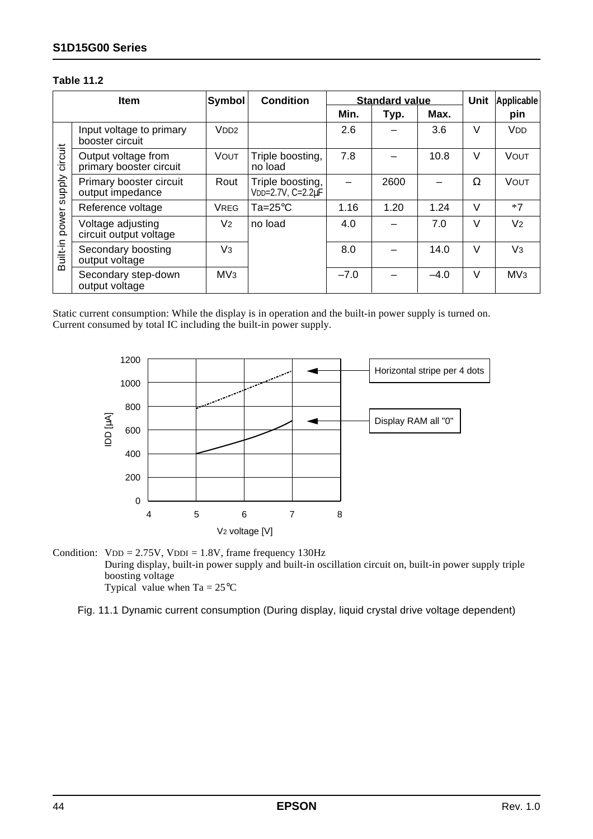#### **S1D15G00 Series**

#### **Table 11.2**

|          | <b>Item</b>                                    | <b>Symbol</b>    | <b>Condition</b>                      |        | <b>Standard value</b> |        | Unit   | <b>Applicable</b> |
|----------|------------------------------------------------|------------------|---------------------------------------|--------|-----------------------|--------|--------|-------------------|
|          |                                                |                  |                                       | Min.   | Typ.                  | Max.   |        | pin               |
|          | Input voltage to primary<br>booster circuit    | V <sub>DD2</sub> |                                       | 2.6    |                       | 3.6    | V      | VDD               |
| circuit  | Output voltage from<br>primary booster circuit | VOUT             | Triple boosting,<br>no load           | 7.8    |                       | 10.8   | $\vee$ | <b>VOUT</b>       |
| supply   | Primary booster circuit<br>output impedance    | Rout             | Triple boosting,<br>VDD=2.7V, C=2.2uF |        | 2600                  |        | Ω      | VOUT              |
|          | Reference voltage                              | <b>VREG</b>      | $Ta = 25^{\circ}C$                    | 1.16   | 1.20                  | 1.24   | $\vee$ | $*7$              |
| power    | Voltage adjusting<br>circuit output voltage    | V <sub>2</sub>   | no load                               | 4.0    |                       | 7.0    | $\vee$ | V <sub>2</sub>    |
| Built-in | Secondary boosting<br>output voltage           | V <sub>3</sub>   |                                       | 8.0    |                       | 14.0   | $\vee$ | V <sub>3</sub>    |
|          | Secondary step-down<br>output voltage          | MV <sub>3</sub>  |                                       | $-7.0$ |                       | $-4.0$ | V      | MV <sub>3</sub>   |

Static current consumption: While the display is in operation and the built-in power supply is turned on. Current consumed by total IC including the built-in power supply.



Condition:  $VDD = 2.75V$ ,  $VDDI = 1.8V$ , frame frequency 130Hz During display, built-in power supply and built-in oscillation circuit on, built-in power supply triple boosting voltage Typical value when  $Ta = 25^{\circ}C$ 

Fig. 11.1 Dynamic current consumption (During display, liquid crystal drive voltage dependent)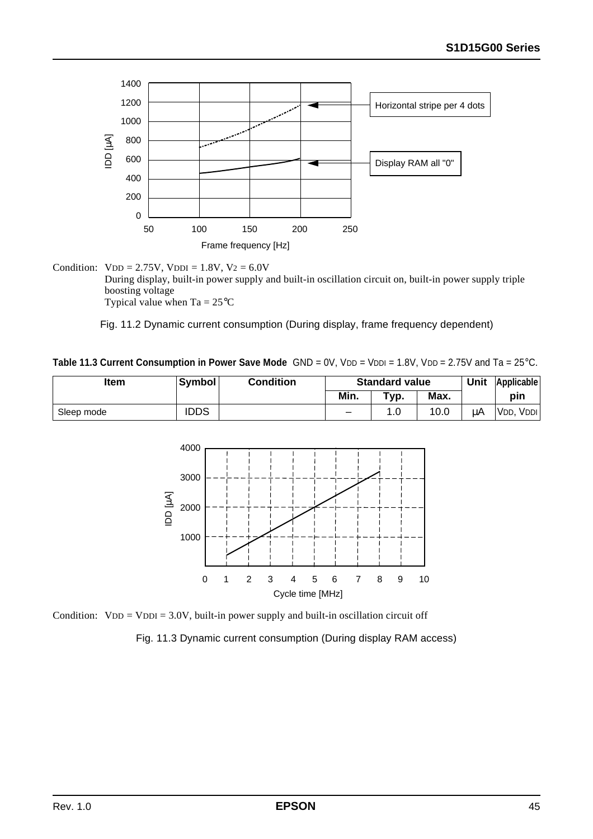

Condition:  $VDD = 2.75V$ ,  $VDDI = 1.8V$ ,  $V2 = 6.0V$ During display, built-in power supply and built-in oscillation circuit on, built-in power supply triple boosting voltage Typical value when  $Ta = 25^{\circ}C$ 

Fig. 11.2 Dynamic current consumption (During display, frame frequency dependent)

**Table 11.3 Current Consumption in Power Save Mode** GND = 0V, VDD = VDDI = 1.8V, VDD = 2.75V and Ta = 25°C.

| <b>Item</b> | Symbol | Condition | <b>Standard value</b> |      |      | <b>Unit</b> | Applicable           |
|-------------|--------|-----------|-----------------------|------|------|-------------|----------------------|
|             |        |           | Min.                  | Typ. | Max. |             | pin                  |
| Sleep mode  | IDDS   |           | -                     |      | 10.0 | uΑ          | 'VDD,<br><b>VDDI</b> |



Condition:  $VDD = VDDI = 3.0V$ , built-in power supply and built-in oscillation circuit off

Fig. 11.3 Dynamic current consumption (During display RAM access)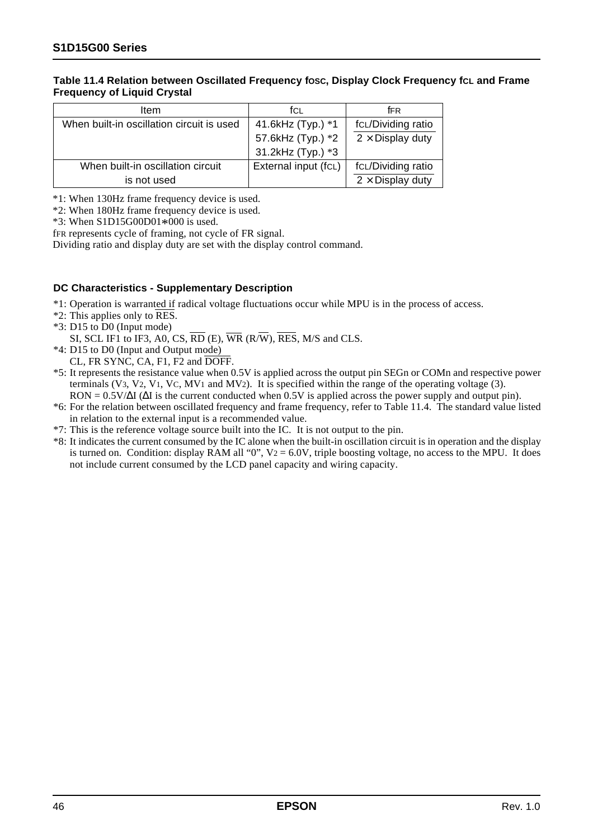#### Table 11.4 Relation between Oscillated Frequency fosc, Display Clock Frequency fcL and Frame **Frequency of Liquid Crystal**

| ltem                                      | fcl                  | fFR                     |
|-------------------------------------------|----------------------|-------------------------|
| When built-in oscillation circuit is used | 41.6kHz (Typ.) *1    | fcL/Dividing ratio      |
|                                           | 57.6kHz (Typ.) *2    | $2 \times$ Display duty |
|                                           | 31.2kHz (Typ.) *3    |                         |
| When built-in oscillation circuit         | External input (fcL) | fcL/Dividing ratio      |
| is not used                               |                      | $2 \times$ Display duty |

\*1: When 130Hz frame frequency device is used.

\*2: When 180Hz frame frequency device is used.

\*3: When S1D15G00D01\*000 is used.

fFR represents cycle of framing, not cycle of FR signal.

Dividing ratio and display duty are set with the display control command.

#### **DC Characteristics - Supplementary Description**

\*1: Operation is warranted if radical voltage fluctuations occur while MPU is in the process of access.

- \*2: This applies only to RES.
- \*3: D15 to D0 (Input mode)
	- SI, SCL IF1 to IF3, A0, CS,  $\overline{RD}$  (E),  $\overline{WR}$  (R $\overline{W}$ ),  $\overline{RES}$ , M/S and CLS.
- \*4: D15 to D0 (Input and Output mode) CL, FR SYNC, CA, F1, F2 and DOFF.
- \*5: It represents the resistance value when 0.5V is applied across the output pin SEGn or COMn and respective power terminals (V3, V2, V1, VC, MV1 and MV2). It is specified within the range of the operating voltage (3). RON = 0.5V/∆I (∆I is the current conducted when 0.5V is applied across the power supply and output pin).
- \*6: For the relation between oscillated frequency and frame frequency, refer to Table 11.4. The standard value listed in relation to the external input is a recommended value.
- \*7: This is the reference voltage source built into the IC. It is not output to the pin.
- \*8: It indicates the current consumed by the IC alone when the built-in oscillation circuit is in operation and the display is turned on. Condition: display RAM all "0",  $V_2 = 6.0V$ , triple boosting voltage, no access to the MPU. It does not include current consumed by the LCD panel capacity and wiring capacity.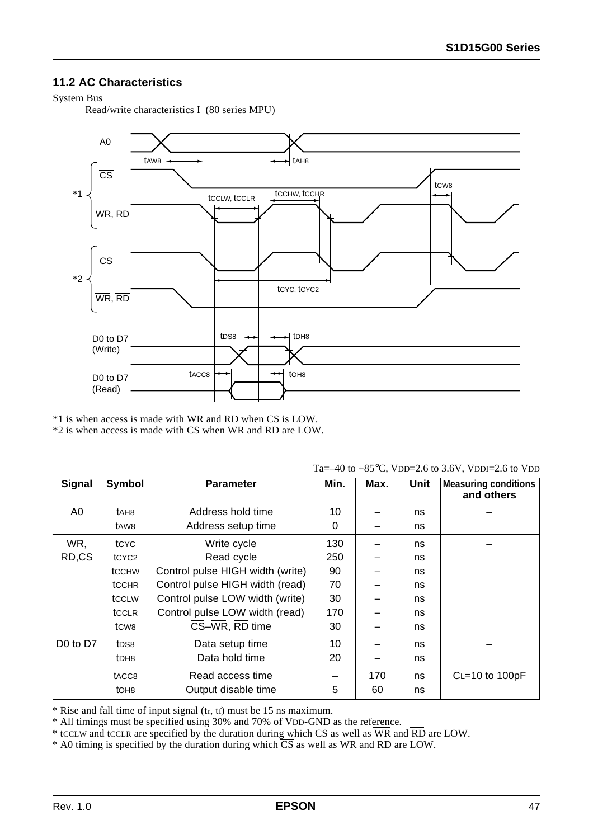### **11.2 AC Characteristics**

#### System Bus

Read/write characteristics I (80 series MPU)



\*1 is when access is made with WR and RD when CS is LOW. \*2 is when access is made with CS when WR and RD are LOW.

|                | $100 \, \text{C}$ , $100 \, \text{B}$ and to $0.0 \, \text{C}$ , $100 \, \text{C}$ and $100 \, \text{C}$ |                                  |      |      |             |                                           |  |  |  |  |  |
|----------------|----------------------------------------------------------------------------------------------------------|----------------------------------|------|------|-------------|-------------------------------------------|--|--|--|--|--|
| Signal         | Symbol                                                                                                   | <b>Parameter</b>                 | Min. | Max. | <b>Unit</b> | <b>Measuring conditions</b><br>and others |  |  |  |  |  |
| A <sub>0</sub> | tah <sub>8</sub>                                                                                         | Address hold time                | 10   |      | ns          |                                           |  |  |  |  |  |
|                | t <sub>AW8</sub>                                                                                         | Address setup time               | 0    |      | ns          |                                           |  |  |  |  |  |
| WR,            | tcyc                                                                                                     | Write cycle                      | 130  |      | ns          |                                           |  |  |  |  |  |
| RD,CS          | tCYC <sub>2</sub>                                                                                        | Read cycle                       | 250  |      | ns          |                                           |  |  |  |  |  |
|                | <b>tCCHW</b>                                                                                             | Control pulse HIGH width (write) | 90   |      | ns          |                                           |  |  |  |  |  |
|                | <b>tCCHR</b>                                                                                             | Control pulse HIGH width (read)  | 70   |      | ns          |                                           |  |  |  |  |  |
|                | tccLW                                                                                                    | Control pulse LOW width (write)  | 30   |      | ns          |                                           |  |  |  |  |  |
|                | tCCLR                                                                                                    | Control pulse LOW width (read)   | 170  |      | ns          |                                           |  |  |  |  |  |
|                | t <sub>C</sub> <sub>w8</sub>                                                                             | CS-WR, RD time                   | 30   |      | ns          |                                           |  |  |  |  |  |
| D0 to D7       | t <sub>DS8</sub>                                                                                         | Data setup time                  | 10   |      | ns          |                                           |  |  |  |  |  |
|                | t <sub>DH8</sub>                                                                                         | Data hold time                   | 20   |      | ns          |                                           |  |  |  |  |  |
|                | tacc <sub>8</sub>                                                                                        | Read access time                 |      | 170  | ns          | $C = 10$ to $100pF$                       |  |  |  |  |  |
|                | tOH <sub>8</sub>                                                                                         | Output disable time              | 5    | 60   | ns          |                                           |  |  |  |  |  |

\* Rise and fall time of input signal (tr, tf) must be 15 ns maximum.

\* All timings must be specified using 30% and 70% of VDD-GND as the reference.

\* tCCLW and tCCLR are specified by the duration during which CS as well as WR and RD are LOW.

\* A0 timing is specified by the duration during which CS as well as WR and RD are LOW.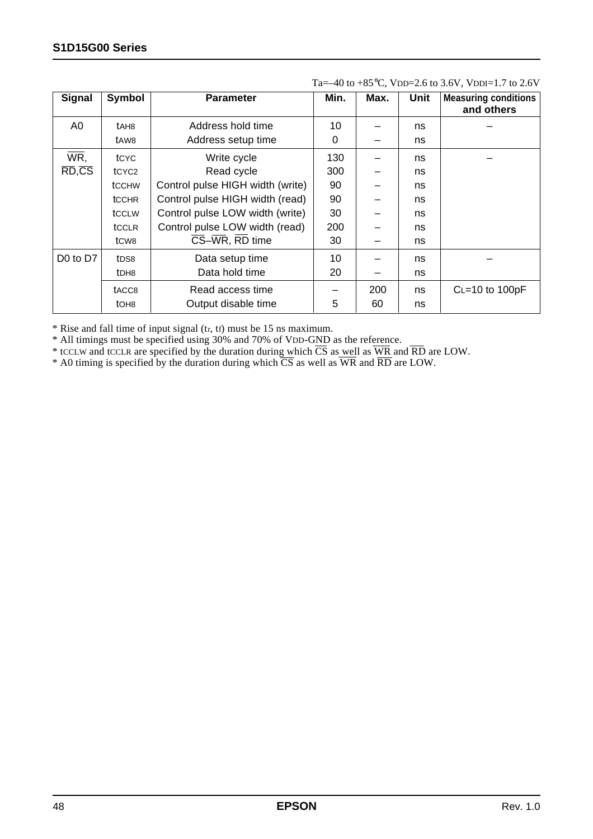| Signal                            | Symbol                        | <b>Parameter</b>                 | Min. | Max. | <b>Unit</b> | <b>Measuring conditions</b><br>and others |
|-----------------------------------|-------------------------------|----------------------------------|------|------|-------------|-------------------------------------------|
| A <sub>0</sub>                    | tAH8                          | Address hold time                | 10   |      | ns          |                                           |
|                                   | tAW8                          | Address setup time               | 0    |      | ns          |                                           |
| WR,                               | tcyc                          | Write cycle                      | 130  |      | ns          |                                           |
| $\overline{RD}$ , $\overline{CS}$ | tCYC <sub>2</sub>             | Read cycle                       | 300  |      | ns          |                                           |
|                                   | <b>tCCHW</b>                  | Control pulse HIGH width (write) | 90   |      | ns          |                                           |
|                                   | <b>tCCHR</b>                  | Control pulse HIGH width (read)  | 90   |      | ns          |                                           |
|                                   | tccLw                         | Control pulse LOW width (write)  | 30   |      | ns          |                                           |
|                                   | tcclR                         | Control pulse LOW width (read)   | 200  |      | ns          |                                           |
|                                   | t <sub>C</sub> w <sub>8</sub> | CS-WR, RD time                   | 30   |      | ns          |                                           |
| D <sub>0</sub> to D <sub>7</sub>  | t <sub>DS8</sub>              | Data setup time                  | 10   |      | ns          |                                           |
|                                   | t <sub>DH8</sub>              | Data hold time                   | 20   |      | ns          |                                           |
|                                   | t <sub>ACC8</sub>             | Read access time                 |      | 200  | ns          | $C = 10$ to $100pF$                       |
|                                   | t <sub>OH8</sub>              | Output disable time              | 5    | 60   | ns          |                                           |

Ta=–40 to  $+85^{\circ}$ C, VDD=2.6 to 3.6V, VDDI=1.7 to 2.6V

\* Rise and fall time of input signal (tr, tf) must be 15 ns maximum.

\* All timings must be specified using 30% and 70% of VDD-GND as the reference.

\* tCCLW and tCCLR are specified by the duration during which CS as well as WR and RD are LOW.

\* A0 timing is specified by the duration during which CS as well as WR and RD are LOW.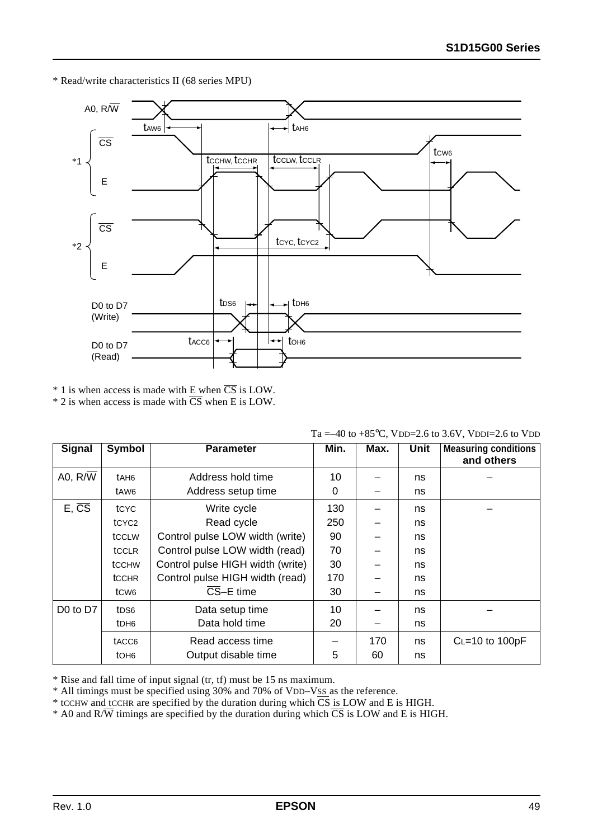\* Read/write characteristics II (68 series MPU)



 $*$  1 is when access is made with E when  $\overline{CS}$  is LOW.

 $*$  2 is when access is made with  $\overline{CS}$  when E is LOW.

| Signal             | Symbol                        | <b>Parameter</b>                 | Min. | Max. | Unit | <b>Measuring conditions</b><br>and others |
|--------------------|-------------------------------|----------------------------------|------|------|------|-------------------------------------------|
| A0, R/W            | tAH6                          | Address hold time                | 10   |      | ns   |                                           |
|                    | tAW6                          | Address setup time               | 0    |      | ns   |                                           |
| $E, \overline{CS}$ | tcyc                          | Write cycle                      | 130  |      | ns   |                                           |
|                    | tCYC <sub>2</sub>             | Read cycle                       | 250  |      | ns   |                                           |
|                    | tccLw                         | Control pulse LOW width (write)  | 90   |      | ns   |                                           |
|                    | tCCLR                         | Control pulse LOW width (read)   | 70   |      | ns   |                                           |
|                    | <b>tCCHW</b>                  | Control pulse HIGH width (write) | 30   |      | ns   |                                           |
|                    | <b>tCCHR</b>                  | Control pulse HIGH width (read)  | 170  |      | ns   |                                           |
|                    | t <sub>C</sub> W <sub>6</sub> | $\overline{\text{CS}}$ -E time   | 30   |      | ns   |                                           |
| D0 to D7           | t <sub>DS6</sub>              | Data setup time                  | 10   |      | ns   |                                           |
|                    | tDH <sub>6</sub>              | Data hold time                   | 20   |      | ns   |                                           |
|                    | t <sub>ACC6</sub>             | Read access time                 |      | 170  | ns   | $C = 10$ to $100pF$                       |
|                    | tOH <sub>6</sub>              | Output disable time              | 5    | 60   | ns   |                                           |

Ta =–40 to +85 $^{\circ}$ C, VDD=2.6 to 3.6V, VDDI=2.6 to VDD

\* Rise and fall time of input signal (tr, tf) must be 15 ns maximum.

\* All timings must be specified using 30% and 70% of VDD–VSS as the reference.

 $*$  tCCHW and tCCHR are specified by the duration during which  $\overline{CS}$  is LOW and E is HIGH.

\* A0 and  $R/\overline{W}$  timings are specified by the duration during which  $\overline{CS}$  is LOW and E is HIGH.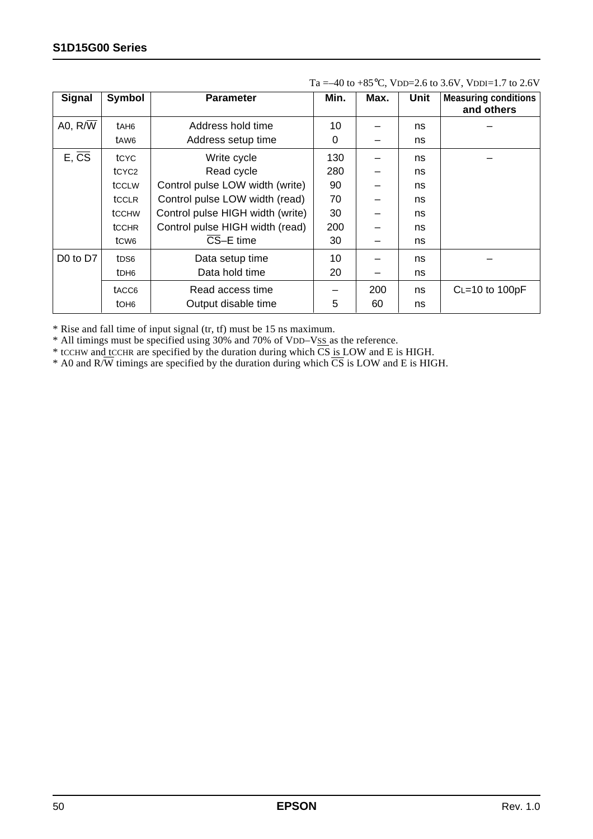| <b>Signal</b>                    | Symbol                        | <b>Parameter</b>                 | Min. | Max. | Unit | <b>Measuring conditions</b><br>and others |
|----------------------------------|-------------------------------|----------------------------------|------|------|------|-------------------------------------------|
| A0, $R/\overline{W}$             | t <sub>AH6</sub>              | Address hold time                | 10   |      | ns   |                                           |
|                                  | tAW6                          | Address setup time               | 0    |      | ns   |                                           |
| $E, \overline{CS}$               | tcyc                          | Write cycle                      | 130  |      | ns   |                                           |
|                                  | tCYC <sub>2</sub>             | Read cycle                       | 280  |      | ns   |                                           |
|                                  | tccLw                         | Control pulse LOW width (write)  | 90   |      | ns   |                                           |
|                                  | tcclR                         | Control pulse LOW width (read)   | 70   |      | ns   |                                           |
|                                  | <b>tCCHW</b>                  | Control pulse HIGH width (write) | 30   |      | ns   |                                           |
|                                  | <b>tCCHR</b>                  | Control pulse HIGH width (read)  | 200  |      | ns   |                                           |
|                                  | t <sub>C</sub> W <sub>6</sub> | CS-E time                        | 30   |      | ns   |                                           |
| D <sub>0</sub> to D <sub>7</sub> | t <sub>DS6</sub>              | Data setup time                  | 10   |      | ns   |                                           |
|                                  | t <sub>DH6</sub>              | Data hold time                   | 20   |      | ns   |                                           |
|                                  | tACC6                         | Read access time                 |      | 200  | ns   | $C = 10$ to $100pF$                       |
|                                  | t <sub>OH6</sub>              | Output disable time              | 5    | 60   | ns   |                                           |

Ta =–40 to +85 $^{\circ}$ C, VDD=2.6 to 3.6V, VDDI=1.7 to 2.6V

\* Rise and fall time of input signal (tr, tf) must be 15 ns maximum.

\* All timings must be specified using 30% and 70% of VDD–VSS as the reference.

\* tCCHW and tCCHR are specified by the duration during which CS is LOW and E is HIGH.

\* A0 and R/W timings are specified by the duration during which CS is LOW and E is HIGH.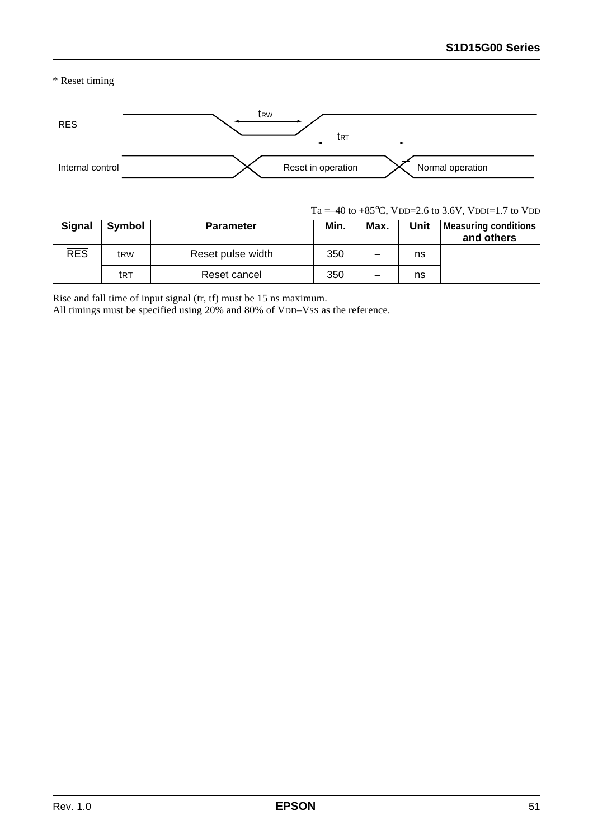\* Reset timing



Ta =–40 to +85 $^{\circ}$ C, VDD=2.6 to 3.6V, VDDI=1.7 to VDD

| <b>Signal</b> | Symbol          | <b>Parameter</b>  | Min. | Max. | Unit | Measuring conditions<br>and others |
|---------------|-----------------|-------------------|------|------|------|------------------------------------|
| <b>RES</b>    | t <sub>RW</sub> | Reset pulse width | 350  |      | ns   |                                    |
|               | trt             | Reset cancel      | 350  |      | ns   |                                    |

Rise and fall time of input signal (tr, tf) must be 15 ns maximum.

All timings must be specified using 20% and 80% of VDD–Vss as the reference.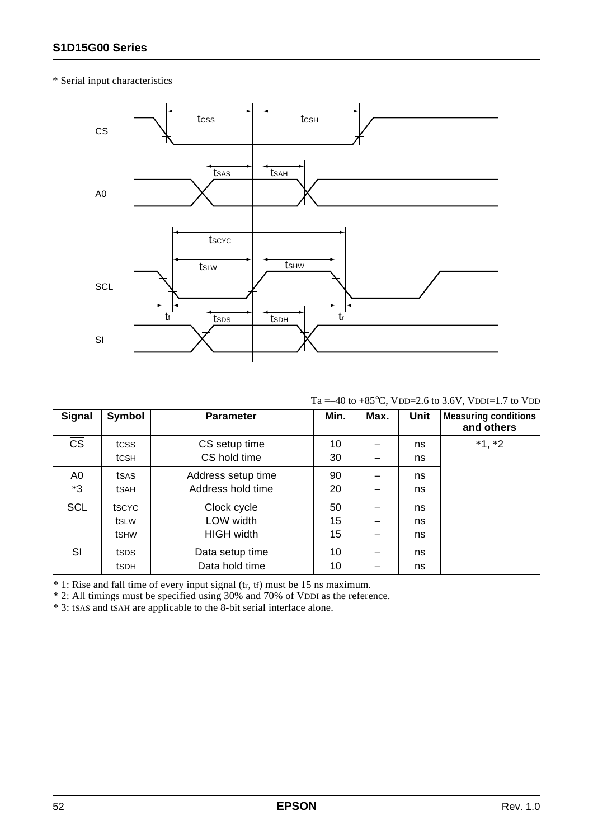#### \* Serial input characteristics



Ta =–40 to +85 $^{\circ}$ C, VDD=2.6 to 3.6V, VDDI=1.7 to VDD

| <b>Signal</b>          | Symbol       | <b>Parameter</b>                  | Min. | Max. | <b>Unit</b> | <b>Measuring conditions</b><br>and others |
|------------------------|--------------|-----------------------------------|------|------|-------------|-------------------------------------------|
| $\overline{\text{cs}}$ | tcss         | $\overline{\text{CS}}$ setup time | 10   |      | ns          | $*1, *2$                                  |
|                        | tcsh         | $\overline{\text{CS}}$ hold time  | 30   |      | ns          |                                           |
| A0                     | tsas         | Address setup time                | 90   |      | ns          |                                           |
| *3                     | tsah         | Address hold time                 | 20   |      | ns          |                                           |
| <b>SCL</b>             | tscyc        | Clock cycle                       | 50   |      | ns          |                                           |
|                        | tsLW         | LOW width                         | 15   |      | ns          |                                           |
|                        | <b>t</b> SHW | <b>HIGH width</b>                 | 15   |      | ns          |                                           |
| SI                     | tsps         | Data setup time                   | 10   |      | ns          |                                           |
|                        | <b>t</b> SDH | Data hold time                    | 10   |      | ns          |                                           |

\* 1: Rise and fall time of every input signal (tr, tf) must be 15 ns maximum.

\* 2: All timings must be specified using 30% and 70% of VDDI as the reference.

\* 3: tSAS and tSAH are applicable to the 8-bit serial interface alone.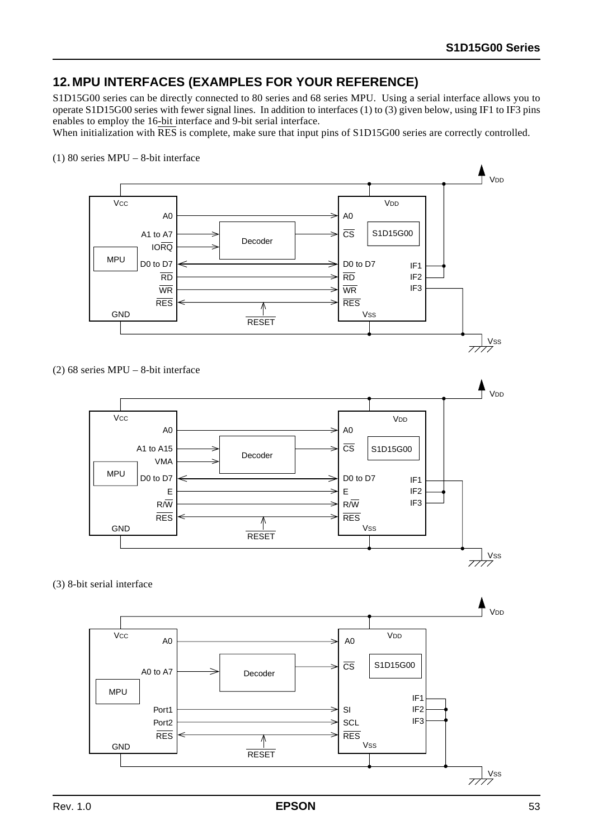## **12. MPU INTERFACES (EXAMPLES FOR YOUR REFERENCE)**

S1D15G00 series can be directly connected to 80 series and 68 series MPU. Using a serial interface allows you to operate S1D15G00 series with fewer signal lines. In addition to interfaces (1) to (3) given below, using IF1 to IF3 pins enables to employ the 16-bit interface and 9-bit serial interface.

When initialization with  $\overline{\text{RES}}$  is complete, make sure that input pins of S1D15G00 series are correctly controlled.



(2) 68 series MPU – 8-bit interface



(3) 8-bit serial interface

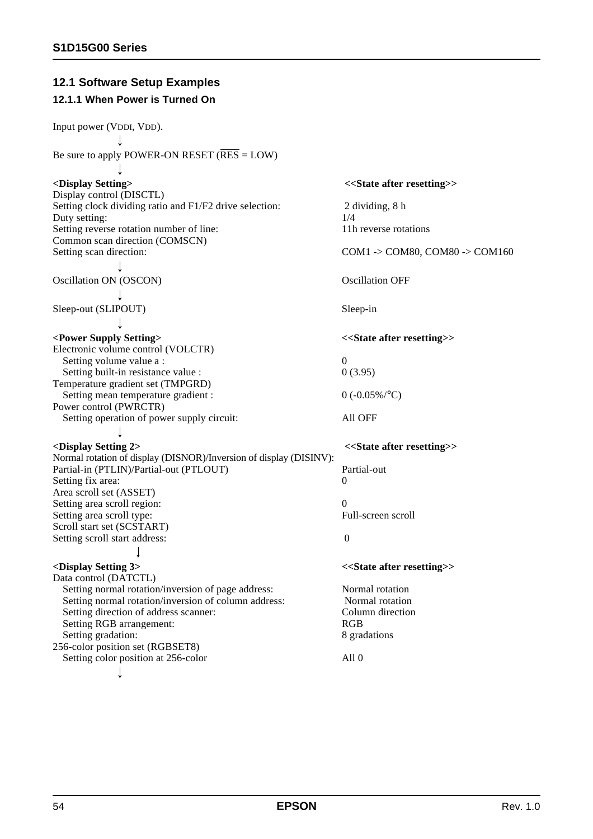## **12.1 Software Setup Examples**

## **12.1.1 When Power is Turned On**

| Input power (VDDI, VDD).                                           |                                             |  |  |  |
|--------------------------------------------------------------------|---------------------------------------------|--|--|--|
|                                                                    |                                             |  |  |  |
| Be sure to apply POWER-ON RESET (RES = $LOW$ )                     |                                             |  |  |  |
|                                                                    |                                             |  |  |  |
| <display setting=""></display>                                     | < <state after="" resetting="">&gt;</state> |  |  |  |
| Display control (DISCTL)                                           |                                             |  |  |  |
| Setting clock dividing ratio and F1/F2 drive selection:            | 2 dividing, 8 h                             |  |  |  |
| Duty setting:                                                      | 1/4                                         |  |  |  |
| Setting reverse rotation number of line:                           | 11h reverse rotations                       |  |  |  |
| Common scan direction (COMSCN)                                     |                                             |  |  |  |
| Setting scan direction:                                            | COM1 -> COM80, COM80 -> COM160              |  |  |  |
|                                                                    |                                             |  |  |  |
| Oscillation ON (OSCON)                                             | <b>Oscillation OFF</b>                      |  |  |  |
|                                                                    |                                             |  |  |  |
|                                                                    |                                             |  |  |  |
| Sleep-out (SLIPOUT)                                                | Sleep-in                                    |  |  |  |
|                                                                    |                                             |  |  |  |
| <power setting="" supply=""></power>                               | < <state after="" resetting="">&gt;</state> |  |  |  |
| Electronic volume control (VOLCTR)                                 |                                             |  |  |  |
| Setting volume value a :                                           | 0                                           |  |  |  |
| Setting built-in resistance value :                                | 0(3.95)                                     |  |  |  |
| Temperature gradient set (TMPGRD)                                  |                                             |  |  |  |
| Setting mean temperature gradient :                                | $0 (-0.05\%)^{\circ}C$                      |  |  |  |
| Power control (PWRCTR)                                             |                                             |  |  |  |
| Setting operation of power supply circuit:                         | All OFF                                     |  |  |  |
|                                                                    |                                             |  |  |  |
| <display 2="" setting=""></display>                                | < <state after="" resetting="">&gt;</state> |  |  |  |
| Normal rotation of display (DISNOR)/Inversion of display (DISINV): |                                             |  |  |  |
| Partial-in (PTLIN)/Partial-out (PTLOUT)                            | Partial-out                                 |  |  |  |
| Setting fix area:                                                  | $\theta$                                    |  |  |  |
| Area scroll set (ASSET)                                            |                                             |  |  |  |
| Setting area scroll region:                                        | $\theta$                                    |  |  |  |
| Setting area scroll type:                                          | Full-screen scroll                          |  |  |  |
| Scroll start set (SCSTART)                                         |                                             |  |  |  |
| Setting scroll start address:                                      | $\boldsymbol{0}$                            |  |  |  |
|                                                                    |                                             |  |  |  |
| <display 3="" setting=""></display>                                | < <state after="" resetting="">&gt;</state> |  |  |  |
| Data control (DATCTL)                                              |                                             |  |  |  |
| Setting normal rotation/inversion of page address:                 | Normal rotation                             |  |  |  |
| Setting normal rotation/inversion of column address:               | Normal rotation                             |  |  |  |
| Setting direction of address scanner:                              | Column direction                            |  |  |  |
| Setting RGB arrangement:                                           | RGB                                         |  |  |  |
| Setting gradation:                                                 | 8 gradations                                |  |  |  |
| 256-color position set (RGBSET8)                                   |                                             |  |  |  |
| Setting color position at 256-color                                | All $0$                                     |  |  |  |
|                                                                    |                                             |  |  |  |
|                                                                    |                                             |  |  |  |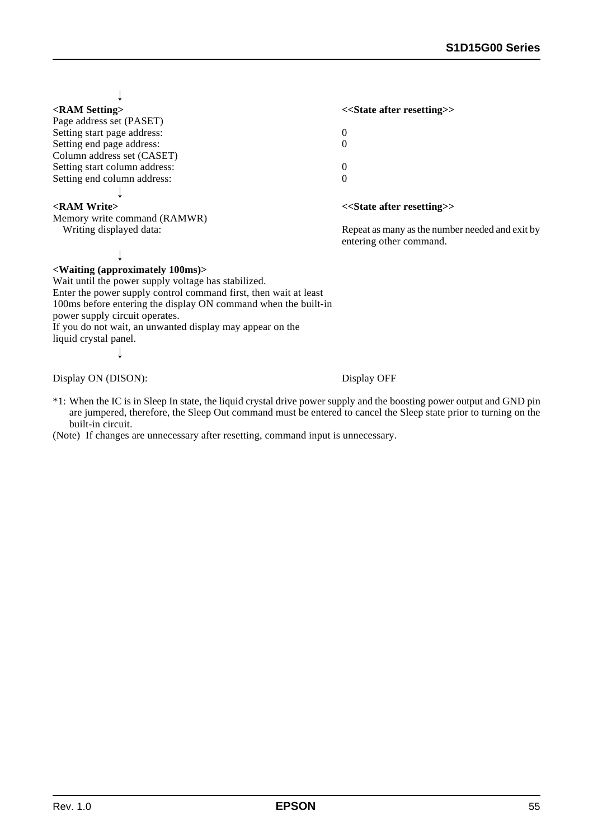$\perp$ 

| < <state after="" resetting="">&gt;</state>     |
|-------------------------------------------------|
|                                                 |
| 0                                               |
| 0                                               |
|                                                 |
| 0                                               |
| 0                                               |
|                                                 |
| < <state after="" resetting="">&gt;</state>     |
|                                                 |
| Repeat as many as the number needed and exit by |
|                                                 |

#### $\downarrow$

#### **<Waiting (approximately 100ms)>**

Wait until the power supply voltage has stabilized. Enter the power supply control command first, then wait at least 100ms before entering the display ON command when the built-in power supply circuit operates. If you do not wait, an unwanted display may appear on the liquid crystal panel.

1

Display ON (DISON): Display OFF

entering other command.

\*1: When the IC is in Sleep In state, the liquid crystal drive power supply and the boosting power output and GND pin are jumpered, therefore, the Sleep Out command must be entered to cancel the Sleep state prior to turning on the built-in circuit.

(Note) If changes are unnecessary after resetting, command input is unnecessary.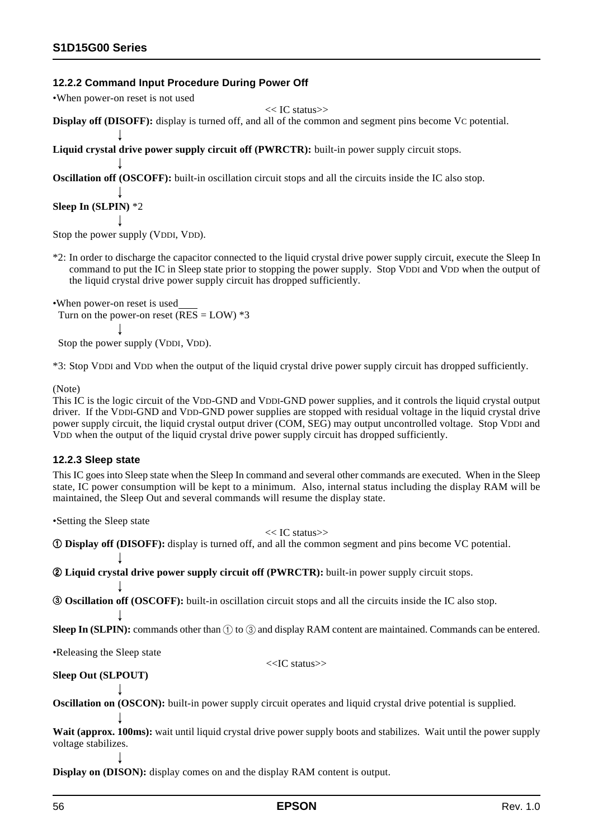#### **12.2.2 Command Input Procedure During Power Off**

•When power-on reset is not used

```
<< IC status>>
```
**Display off (DISOFF):** display is turned off, and all of the common and segment pins become VC potential.

**Liquid crystal drive power supply circuit off (PWRCTR):** built-in power supply circuit stops.

**Oscillation off (OSCOFF):** built-in oscillation circuit stops and all the circuits inside the IC also stop.

**Sleep In (SLPIN)** \*2

Stop the power supply (VDDI, VDD).

- \*2: In order to discharge the capacitor connected to the liquid crystal drive power supply circuit, execute the Sleep In command to put the IC in Sleep state prior to stopping the power supply. Stop VDDI and VDD when the output of the liquid crystal drive power supply circuit has dropped sufficiently.
- •When power-on reset is used Turn on the power-on reset ( $\overline{\text{RES}}$  = LOW) \*3

Stop the power supply (VDDI, VDD).

\*3: Stop VDDI and VDD when the output of the liquid crystal drive power supply circuit has dropped sufficiently.

(Note)

This IC is the logic circuit of the VDD-GND and VDDI-GND power supplies, and it controls the liquid crystal output driver. If the VDDI-GND and VDD-GND power supplies are stopped with residual voltage in the liquid crystal drive power supply circuit, the liquid crystal output driver (COM, SEG) may output uncontrolled voltage. Stop VDDI and VDD when the output of the liquid crystal drive power supply circuit has dropped sufficiently.

#### **12.2.3 Sleep state**

This IC goes into Sleep state when the Sleep In command and several other commands are executed. When in the Sleep state, IC power consumption will be kept to a minimum. Also, internal status including the display RAM will be maintained, the Sleep Out and several commands will resume the display state.

•Setting the Sleep state

#### << IC status>>

1 **Display off (DISOFF):** display is turned off, and all the common segment and pins become VC potential.

2 **Liquid crystal drive power supply circuit off (PWRCTR):** built-in power supply circuit stops.

3 **Oscillation off (OSCOFF):** built-in oscillation circuit stops and all the circuits inside the IC also stop.

**Sleep In (SLPIN):** commands other than  $(1)$  to  $(3)$  and display RAM content are maintained. Commands can be entered.

•Releasing the Sleep state

<<IC status>>

**Sleep Out (SLPOUT)**

**Oscillation on (OSCON):** built-in power supply circuit operates and liquid crystal drive potential is supplied.

Wait (approx. 100ms): wait until liquid crystal drive power supply boots and stabilizes. Wait until the power supply voltage stabilizes.

**Display on (DISON):** display comes on and the display RAM content is output.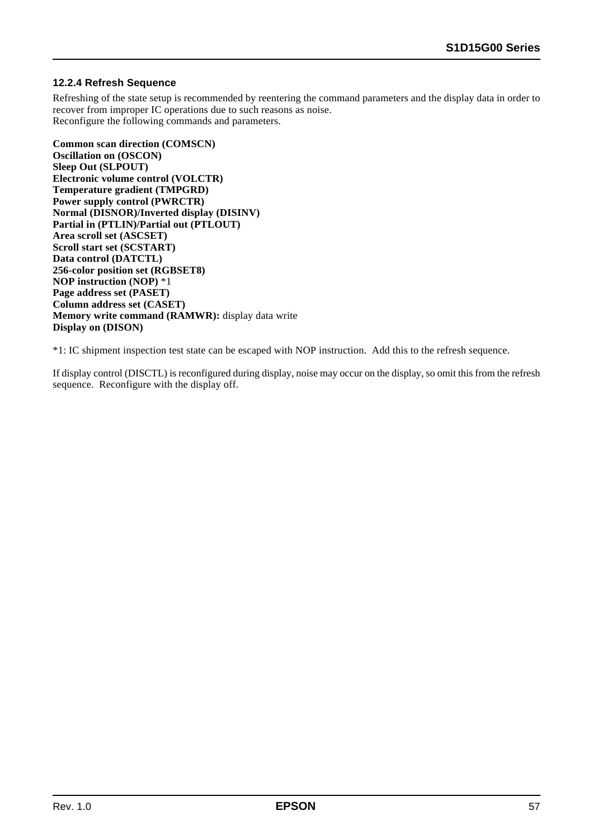#### **12.2.4 Refresh Sequence**

Refreshing of the state setup is recommended by reentering the command parameters and the display data in order to recover from improper IC operations due to such reasons as noise. Reconfigure the following commands and parameters.

**Common scan direction (COMSCN) Oscillation on (OSCON) Sleep Out (SLPOUT) Electronic volume control (VOLCTR) Temperature gradient (TMPGRD) Power supply control (PWRCTR) Normal (DISNOR)/Inverted display (DISINV) Partial in (PTLIN)/Partial out (PTLOUT) Area scroll set (ASCSET) Scroll start set (SCSTART) Data control (DATCTL) 256-color position set (RGBSET8) NOP instruction (NOP)** \*1 **Page address set (PASET) Column address set (CASET) Memory write command (RAMWR):** display data write **Display on (DISON)**

\*1: IC shipment inspection test state can be escaped with NOP instruction. Add this to the refresh sequence.

If display control (DISCTL) is reconfigured during display, noise may occur on the display, so omit this from the refresh sequence. Reconfigure with the display off.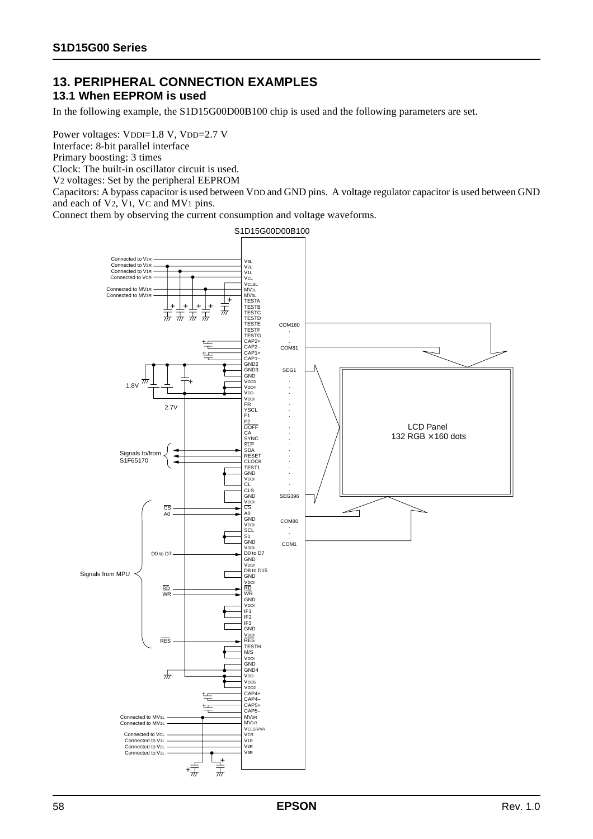#### **13. PERIPHERAL CONNECTION EXAMPLES 13.1 When EEPROM is used**

In the following example, the S1D15G00D00B100 chip is used and the following parameters are set.

Power voltages: VDDI=1.8 V, VDD=2.7 V

Interface: 8-bit parallel interface

Primary boosting: 3 times

Clock: The built-in oscillator circuit is used.

V2 voltages: Set by the peripheral EEPROM

Capacitors: A bypass capacitor is used between VDD and GND pins. A voltage regulator capacitor is used between GND and each of V2, V1, VC and MV1 pins.

Connect them by observing the current consumption and voltage waveforms.

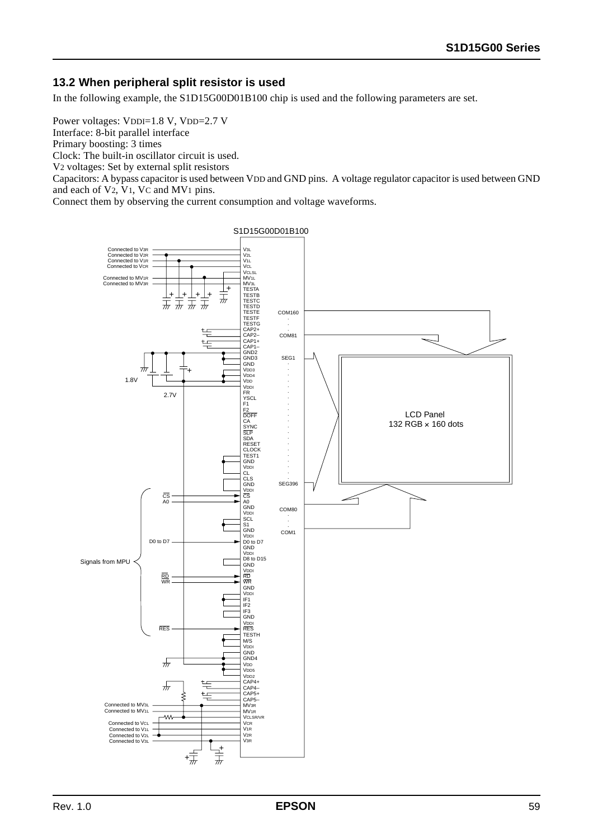#### **13.2 When peripheral split resistor is used**

In the following example, the S1D15G00D01B100 chip is used and the following parameters are set.

Power voltages: VDDI=1.8 V, VDD=2.7 V Interface: 8-bit parallel interface Primary boosting: 3 times Clock: The built-in oscillator circuit is used. V2 voltages: Set by external split resistors

Capacitors: A bypass capacitor is used between VDD and GND pins. A voltage regulator capacitor is used between GND and each of V2, V1, VC and MV1 pins.

Connect them by observing the current consumption and voltage waveforms.

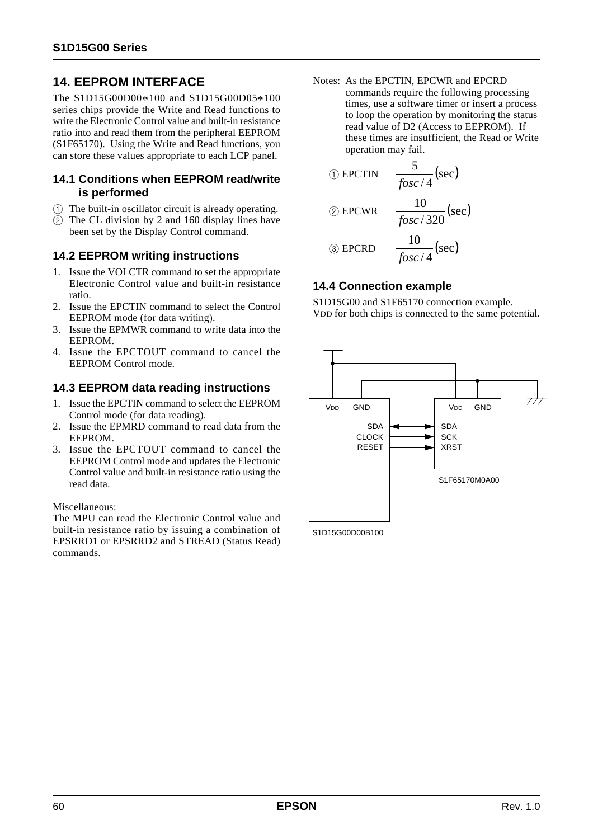## **14. EEPROM INTERFACE**

The S1D15G00D00\*100 and S1D15G00D05\*100 series chips provide the Write and Read functions to write the Electronic Control value and built-in resistance ratio into and read them from the peripheral EEPROM (S1F65170). Using the Write and Read functions, you can store these values appropriate to each LCP panel.

#### **14.1 Conditions when EEPROM read/write is performed**

- 1 The built-in oscillator circuit is already operating.
- 2 The CL division by 2 and 160 display lines have been set by the Display Control command.

#### **14.2 EEPROM writing instructions**

- 1. Issue the VOLCTR command to set the appropriate Electronic Control value and built-in resistance ratio.
- 2. Issue the EPCTIN command to select the Control EEPROM mode (for data writing).
- 3. Issue the EPMWR command to write data into the EEPROM.
- 4. Issue the EPCTOUT command to cancel the EEPROM Control mode.

#### **14.3 EEPROM data reading instructions**

- 1. Issue the EPCTIN command to select the EEPROM Control mode (for data reading).
- 2. Issue the EPMRD command to read data from the EEPROM.
- 3. Issue the EPCTOUT command to cancel the EEPROM Control mode and updates the Electronic Control value and built-in resistance ratio using the read data.

#### Miscellaneous:

The MPU can read the Electronic Control value and built-in resistance ratio by issuing a combination of EPSRRD1 or EPSRRD2 and STREAD (Status Read) commands.

Notes: As the EPCTIN, EPCWR and EPCRD commands require the following processing times, use a software timer or insert a process to loop the operation by monitoring the status read value of D2 (Access to EEPROM). If these times are insufficient, the Read or Write operation may fail.

$$
\textcircled{\tiny{1}}\text{EPCTIN}\quad \frac{5}{\text{fosc}/4}(\text{sec})
$$

$$
\textcircled{2} \text{ EPCWR} \quad \frac{10}{\text{fosc}/320} \text{(sec)}
$$

$$
\textcircled{3} \text{ EPCRD} \qquad \frac{10}{fosc/4}(\text{sec})
$$

#### **14.4 Connection example**

S1D15G00 and S1F65170 connection example. VDD for both chips is connected to the same potential.



S1D15G00D00B100